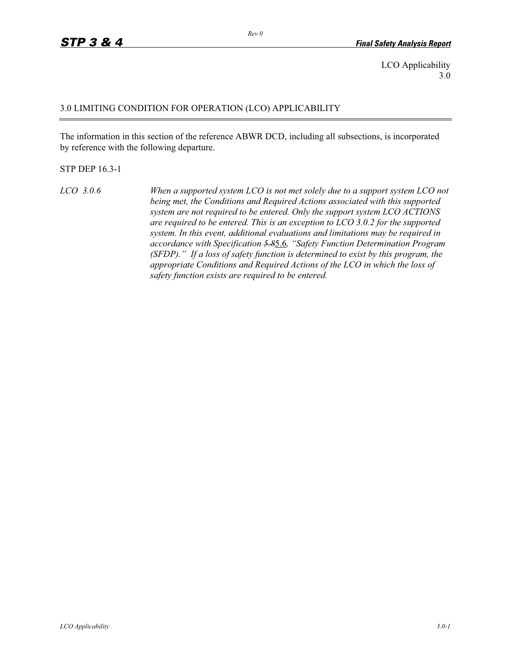LCO Applicability 3.0

#### 3.0 LIMITING CONDITION FOR OPERATION (LCO) APPLICABILITY

The information in this section of the reference ABWR DCD, including all subsections, is incorporated by reference with the following departure.

#### STP DEP 16.3-1

*LCO 3.0.6 When a supported system LCO is not met solely due to a support system LCO not being met, the Conditions and Required Actions associated with this supported system are not required to be entered. Only the support system LCO ACTIONS are required to be entered. This is an exception to LCO 3.0.2 for the supported system. In this event, additional evaluations and limitations may be required in accordance with Specification 5.8*5.6*, "Safety Function Determination Program (SFDP)." If a loss of safety function is determined to exist by this program, the appropriate Conditions and Required Actions of the LCO in which the loss of safety function exists are required to be entered.* 

*Rev 0*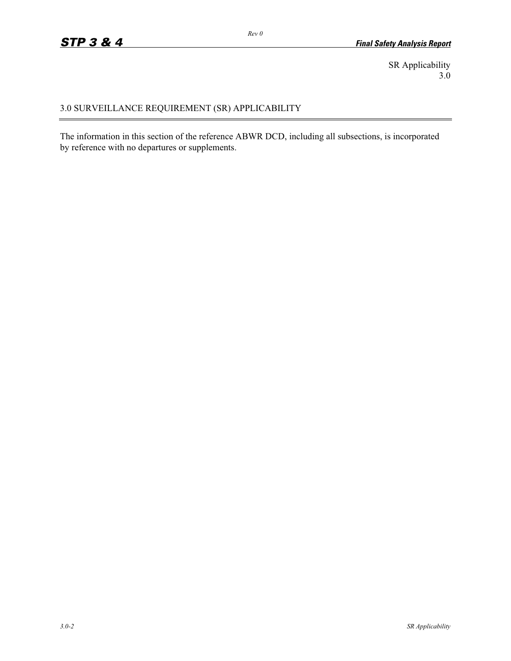SR Applicability 3.0

# 3.0 SURVEILLANCE REQUIREMENT (SR) APPLICABILITY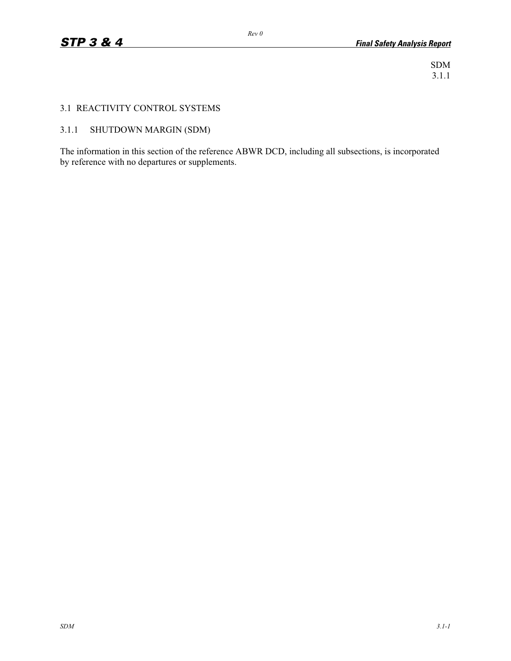SDM 3.1.1

# 3.1 REACTIVITY CONTROL SYSTEMS

# 3.1.1 SHUTDOWN MARGIN (SDM)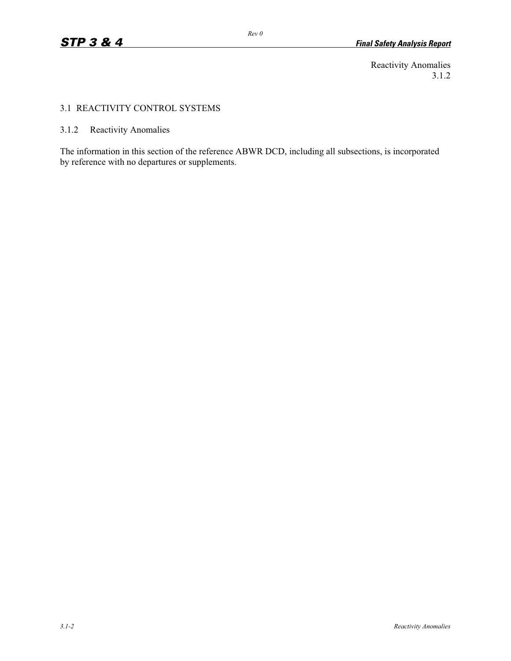Reactivity Anomalies 3.1.2

# 3.1 REACTIVITY CONTROL SYSTEMS

3.1.2 Reactivity Anomalies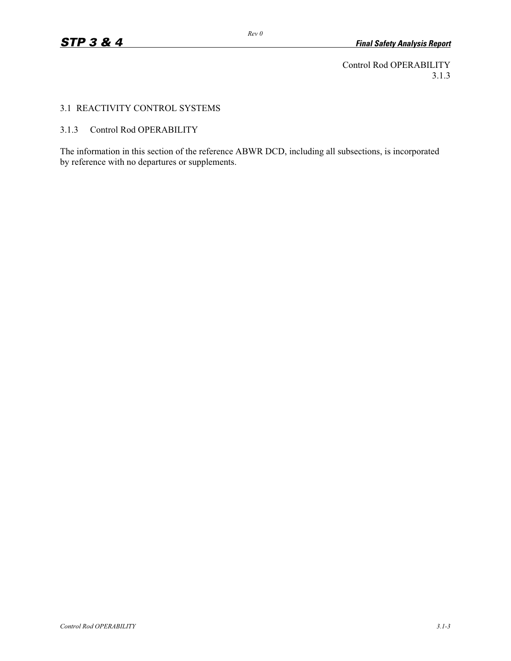Control Rod OPERABILITY 3.1.3

# 3.1 REACTIVITY CONTROL SYSTEMS

# 3.1.3 Control Rod OPERABILITY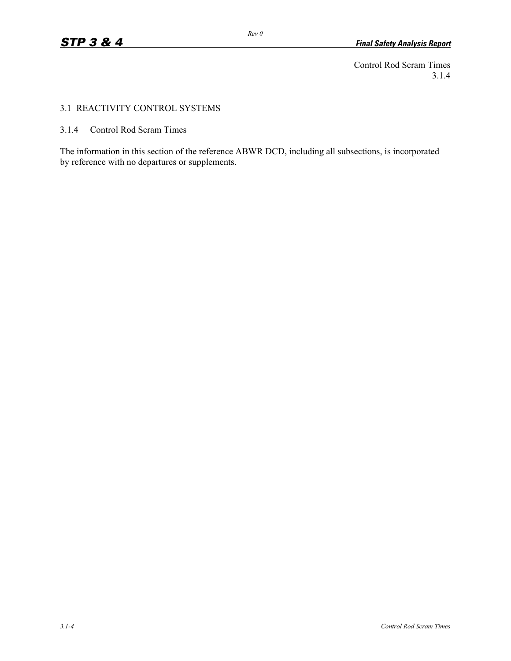Control Rod Scram Times 3.1.4

## 3.1 REACTIVITY CONTROL SYSTEMS

3.1.4 Control Rod Scram Times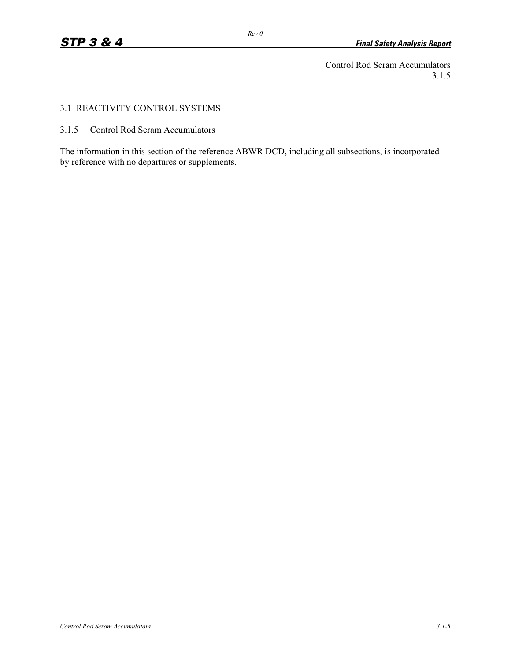Control Rod Scram Accumulators 3.1.5

# 3.1 REACTIVITY CONTROL SYSTEMS

3.1.5 Control Rod Scram Accumulators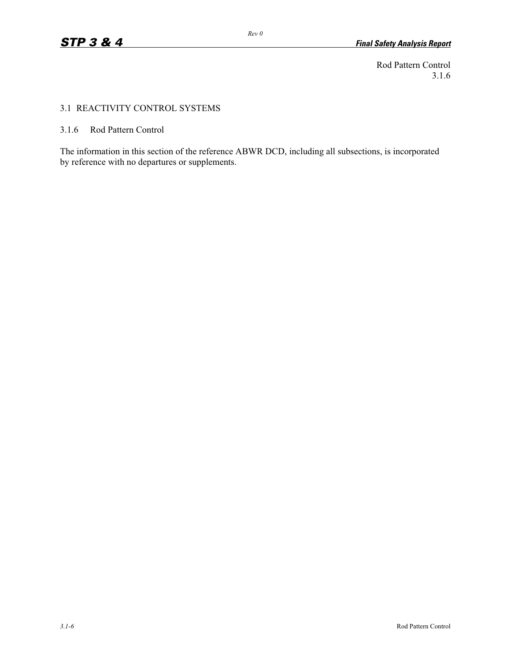Rod Pattern Control 3.1.6

# 3.1 REACTIVITY CONTROL SYSTEMS

3.1.6 Rod Pattern Control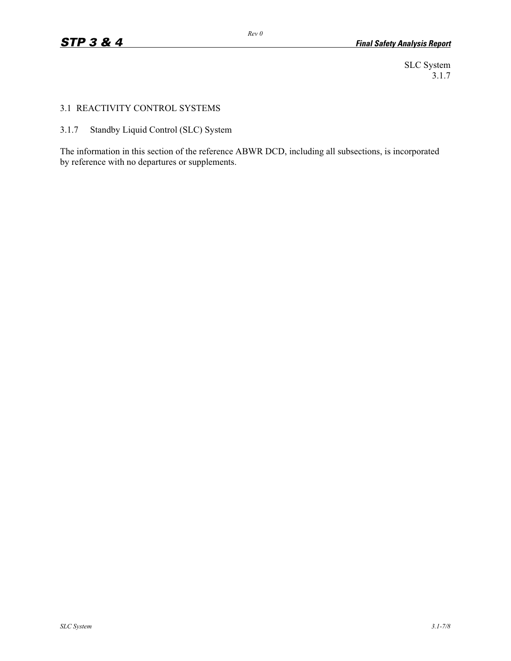SLC System 3.1.7

# 3.1 REACTIVITY CONTROL SYSTEMS

3.1.7 Standby Liquid Control (SLC) System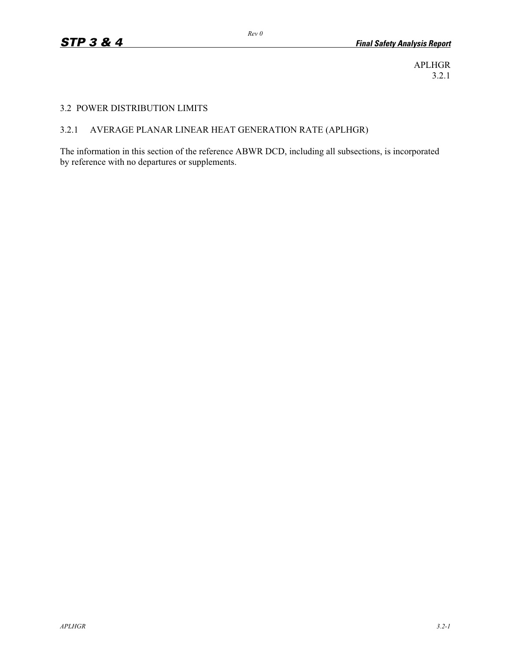APLHGR 3.2.1

#### 3.2 POWER DISTRIBUTION LIMITS

# 3.2.1 AVERAGE PLANAR LINEAR HEAT GENERATION RATE (APLHGR)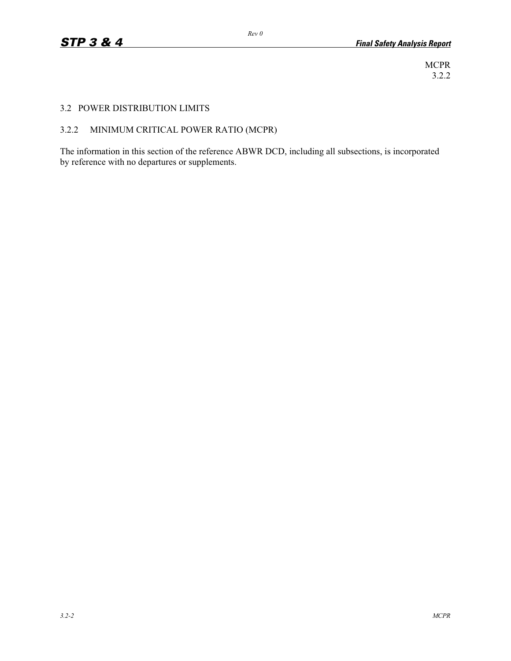MCPR 3.2.2

# 3.2 POWER DISTRIBUTION LIMITS

# 3.2.2 MINIMUM CRITICAL POWER RATIO (MCPR)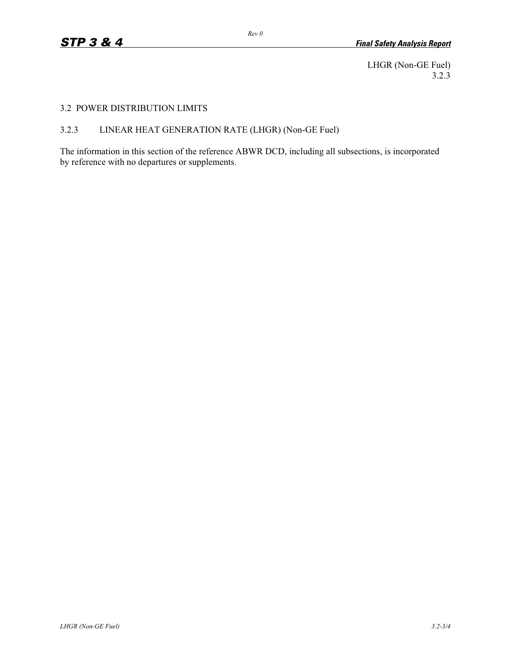LHGR (Non-GE Fuel) 3.2.3

### 3.2 POWER DISTRIBUTION LIMITS

# 3.2.3 LINEAR HEAT GENERATION RATE (LHGR) (Non-GE Fuel)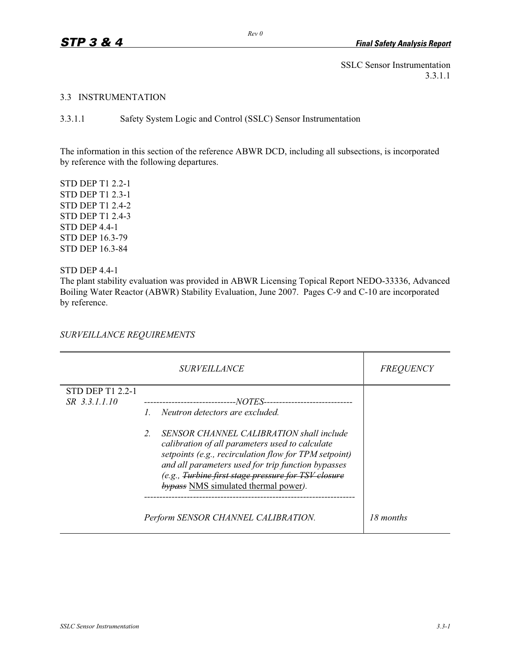SSLC Sensor Instrumentation 3.3.1.1

#### 3.3 INSTRUMENTATION

3.3.1.1 Safety System Logic and Control (SSLC) Sensor Instrumentation

The information in this section of the reference ABWR DCD, including all subsections, is incorporated by reference with the following departures.

STD DEP T1 2.2-1 STD DEP T1 2.3-1 STD DEP T1 2.4-2 STD DEP T1 2.4-3 STD DEP 4.4-1 STD DEP 16.3-79 STD DEP 16.3-84

STD DEP 4.4-1

The plant stability evaluation was provided in ABWR Licensing Topical Report NEDO-33336, Advanced Boiling Water Reactor (ABWR) Stability Evaluation, June 2007. Pages C-9 and C-10 are incorporated by reference.

*SURVEILLANCE REQUIREMENTS* 

|                         | <i>SURVEILLANCE</i>                                                                                                                                                                                                                                                                                                                   | <i>FREQUENCY</i> |
|-------------------------|---------------------------------------------------------------------------------------------------------------------------------------------------------------------------------------------------------------------------------------------------------------------------------------------------------------------------------------|------------------|
| <b>STD DEP T1 2.2-1</b> |                                                                                                                                                                                                                                                                                                                                       |                  |
| SR 3.3.1.1.10           | --------------------------NOTES------------------------                                                                                                                                                                                                                                                                               |                  |
|                         | Neutron detectors are excluded.                                                                                                                                                                                                                                                                                                       |                  |
|                         | $\mathcal{L}$<br>SENSOR CHANNEL CALIBRATION shall include<br>calibration of all parameters used to calculate<br>setpoints (e.g., recirculation flow for TPM setpoint)<br>and all parameters used for trip function bypasses<br>(e.g., <del>Turbine first stage pressure for TSV closure</del><br>bypass NMS simulated thermal power). |                  |
|                         | Perform SENSOR CHANNEL CALIBRATION.                                                                                                                                                                                                                                                                                                   | 18 months        |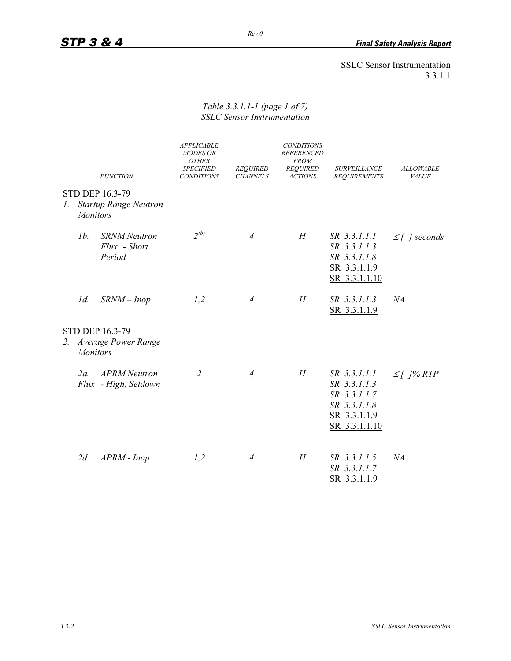# SSLC Sensor Instrumentation 3.3.1.1

|    |                 | <b>FUNCTION</b>                                  | <b>APPLICABLE</b><br><b>MODES OR</b><br><b>OTHER</b><br><b>SPECIFIED</b><br><b>CONDITIONS</b> | <b>REQUIRED</b><br><b>CHANNELS</b> | <b>CONDITIONS</b><br><b>REFERENCED</b><br><b>FROM</b><br><b>REQUIRED</b><br><b>ACTIONS</b> | <b>SURVEILLANCE</b><br><b>REQUIREMENTS</b>                                                    | <b>ALLOWABLE</b><br><b>VALUE</b> |
|----|-----------------|--------------------------------------------------|-----------------------------------------------------------------------------------------------|------------------------------------|--------------------------------------------------------------------------------------------|-----------------------------------------------------------------------------------------------|----------------------------------|
|    |                 | STD DEP 16.3-79                                  |                                                                                               |                                    |                                                                                            |                                                                                               |                                  |
| 1. | <b>Monitors</b> | <b>Startup Range Neutron</b>                     |                                                                                               |                                    |                                                                                            |                                                                                               |                                  |
|    | 1b.             | <b>SRNM</b> Neutron<br>Flux - Short<br>Period    | $2^{(b)}$                                                                                     | $\overline{4}$                     | H                                                                                          | SR 3.3.1.1.1<br>SR 3.3.1.1.3<br>SR 3.3.1.1.8<br>SR 3.3.1.1.9<br>SR 3.3.1.1.10                 | $\leq$ [ ] seconds               |
|    | $1d$ .          | $SRNM$ – Inop                                    | 1,2                                                                                           | 4                                  | H                                                                                          | SR 3.3.1.1.3<br>SR 3.3.1.1.9                                                                  | NA                               |
|    | <b>Monitors</b> | <b>STD DEP 16.3-79</b><br>2. Average Power Range |                                                                                               |                                    |                                                                                            |                                                                                               |                                  |
|    | 2a              | <b>APRM</b> Neutron<br>Flux - High, Setdown      | $\overline{2}$                                                                                | $\overline{4}$                     | H                                                                                          | SR 3.3.1.1.1<br>SR 3.3.1.1.3<br>SR 3.3.1.1.7<br>SR 3.3.1.1.8<br>SR 3.3.1.1.9<br>SR 3.3.1.1.10 | $\leq$ [ ]% RTP                  |
|    | $2d$ .          | $APRM$ - $Inop$                                  | 1,2                                                                                           | $\overline{4}$                     | H                                                                                          | SR 3.3.1.1.5<br>SR 3.3.1.1.7<br>SR 3.3.1.1.9                                                  | NA                               |

#### *Table 3.3.1.1-1 (page 1 of 7) SSLC Sensor Instrumentation*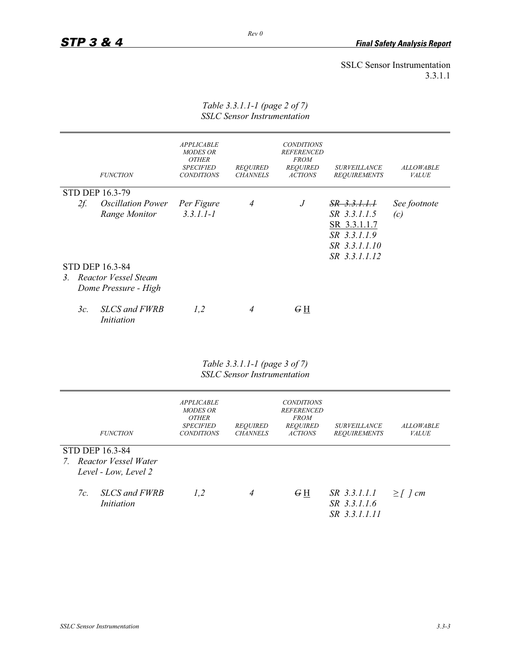#### *Rev 0*

SSLC Sensor Instrumentation 3.3.1.1

|    |        | <b>FUNCTION</b>                                  | <b>APPLICABLE</b><br><b>MODES OR</b><br><b>OTHER</b><br><b>SPECIFIED</b><br><b>CONDITIONS</b> | <b>REQUIRED</b><br><b>CHANNELS</b> | <b>CONDITIONS</b><br><b>REFERENCED</b><br><b>FROM</b><br><b>REQUIRED</b><br><b>ACTIONS</b> | <b>SURVEILLANCE</b><br><b>REQUIREMENTS</b>                                                                | <b>ALLOWABLE</b><br><b>VALUE</b> |
|----|--------|--------------------------------------------------|-----------------------------------------------------------------------------------------------|------------------------------------|--------------------------------------------------------------------------------------------|-----------------------------------------------------------------------------------------------------------|----------------------------------|
|    |        | <b>STD DEP 16.3-79</b>                           |                                                                                               |                                    |                                                                                            |                                                                                                           |                                  |
|    | $2f$ . | <i><b>Oscillation Power</b></i><br>Range Monitor | Per Figure<br>$3.3.1.1 - 1$                                                                   | 4                                  | $\,$ J                                                                                     | <del>SR 3.3.1.1.1</del><br>SR 3.3.1.1.5<br>SR 3.3.1.1.7<br>SR 3.3.1.1.9<br>SR 3.3.1.1.10<br>SR 3.3.1.1.12 | See footnote<br>(c)              |
|    |        | <b>STD DEP 16.3-84</b>                           |                                                                                               |                                    |                                                                                            |                                                                                                           |                                  |
| 3. |        | Reactor Vessel Steam                             |                                                                                               |                                    |                                                                                            |                                                                                                           |                                  |
|    |        | Dome Pressure - High                             |                                                                                               |                                    |                                                                                            |                                                                                                           |                                  |
|    | $3c$ . | <b>SLCS</b> and FWRB<br>Initiation               | 1,2                                                                                           | 4                                  | G <sub>H</sub>                                                                             |                                                                                                           |                                  |

*Table 3.3.1.1-1 (page 2 of 7) SSLC Sensor Instrumentation* 

*Table 3.3.1.1-1 (page 3 of 7) SSLC Sensor Instrumentation* 

|    | <b>FUNCTION</b>                                                    | <b>APPLICABLE</b><br><b>MODES OR</b><br><b>OTHER</b><br><b>SPECIFIED</b><br><b>CONDITIONS</b> | <b>REQUIRED</b><br><b>CHANNELS</b> | <b>CONDITIONS</b><br><b>REFERENCED</b><br><b>FROM</b><br><b>REOUIRED</b><br><b>ACTIONS</b> | <b>SURVEILLANCE</b><br><b>REOUIREMENTS</b>    | <b>ALLOWABLE</b><br><b>VALUE</b> |
|----|--------------------------------------------------------------------|-----------------------------------------------------------------------------------------------|------------------------------------|--------------------------------------------------------------------------------------------|-----------------------------------------------|----------------------------------|
|    | STD DEP 16.3-84<br>7. Reactor Vessel Water<br>Level - Low, Level 2 |                                                                                               |                                    |                                                                                            |                                               |                                  |
| 7c | <b>SLCS</b> and FWRB<br>Initiation                                 | 1,2                                                                                           | 4                                  | G H                                                                                        | SR 3.3.1.1.1<br>SR 3.3.1.1.6<br>SR 3.3.1.1.11 | $\geq$ [ ] cm                    |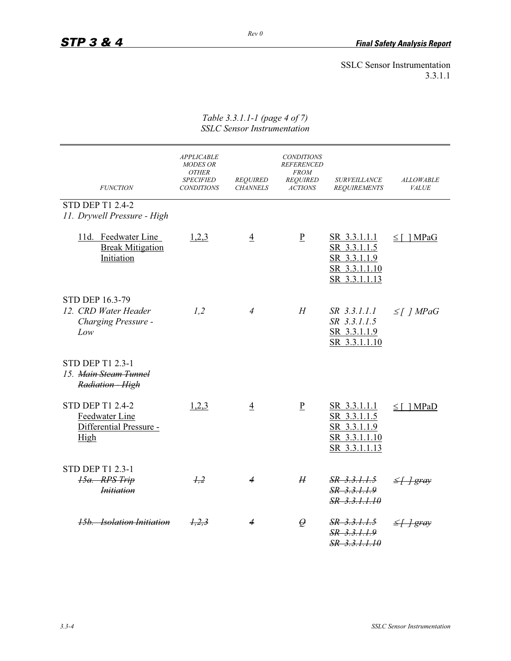# SSLC Sensor Instrumentation 3.3.1.1

| <b>FUNCTION</b>                                                              | <b>APPLICABLE</b><br><b>MODES OR</b><br><b>OTHER</b><br><b>SPECIFIED</b><br><b>CONDITIONS</b> | <b>REQUIRED</b><br><b>CHANNELS</b> | <b>CONDITIONS</b><br><b>REFERENCED</b><br><b>FROM</b><br><b>REQUIRED</b><br><b>ACTIONS</b> | <b>SURVEILLANCE</b><br><b>REQUIREMENTS</b>                                     | <b>ALLOWABLE</b><br>VALUE |
|------------------------------------------------------------------------------|-----------------------------------------------------------------------------------------------|------------------------------------|--------------------------------------------------------------------------------------------|--------------------------------------------------------------------------------|---------------------------|
| <b>STD DEP T1 2.4-2</b><br>11. Drywell Pressure - High                       |                                                                                               |                                    |                                                                                            |                                                                                |                           |
| 11d. Feedwater Line<br><b>Break Mitigation</b><br>Initiation                 | 1,2,3                                                                                         | $\overline{4}$                     | $\mathbf{P}$                                                                               | SR 3.3.1.1.1<br>SR 3.3.1.1.5<br>SR 3.3.1.1.9<br>SR 3.3.1.1.10<br>SR 3.3.1.1.13 | $\leq$   MPaG             |
| STD DEP 16.3-79<br>12. CRD Water Header<br>Charging Pressure -<br>Low        | 1,2                                                                                           | $\overline{4}$                     | H                                                                                          | SR 3.3.1.1.1<br>SR 3.3.1.1.5<br>SR 3.3.1.1.9<br>SR 3.3.1.1.10                  | $\leq$ [ ] MPaG           |
| <b>STD DEP T1 2.3-1</b><br>15. Main Steam Tunnel<br>Radiation - High         |                                                                                               |                                    |                                                                                            |                                                                                |                           |
| <b>STD DEP T1 2.4-2</b><br>Feedwater Line<br>Differential Pressure -<br>High | 1,2,3                                                                                         | $\overline{4}$                     | $\underline{P}$                                                                            | SR 3.3.1.1.1<br>SR 3.3.1.1.5<br>SR 3.3.1.1.9<br>SR 3.3.1.1.10<br>SR 3.3.1.1.13 | $\leq$ [ ] MPaD           |
| <b>STD DEP T1 2.3-1</b><br>15a. RPS Trip<br><i>Initiation</i>                | 1,2                                                                                           | 4                                  | H                                                                                          | $SR$ 3.3.1.1.5<br>$SR$ 3.3.1.1.9<br>SR 3.3.1.1.10                              | <del>≤∐ gray</del>        |
| <b>15b.</b> Isolation Initiation                                             | 1,2,3                                                                                         |                                    | $\varrho$                                                                                  | SR 3.3.1.1.5<br>SR 3.3.1.1.9<br>SR 3.3.1.1.10                                  | <del>†gray</del>          |

*Table 3.3.1.1-1 (page 4 of 7) SSLC Sensor Instrumentation*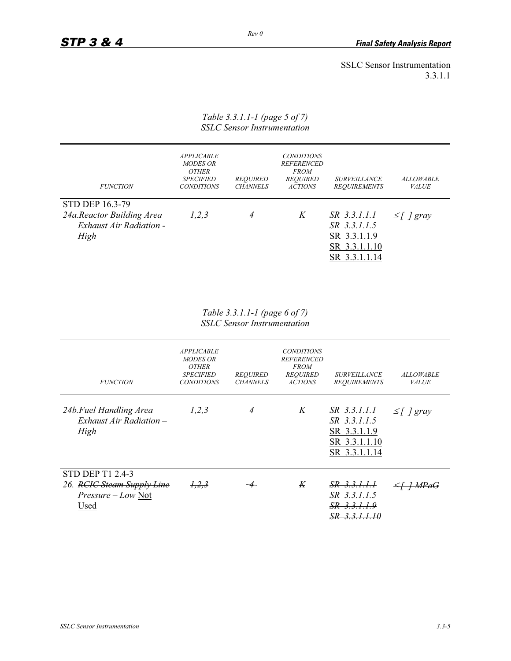SSLC Sensor Instrumentation 3.3.1.1

# *Table 3.3.1.1-1 (page 5 of 7) SSLC Sensor Instrumentation*

| <b>FUNCTION</b>                                                                        | <b>APPLICABLE</b><br><b>MODES OR</b><br><b>OTHER</b><br><b>SPECIFIED</b><br><b>CONDITIONS</b> | <b>REQUIRED</b><br><b>CHANNELS</b> | <b>CONDITIONS</b><br><b>REFERENCED</b><br><b>FROM</b><br><b>REQUIRED</b><br><b>ACTIONS</b> | <i>SURVEILLANCE</i><br><b>REQUIREMENTS</b>                                     | <b>ALLOWABLE</b><br><b>VALUE</b> |
|----------------------------------------------------------------------------------------|-----------------------------------------------------------------------------------------------|------------------------------------|--------------------------------------------------------------------------------------------|--------------------------------------------------------------------------------|----------------------------------|
| <b>STD DEP 16.3-79</b><br>24a.Reactor Building Area<br>Exhaust Air Radiation -<br>High | 1, 2, 3                                                                                       | 4                                  | K                                                                                          | SR 3.3.1.1.1<br>SR 3.3.1.1.5<br>SR 3.3.1.1.9<br>SR 3.3.1.1.10<br>SR 3.3.1.1.14 | $\leq$   gray                    |

*Table 3.3.1.1-1 (page 6 of 7) SSLC Sensor Instrumentation* 

| <b>FUNCTION</b>                                                                          | <b>APPLICABLE</b><br><b>MODES OR</b><br><b>OTHER</b><br><b>SPECIFIED</b><br><b>CONDITIONS</b> | <b>REQUIRED</b><br><b>CHANNELS</b> | <b>CONDITIONS</b><br><b>REFERENCED</b><br><b>FROM</b><br><b>REQUIRED</b><br><b>ACTIONS</b> | <b>SURVEILLANCE</b><br><b>REQUIREMENTS</b>                                     | <b>ALLOWABLE</b><br><b>VALUE</b> |
|------------------------------------------------------------------------------------------|-----------------------------------------------------------------------------------------------|------------------------------------|--------------------------------------------------------------------------------------------|--------------------------------------------------------------------------------|----------------------------------|
| 24b. Fuel Handling Area<br>$Exhaust Air Radiation -$<br>High                             | 1,2,3                                                                                         | 4                                  | K                                                                                          | SR 3.3.1.1.1<br>SR 3.3.1.1.5<br>SR 3.3.1.1.9<br>SR 3.3.1.1.10<br>SR 3.3.1.1.14 | $\leq$ [ ] gray                  |
| <b>STD DEP T1 2.4-3</b><br>26. RCIC Steam Supply Line<br><i>Pressure Low</i> Not<br>Used | 1, 2, 3                                                                                       |                                    | K                                                                                          | SR 3.3.1.1.1<br>SR 3.3.1.1.5<br>SR 3.3.1.1.9<br>SR 3.3.1.1.<br>10              |                                  |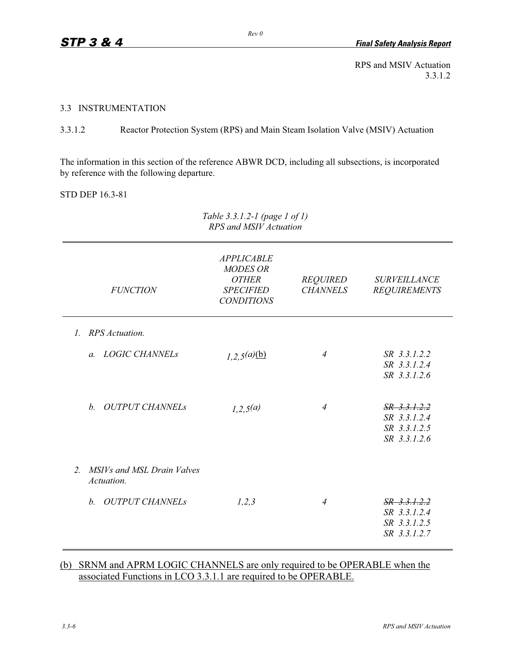RPS and MSIV Actuation 3.3.1.2

#### 3.3 INSTRUMENTATION

3.3.1.2 Reactor Protection System (RPS) and Main Steam Isolation Valve (MSIV) Actuation

The information in this section of the reference ABWR DCD, including all subsections, is incorporated by reference with the following departure.

STD DEP 16.3-81

| RPS and MSIV Actuation                              |                                                                                               |                                    |                                                                |  |  |  |
|-----------------------------------------------------|-----------------------------------------------------------------------------------------------|------------------------------------|----------------------------------------------------------------|--|--|--|
| <b>FUNCTION</b>                                     | <b>APPLICABLE</b><br><b>MODES OR</b><br><b>OTHER</b><br><b>SPECIFIED</b><br><b>CONDITIONS</b> | <b>REQUIRED</b><br><b>CHANNELS</b> | <b>SURVEILLANCE</b><br><b>REQUIREMENTS</b>                     |  |  |  |
| <b>RPS</b> Actuation.<br>$\mathcal{I}$ .            |                                                                                               |                                    |                                                                |  |  |  |
| a. LOGIC CHANNELs                                   | 1,2,5(a)(b)                                                                                   | $\overline{4}$                     | SR 3.3.1.2.2<br>SR 3.3.1.2.4<br>SR 3.3.1.2.6                   |  |  |  |
| <b>OUTPUT CHANNELs</b><br>$h$ .                     | 1,2,5(a)                                                                                      | 4                                  | $SR$ 3.3.1.2.2<br>SR 3.3.1.2.4<br>SR 3.3.1.2.5<br>SR 3.3.1.2.6 |  |  |  |
| MSIVs and MSL Drain Valves<br>$2^{+}$<br>Actuation. |                                                                                               |                                    |                                                                |  |  |  |
| <i><b>OUTPUT CHANNELS</b></i><br>$h$ .              | 1,2,3                                                                                         | $\overline{4}$                     | SR 3.3.1.2.2<br>SR 3.3.1.2.4<br>SR 3.3.1.2.5<br>SR 3.3.1.2.7   |  |  |  |

# (b) SRNM and APRM LOGIC CHANNELS are only required to be OPERABLE when the associated Functions in LCO 3.3.1.1 are required to be OPERABLE.

*Table 3.3.1.2-1 (page 1 of 1)*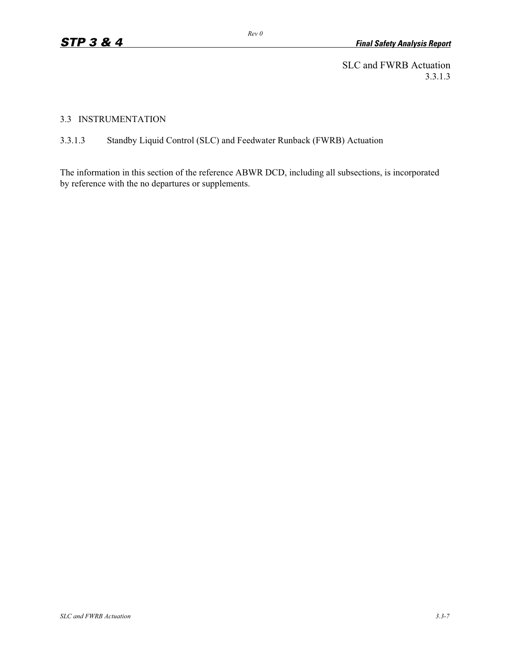SLC and FWRB Actuation 3.3.1.3

# 3.3 INSTRUMENTATION

# 3.3.1.3 Standby Liquid Control (SLC) and Feedwater Runback (FWRB) Actuation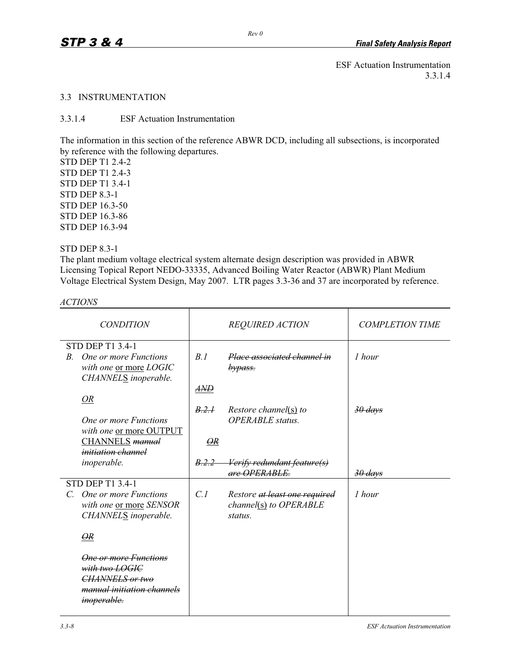# 3.3 INSTRUMENTATION

3.3.1.4 ESF Actuation Instrumentation

The information in this section of the reference ABWR DCD, including all subsections, is incorporated by reference with the following departures.

STD DEP T1 2.4-2 STD DEP T1 2.4-3 STD DEP T1 3.4-1 STD DEP 8.3-1 STD DEP 16.3-50 STD DEP 16.3-86 STD DEP 16.3-94

# STD DEP 8.3-1

The plant medium voltage electrical system alternate design description was provided in ABWR Licensing Topical Report NEDO-33335, Advanced Boiling Water Reactor (ABWR) Plant Medium Voltage Electrical System Design, May 2007. LTR pages 3.3-36 and 37 are incorporated by reference.

*ACTIONS* 

| <b>CONDITION</b>                                              |                       | <b>REQUIRED ACTION</b>                           | <b>COMPLETION TIME</b> |
|---------------------------------------------------------------|-----------------------|--------------------------------------------------|------------------------|
| <b>STD DEP T1 3.4-1</b>                                       |                       |                                                  |                        |
| One or more Functions<br><i>B</i> .<br>with one or more LOGIC | R.1                   | Place associated channel in<br>bypass.           | 1 hour                 |
| CHANNELS inoperable.                                          | AND                   |                                                  |                        |
| <b>OR</b>                                                     |                       |                                                  |                        |
| One or more Functions                                         | B.2.1                 | Restore channel(s) to<br><b>OPERABLE</b> status. | <del>30 days</del>     |
| with one or more OUTPUT                                       |                       |                                                  |                        |
| CHANNELS manual<br><i>initiation channel</i>                  | $\Theta$ <sub>R</sub> |                                                  |                        |
| inoperable.                                                   | B.2.2                 | <del>Verify redundant feature(s)</del>           |                        |
|                                                               |                       | are <i><b>OPERABLE</b></i>                       | <del>30 days</del>     |
| <b>STD DEP T1 3.4-1</b>                                       |                       |                                                  |                        |
| C. One or more Functions                                      | C.1                   | Restore at least one required                    | 1 hour                 |
| with one or more SENSOR<br>CHANNELS inoperable.               |                       | $channel(s)$ to OPERABLE<br>status.              |                        |
|                                                               |                       |                                                  |                        |
| OR                                                            |                       |                                                  |                        |
| <b>One or more Functions</b>                                  |                       |                                                  |                        |
| with two LOGIC<br>CHANNELS or two                             |                       |                                                  |                        |
| <del>manual initiation channels</del>                         |                       |                                                  |                        |
| <i>inoperable.</i>                                            |                       |                                                  |                        |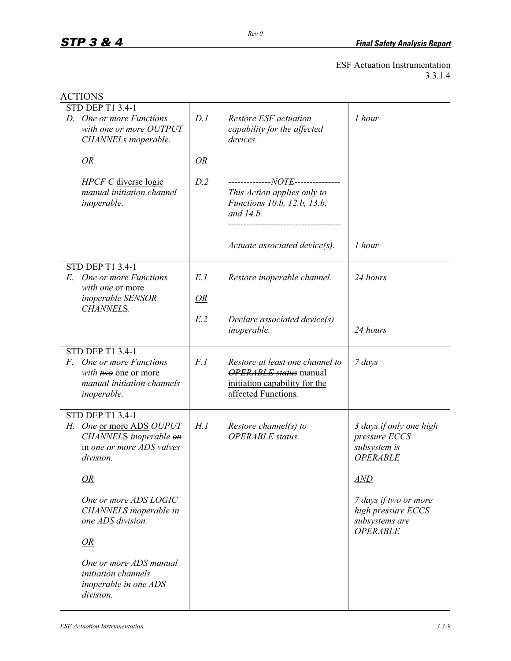| <b>ACTIONS</b>                                                                                       |      |                                                                                                                          |                                                                                  |
|------------------------------------------------------------------------------------------------------|------|--------------------------------------------------------------------------------------------------------------------------|----------------------------------------------------------------------------------|
| <b>STD DEP T1 3.4-1</b>                                                                              |      |                                                                                                                          |                                                                                  |
| D. One or more Functions<br>with one or more OUTPUT<br>CHANNELs inoperable.                          | D.1  | Restore ESF actuation<br>capability for the affected<br>devices.                                                         | 1 hour                                                                           |
| OR                                                                                                   | OR   |                                                                                                                          |                                                                                  |
| HPCF C diverse logic<br>manual initiation channel<br>inoperable.                                     | D.2  | --------------NOTE---------------<br>This Action applies only to<br>Functions 10.b, 12.b, 13.b,<br>and 14.b.             |                                                                                  |
|                                                                                                      |      | $Actuate$ associated device(s).                                                                                          | 1 hour                                                                           |
| <b>STD DEP T1 3.4-1</b>                                                                              |      |                                                                                                                          |                                                                                  |
| One or more Functions<br>E.<br>with one or more                                                      | E.1  | Restore inoperable channel.                                                                                              | 24 hours                                                                         |
| inoperable SENSOR<br>CHANNELS.                                                                       | OR   |                                                                                                                          |                                                                                  |
|                                                                                                      | E.2  | Declare associated device(s)<br>inoperable.                                                                              | 24 hours                                                                         |
| <b>STD DEP T1 3.4-1</b>                                                                              |      |                                                                                                                          |                                                                                  |
| F. One or more Functions<br>with two one or more<br>manual initiation channels<br><i>inoperable.</i> | F.1  | Restore at least one channel to<br><b>OPERABLE</b> status manual<br>initiation capability for the<br>affected Functions. | 7 days                                                                           |
| <b>STD DEP T1 3.4-1</b>                                                                              |      |                                                                                                                          |                                                                                  |
| H. One or more ADS OUPUT<br>CHANNELS inoperable on<br>in one or more ADS valves<br>division.         | H. 1 | Restore channel(s) to<br><b>OPERABLE</b> status.                                                                         | 3 days if only one high<br>pressure ECCS<br>subsystem is<br><b>OPERABLE</b>      |
| <i>OR</i>                                                                                            |      |                                                                                                                          | <b>AND</b>                                                                       |
| One or more ADS LOGIC<br>CHANNELS inoperable in<br>one ADS division.                                 |      |                                                                                                                          | 7 days if two or more<br>high pressure ECCS<br>subsystems are<br><b>OPERABLE</b> |
| OR                                                                                                   |      |                                                                                                                          |                                                                                  |
| One or more ADS manual<br>initiation channels<br>inoperable in one ADS<br>division.                  |      |                                                                                                                          |                                                                                  |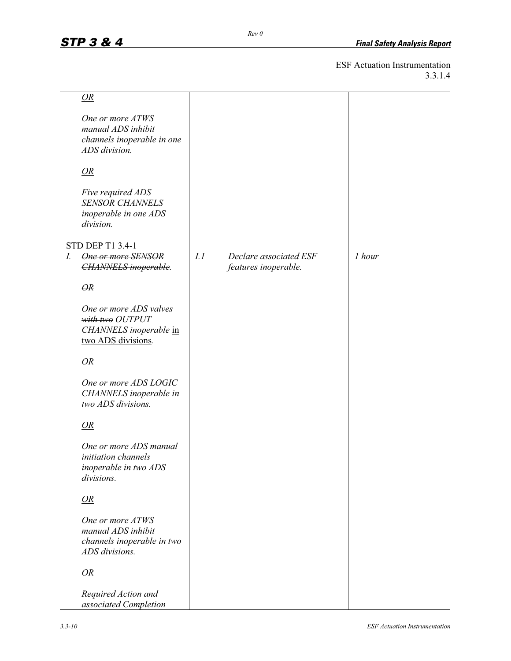|    | OR                                                                                        |     |                                                |        |
|----|-------------------------------------------------------------------------------------------|-----|------------------------------------------------|--------|
|    | One or more ATWS<br>manual ADS inhibit<br>channels inoperable in one<br>ADS division.     |     |                                                |        |
|    | OR                                                                                        |     |                                                |        |
|    | Five required ADS<br><b>SENSOR CHANNELS</b><br>inoperable in one ADS<br>division.         |     |                                                |        |
| I. | STD DEP T1 3.4-1<br><b>One or more SENSOR</b><br><b>CHANNELS</b> inoperable.              | I.1 | Declare associated ESF<br>features inoperable. | 1 hour |
|    | $\Theta R$                                                                                |     |                                                |        |
|    | One or more ADS valves<br>with two OUTPUT<br>CHANNELS inoperable in<br>two ADS divisions. |     |                                                |        |
|    | OR                                                                                        |     |                                                |        |
|    | One or more ADS LOGIC<br>CHANNELS inoperable in<br>two ADS divisions.                     |     |                                                |        |
|    | OR                                                                                        |     |                                                |        |
|    | One or more ADS manual<br>initiation channels<br>inoperable in two ADS<br>divisions.      |     |                                                |        |
|    | OR                                                                                        |     |                                                |        |
|    | One or more ATWS<br>manual ADS inhibit<br>channels inoperable in two<br>ADS divisions.    |     |                                                |        |
|    | OR                                                                                        |     |                                                |        |
|    | Required Action and<br>associated Completion                                              |     |                                                |        |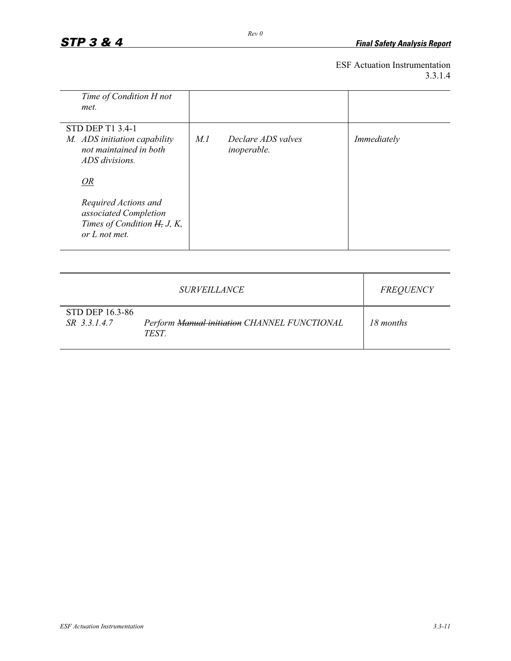| Time of Condition H not                                                                         |     |                                          |             |
|-------------------------------------------------------------------------------------------------|-----|------------------------------------------|-------------|
| met.                                                                                            |     |                                          |             |
| <b>STD DEP T1 3.4-1</b>                                                                         |     |                                          |             |
| M. ADS initiation capability<br>not maintained in both<br>ADS divisions.                        | M.1 | Declare ADS valves<br><i>inoperable.</i> | Immediately |
| OR                                                                                              |     |                                          |             |
| Required Actions and<br>associated Completion<br>Times of Condition H, J, K,<br>$or L$ not met. |     |                                          |             |

|                                 | <i>SURVEILLANCE</i>                                         | <i>FREQUENCY</i> |
|---------------------------------|-------------------------------------------------------------|------------------|
| STD DEP 16.3-86<br>SR 3.3.1.4.7 | Perform Manual initiation CHANNEL FUNCTIONAL<br><b>TEST</b> | 18 months        |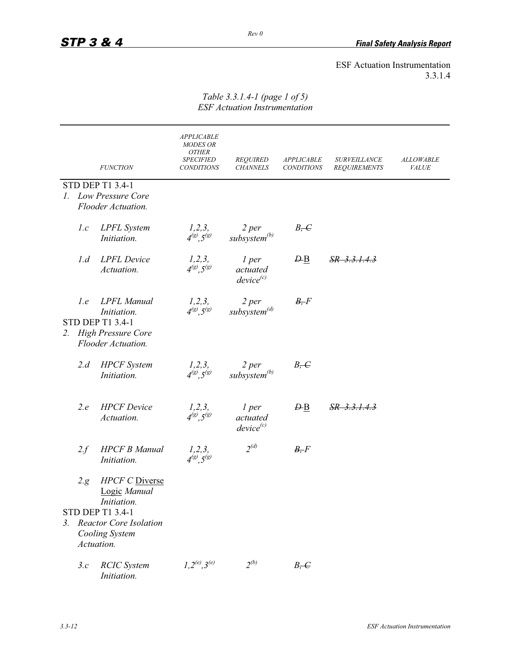|    |      | <b>FUNCTION</b>                                                                                                 | <b>APPLICABLE</b><br><b>MODES OR</b><br><b>OTHER</b><br><b>SPECIFIED</b><br><b>CONDITIONS</b> | <b>REQUIRED</b><br><b>CHANNELS</b>  | <b>APPLICABLE</b><br><b>CONDITIONS</b> | <b>SURVEILLANCE</b><br>REQUIREMENTS | <b>ALLOWABLE</b><br>VALUE |
|----|------|-----------------------------------------------------------------------------------------------------------------|-----------------------------------------------------------------------------------------------|-------------------------------------|----------------------------------------|-------------------------------------|---------------------------|
|    |      | <b>STD DEP T1 3.4-1</b>                                                                                         |                                                                                               |                                     |                                        |                                     |                           |
|    |      | 1. Low Pressure Core                                                                                            |                                                                                               |                                     |                                        |                                     |                           |
|    |      | Flooder Actuation.                                                                                              |                                                                                               |                                     |                                        |                                     |                           |
|    | 1.c  | <b>LPFL</b> System<br>Initiation.                                                                               | 1, 2, 3,<br>$4^{(g)}$ , $5^{(g)}$                                                             | 2 per<br>subsystem <sup>(b)</sup>   | $B, -C$                                |                                     |                           |
|    | 1.d  | <b>LPFL</b> Device<br>Actuation.                                                                                | $1,2,3,$<br>$4^{(g)}, 5^{(g)}$                                                                | 1 per<br>actuated<br>$device^{(c)}$ | $\overline{DB}$                        | <u>SR 3.3.1.4.3</u>                 |                           |
| 2. | 1.e  | <b>LPFL</b> Manual<br>Initiation.<br><b>STD DEP T1 3.4-1</b><br><b>High Pressure Core</b><br>Flooder Actuation. | $\frac{1,2,3,}{4^{(g)},5^{(g)}}$                                                              | $2$ per<br>subsystem <sup>(d)</sup> | B, F                                   |                                     |                           |
|    | 2.d  | <b>HPCF</b> System<br>Initiation.                                                                               | $\frac{1,2,3,}{4^{(g)},5^{(g)}}$                                                              | $2$ per<br>subsystem <sup>(b)</sup> | B <sub>z</sub>                         |                                     |                           |
|    | 2.e  | <b>HPCF</b> Device<br>Actuation.                                                                                | 1, 2, 3,<br>$4^{(g)}.5^{(g)}$                                                                 | 1 per<br>actuated<br>$device^{(c)}$ | $\overline{B}$                         | <u>SR 3.3.1.4.3</u>                 |                           |
|    | 2.f  | <b>HPCF B Manual</b><br>Initiation.                                                                             | 1, 2, 3,<br>$4^{(g)}, 5^{(g)}$                                                                | $2^{(d)}$                           | B, F                                   |                                     |                           |
|    | 2.g. | <b>HPCF C</b> Diverse<br>Logic Manual<br>Initiation.                                                            |                                                                                               |                                     |                                        |                                     |                           |
|    |      | <b>STD DEP T1 3.4-1</b>                                                                                         |                                                                                               |                                     |                                        |                                     |                           |
|    |      | 3. Reactor Core Isolation                                                                                       |                                                                                               |                                     |                                        |                                     |                           |
|    |      | Cooling System<br>Actuation.                                                                                    |                                                                                               |                                     |                                        |                                     |                           |
|    | 3.c  | <b>RCIC</b> System<br>Initiation.                                                                               | $1, 2^{(e)}, 3^{(e)}$                                                                         | $2^{(b)}$                           | $B, -C$                                |                                     |                           |

#### *Table 3.3.1.4-1 (page 1 of 5) ESF Actuation Instrumentation*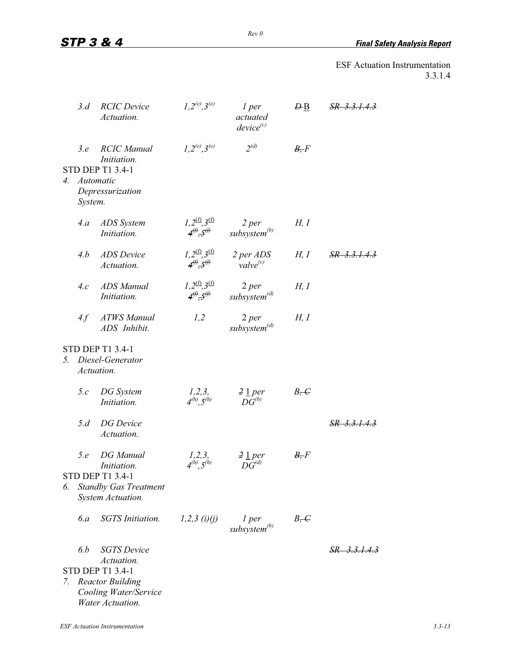*STP 3 & 4 Final Safety Analysis Report*

|    | 3.d            | <b>RCIC</b> Device<br>Actuation.                                                                                                    | $1, 2^{(e)}, 3^{(e)}$                                              | 1 per<br>actuated<br>$device^{(c)}$          | $\overline{B}$ | $SR$ 3.3.1.4.3          |
|----|----------------|-------------------------------------------------------------------------------------------------------------------------------------|--------------------------------------------------------------------|----------------------------------------------|----------------|-------------------------|
|    | 3.e<br>System. | <b>RCIC</b> Manual<br>Initiation.<br><b>STD DEP T1 3.4-1</b><br>4. Automatic<br>Depressurization                                    | $1, 2^{(e)}, 3^{(e)}$                                              | $2^{(d)}$                                    | B, F           |                         |
|    | 4.a            | ADS System<br>Initiation.                                                                                                           | $1,2^{(f)},3^{(f)}$<br>$4^{\circ}\mathbf{.}5^{\circ}\mathbf{.}$    | $2$ per<br>subsystem <sup>(b)</sup>          | H, I           |                         |
|    | 4.b            | <b>ADS</b> Device<br>Actuation.                                                                                                     | $1,2^{(f)},3^{(f)}$<br>$4^{\textcircled{\#}},5^{\textcircled{\#}}$ | 2 per ADS<br>value <sup>(c)</sup>            | H, I           | SR 3.3.1.4.3            |
|    | 4.c            | <b>ADS</b> Manual<br>Initiation.                                                                                                    | $1,2^{(f)},3^{(f)}$<br>$4^{(f)},5^{(f)}$                           | $2$ per<br>subsystem <sup>(d)</sup>          | H, I           |                         |
|    | 4.f            | <b>ATWS</b> Manual<br>ADS Inhibit.                                                                                                  | 1,2                                                                | $2$ per<br>subsystem <sup>(d)</sup>          | H, I           |                         |
| 5. |                | <b>STD DEP T1 3.4-1</b><br>Diesel-Generator<br>Actuation.                                                                           |                                                                    |                                              |                |                         |
|    | 5.c            | DG System<br>Initiation.                                                                                                            | $\frac{1,2,3,}{4^{(h)},5^{(h)}}$                                   | $\frac{2 \ln p}{r}$<br>$D\overline{G}^{(b)}$ | $B, \infty$    |                         |
|    | 5.d            | <b>DG</b> Device<br>Actuation.                                                                                                      |                                                                    |                                              |                | $SR$ 3.3.1.4.3          |
| 6. | 5.e            | <b>DG</b> Manual<br>Initiation.<br><b>STD DEP T1 3.4-1</b><br><b>Standby Gas Treatment</b><br>System Actuation.                     | 1, 2, 3,<br>$4^{(h)}$ , $5^{(h)}$                                  | $2 \underline{1}$ per<br>$DG^{(d)}$          | B, F           |                         |
|    | 6.a            | <b>SGTS</b> Initiation.                                                                                                             | $1,2,3$ (i)(j)                                                     | 1 per<br>subsystem <sup>(b)</sup>            | $B, \in$       |                         |
| 7. | 6.b            | <b>SGTS</b> Device<br>Actuation.<br><b>STD DEP T1 3.4-1</b><br><b>Reactor Building</b><br>Cooling Water/Service<br>Water Actuation. |                                                                    |                                              |                | <del>SR 3.3.1.4.3</del> |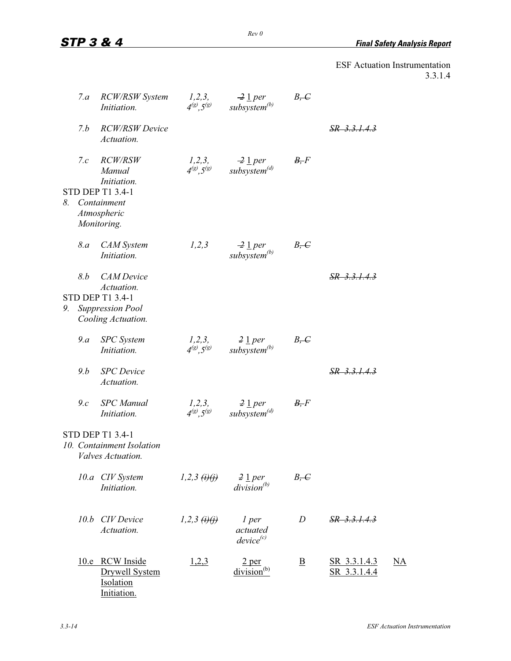|    | 7.a | <b>RCW/RSW System</b><br>Initiation.                                     | $1,2,3,$<br>$4^{(g)}, 5^{(g)}$   | $\frac{2 \text{ 1 per}}{subsystem^{(b)}}$                          | $B, -C$                 |                                     |           |
|----|-----|--------------------------------------------------------------------------|----------------------------------|--------------------------------------------------------------------|-------------------------|-------------------------------------|-----------|
|    | 7.b | <b>RCW/RSW Device</b><br>Actuation.                                      |                                  |                                                                    |                         | SR 3.3.1.4.3                        |           |
|    | 7.c | <i>RCW/RSW</i><br>Manual<br>Initiation.                                  |                                  | $1,2,3,$ $-2$ 1 per<br>$4^{(g)}, 5^{(g)}$ subsystem <sup>(d)</sup> | B, F                    |                                     |           |
| 8. |     | STD DEP T1 3.4-1<br>Containment<br>Atmospheric<br>Monitoring.            |                                  |                                                                    |                         |                                     |           |
|    | 8.a | <b>CAM</b> System<br>Initiation.                                         | 1,2,3                            | $\frac{2}{2}$ 1 per<br>subsystem <sup>(b)</sup>                    | $B, -C$                 |                                     |           |
|    | 8.b | <b>CAM</b> Device<br>Actuation.                                          |                                  |                                                                    |                         | SR 3.3.1.4.3                        |           |
| 9. |     | <b>STD DEP T1 3.4-1</b><br><b>Suppression Pool</b><br>Cooling Actuation. |                                  |                                                                    |                         |                                     |           |
|    | 9.a | <b>SPC</b> System<br>Initiation.                                         | 1, 2, 3,<br>$4^{(8)}, 5^{(8)}$   | $rac{2 \text{ 1 per}}{subsystem^{(b)}}$                            | $B, -C$                 |                                     |           |
|    | 9.b | <b>SPC</b> Device<br>Actuation.                                          |                                  |                                                                    |                         | SR 3.3.1.4.3                        |           |
|    | 9.c | <b>SPC</b> Manual<br>Initiation.                                         | $\frac{1,2,3,}{4^{(g)},5^{(g)}}$ | $\frac{2 \text{ 1 per}}{subsystem^{(d)}}$                          | B, F                    |                                     |           |
|    |     | STD DEP T1 3.4-1<br>10. Containment Isolation<br>Valves Actuation.       |                                  |                                                                    |                         |                                     |           |
|    |     | 10.a CIV System<br>Initiation.                                           | 1,2,3 $(i)(j)$                   | $2 \underline{1}$ per<br>$division^{(b)}$                          | $B, -C$                 |                                     |           |
|    |     | 10.b CIV Device<br>Actuation.                                            | 1,2,3 $(i)$ (i)                  | $1$ per<br>actuated<br>$device^{(c)}$                              | D                       | SR 3.3.1.4.3                        |           |
|    |     | 10.e RCW Inside<br><b>Drywell System</b><br>Isolation<br>Initiation.     | <u>1,2,3</u>                     | 2 <sub>per</sub><br>division <sup>(b)</sup>                        | $\overline{\mathbf{B}}$ | <u>SR 3.3.1.4.3</u><br>SR 3.3.1.4.4 | <u>NA</u> |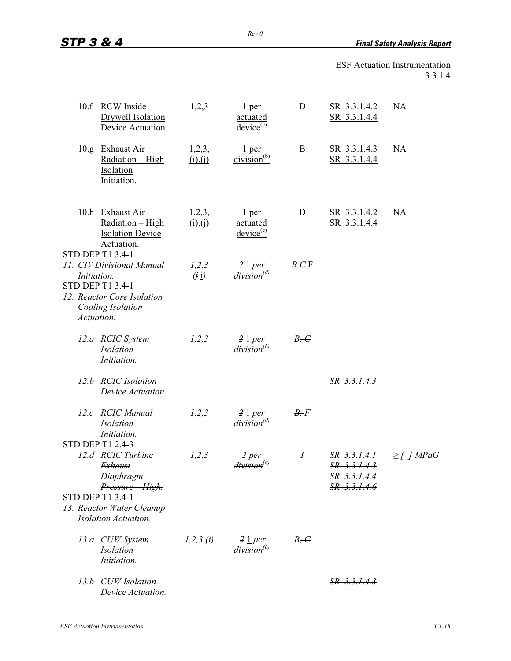*Rev 0* 

| 10.f RCW Inside<br>Drywell Isolation                                                                                          | Device Actuation. | 1,2,3              | 1 <sub>per</sub><br>actuated<br>$\frac{\text{device}}{\text{c}}$ | $\overline{D}$          | SR 3.3.1.4.2<br>SR 3.3.1.4.4                                      | NA                     |
|-------------------------------------------------------------------------------------------------------------------------------|-------------------|--------------------|------------------------------------------------------------------|-------------------------|-------------------------------------------------------------------|------------------------|
| 10.g Exhaust Air<br>Radiation - High<br>Isolation<br>Initiation.                                                              |                   | 1,2,3,<br>(i), (i) | $\frac{1 \text{ per}}{division^{(b)}}$                           | $\overline{\mathbf{B}}$ | SR 3.3.1.4.3<br>SR 3.3.1.4.4                                      | $\overline{\text{NA}}$ |
| 10.h Exhaust Air<br>Radiation - High<br><b>Isolation Device</b><br>Actuation.<br>STD DEP T1 3.4-1                             |                   | 1,2,3,<br>(i), (i) | 1 <sub>per</sub><br><u>actuated</u><br>$\frac{\text{device}}{ }$ | $\overline{D}$          | SR 3.3.1.4.2<br>SR 3.3.1.4.4                                      | NA                     |
| 11. CIV Divisional Manual<br>Initiation.<br>STD DEP T1 3.4-1<br>12. Reactor Core Isolation<br>Cooling Isolation<br>Actuation. |                   | 1,2,3<br>(i)       | $2 \underline{1}$ per<br>$division^{(d)}$                        | $B, C \underline{F}$    |                                                                   |                        |
| 12.a RCIC System<br><b>Isolation</b><br>Initiation.                                                                           |                   | 1,2,3              | $2 \underline{1}$ per<br>$division^{(b)}$                        | $B, -C$                 |                                                                   |                        |
| 12.b RCIC Isolation<br>Device Actuation.                                                                                      |                   |                    |                                                                  |                         | $SR$ 3.3.1.4.3                                                    |                        |
| 12.c RCIC Manual<br><b>Isolation</b><br>Initiation.                                                                           |                   | 1,2,3              | $2 \underline{1}$ per<br>$division^{(d)}$                        | B, F                    |                                                                   |                        |
| <b>STD DEP T1 2.4-3</b><br>12.d RCIC Turbine<br><b>Exhaust</b><br><del>Diaphragm</del><br>Pressure - High.                    |                   | 1, 2, 3            | <del>division<sup>(a)</sup></del>                                | I                       | SR 3.3.1.4.1<br>$SR$ 3.3.1.4.3<br><del>SR</del><br>$SR$ 3.3.1.4.6 |                        |
| <b>STD DEP T1 3.4-1</b><br>13. Reactor Water Cleanup<br><b>Isolation Actuation.</b>                                           |                   |                    |                                                                  |                         |                                                                   |                        |
| 13.a CUW System<br><i>Isolation</i><br>Initiation.                                                                            |                   | $1,2,3$ (i)        | $2 \perp per$<br>$division^{(b)}$                                | $B, -C$                 |                                                                   |                        |
| 13.b CUW Isolation<br>Device Actuation.                                                                                       |                   |                    |                                                                  |                         | <u>SR 3.3.1.4.3</u>                                               |                        |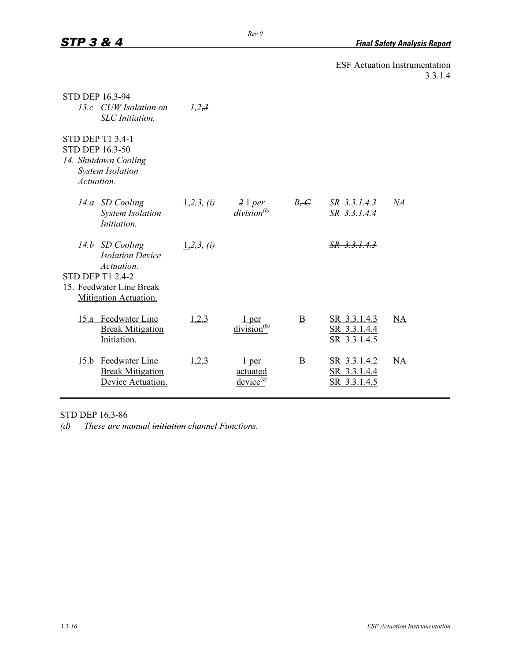| <b>STD DEP 16.3-94</b>               | 13.c CUW Isolation on<br><b>SLC</b> Initiation.                            | 1,2,3         |                                                     |                          |                                              |    |
|--------------------------------------|----------------------------------------------------------------------------|---------------|-----------------------------------------------------|--------------------------|----------------------------------------------|----|
| <b>STD DEP 16.3-50</b><br>Actuation. | <b>STD DEP T1 3.4-1</b><br>14. Shutdown Cooling<br><b>System Isolation</b> |               |                                                     |                          |                                              |    |
|                                      | 14.a SD Cooling<br><b>System Isolation</b><br>Initiation.                  | $1,2,3$ , (i) | $\frac{2}{2}$ $\frac{1}{2}$ per<br>$division^{(b)}$ | $B, -C$                  | SR 3.3.1.4.3<br>SR 3.3.1.4.4                 | NA |
|                                      | 14.b SD Cooling<br><b>Isolation Device</b><br>Actuation.                   | $1,2,3$ , (i) |                                                     |                          | $SR$ 3.3.1.4.3                               |    |
|                                      | <b>STD DEP T1 2.4-2</b>                                                    |               |                                                     |                          |                                              |    |
|                                      | 15. Feedwater Line Break<br>Mitigation Actuation.                          |               |                                                     |                          |                                              |    |
|                                      | 15.a Feedwater Line<br><b>Break Mitigation</b><br>Initiation.              | 1,2,3         | 1 per<br>$division^{(b)}$                           | $\underline{\mathbf{B}}$ | SR 3.3.1.4.3<br>SR 3.3.1.4.4<br>SR 3.3.1.4.5 | NA |
|                                      | 15.b Feedwater Line<br><b>Break Mitigation</b><br>Device Actuation.        | 1,2,3         | $1$ per<br>actuated<br>$device^{(c)}$               | B                        | SR 3.3.1.4.2<br>SR 3.3.1.4.4<br>SR 3.3.1.4.5 | NA |

STD DEP 16.3-86

*(d) These are manual initiation channel Functions.*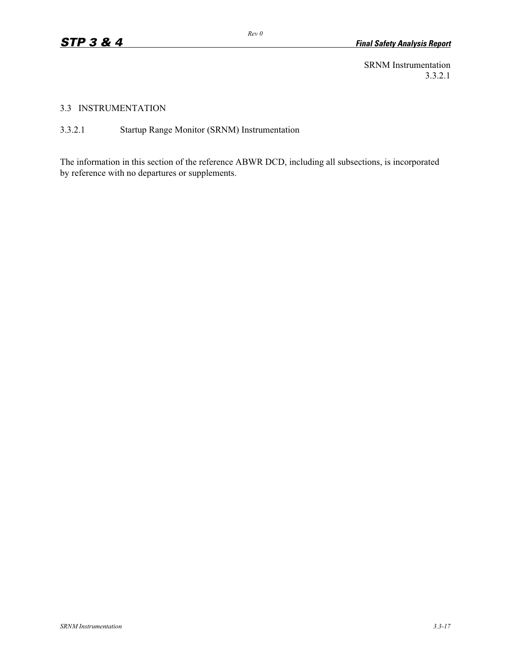SRNM Instrumentation 3.3.2.1

#### 3.3 INSTRUMENTATION

3.3.2.1 Startup Range Monitor (SRNM) Instrumentation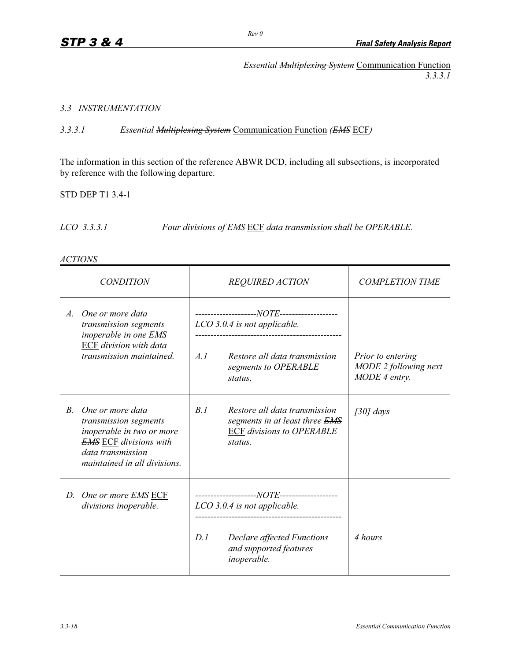*Essential Multiplexing System* Communication Function *3.3.3.1* 

# *3.3 INSTRUMENTATION*

*3.3.3.1 Essential Multiplexing System* Communication Function *(EMS* ECF*)*

The information in this section of the reference ABWR DCD, including all subsections, is incorporated by reference with the following departure.

STD DEP T1 3.4-1

*LCO 3.3.3.1 Four divisions of EMS* ECF *data transmission shall be OPERABLE.* 

#### *ACTIONS*

| <i>CONDITION</i> |                                                                                                                                                              |     | <b>REQUIRED ACTION</b>                                                                                         | <b>COMPLETION TIME</b>                                      |
|------------------|--------------------------------------------------------------------------------------------------------------------------------------------------------------|-----|----------------------------------------------------------------------------------------------------------------|-------------------------------------------------------------|
| $A_{\cdot}$      | One or more data<br>transmission segments<br>inoperable in one <b>EMS</b><br><b>ECF</b> division with data<br>transmission maintained.                       | A.1 | LCO 3.0.4 is not applicable.<br>Restore all data transmission<br>segments to OPERABLE<br>status.               | Prior to entering<br>MODE 2 following next<br>MODE 4 entry. |
| $B_{\cdot}$      | One or more data<br>transmission segments<br>inoperable in two or more<br><b>EMS</b> ECF divisions with<br>data transmission<br>maintained in all divisions. | B.1 | Restore all data transmission<br>segments in at least three EMS<br><b>ECF</b> divisions to OPERABLE<br>status. | $[30]$ days                                                 |
| D.               | One or more <b>EMS</b> ECF<br>divisions inoperable.                                                                                                          |     | LCO 3.0.4 is not applicable.                                                                                   |                                                             |
|                  |                                                                                                                                                              | D.1 | Declare affected Functions<br>and supported features<br>inoperable.                                            | 4 hours                                                     |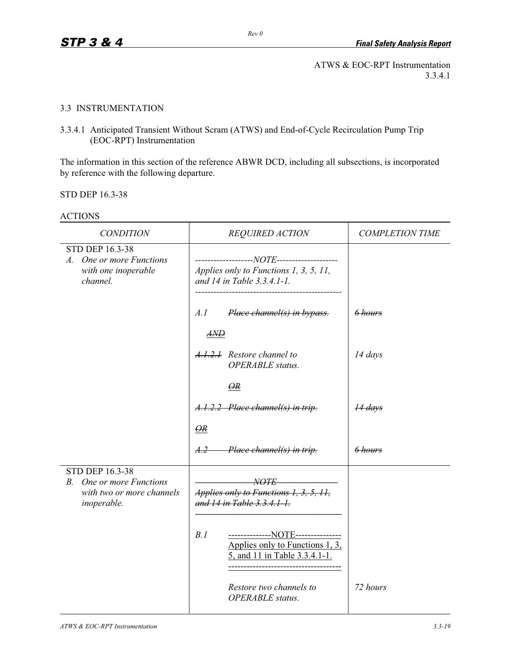ATWS & EOC-RPT Instrumentation 3.3.4.1

#### 3.3 INSTRUMENTATION

3.3.4.1 Anticipated Transient Without Scram (ATWS) and End-of-Cycle Recirculation Pump Trip (EOC-RPT) Instrumentation

The information in this section of the reference ABWR DCD, including all subsections, is incorporated by reference with the following departure.

STD DEP 16.3-38

| <b>CONDITION</b>                                                                              | <b>REQUIRED ACTION</b>                                                                                       | <b>COMPLETION TIME</b> |
|-----------------------------------------------------------------------------------------------|--------------------------------------------------------------------------------------------------------------|------------------------|
| <b>STD DEP 16.3-38</b><br>A. One or more Functions<br>with one inoperable<br>channel.         | Applies only to Functions 1, 3, 5, 11,<br>and 14 in Table 3.3.4.1-1.                                         |                        |
|                                                                                               | A.I<br>Place channel(s) in bypass.<br>$A\!M\!D$                                                              | 6 hours                |
|                                                                                               | A.1.2.1 Restore channel to<br><b>OPERABLE</b> status.                                                        | $14 \, days$           |
|                                                                                               | $\overline{QR}$                                                                                              |                        |
|                                                                                               | A.1.2.2 Place channel(s) in trip.                                                                            | 14 days                |
|                                                                                               | $\Theta R$                                                                                                   |                        |
|                                                                                               | Place channel(s) in trip.<br>A.2                                                                             | $6$ hours              |
| STD DEP 16.3-38<br>One or more Functions<br>$B$ .<br>with two or more channels<br>inoperable. | <i>NOTE</i><br>Applies only to Functions 1, 3, 5, 11,<br>and 14 in Table 3.3.4.1-1.                          |                        |
|                                                                                               | B.1<br>--------------NOTE---------------<br>Applies only to Functions 1, 3,<br>5, and 11 in Table 3.3.4.1-1. |                        |
|                                                                                               | Restore two channels to<br><b>OPERABLE</b> status.                                                           | 72 hours               |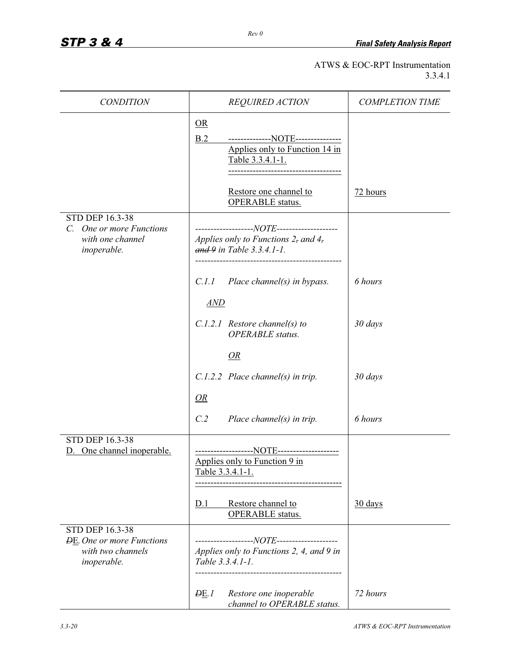# ATWS & EOC-RPT Instrumentation 3.3.4.1

| <b>CONDITION</b>                                                                        | REQUIRED ACTION                                                                                                                                          | <b>COMPLETION TIME</b> |
|-----------------------------------------------------------------------------------------|----------------------------------------------------------------------------------------------------------------------------------------------------------|------------------------|
|                                                                                         | OR<br>B.2<br>--------------NOTE--------------<br>Applies only to Function 14 in<br>Table 3.3.4.1-1.<br>Restore one channel to<br><b>OPERABLE</b> status. | 72 hours               |
| STD DEP 16.3-38<br>C. One or more Functions<br>with one channel<br>inoperable.          | Applies only to Functions 2, and 4,<br>$and 9$ in Table 3.3.4.1-1.<br>-----------------------------------                                                |                        |
|                                                                                         | C.1.1<br>Place channel(s) in bypass.<br>AND                                                                                                              | 6 hours                |
|                                                                                         | $C.1.2.1$ Restore channel(s) to<br><b>OPERABLE</b> status.                                                                                               | 30 days                |
|                                                                                         | OR                                                                                                                                                       |                        |
|                                                                                         | $C.1.2.2$ Place channel(s) in trip.                                                                                                                      | 30 days                |
|                                                                                         | <i>OR</i>                                                                                                                                                |                        |
|                                                                                         | C.2<br>Place channel(s) in trip.                                                                                                                         | 6 hours                |
| <b>STD DEP 16.3-38</b><br>One channel inoperable.<br>D.                                 | Applies only to Function 9 in<br>Table 3.3.4.1-1.                                                                                                        |                        |
|                                                                                         | Restore channel to<br>D.1<br><b>OPERABLE</b> status.                                                                                                     | $30$ days              |
| STD DEP 16.3-38<br><b>DE.</b> One or more Functions<br>with two channels<br>inoperable. | Applies only to Functions 2, 4, and 9 in<br>Table 3.3.4.1-1.                                                                                             |                        |
|                                                                                         | Restore one inoperable<br>DE.1<br>channel to OPERABLE status.                                                                                            | 72 hours               |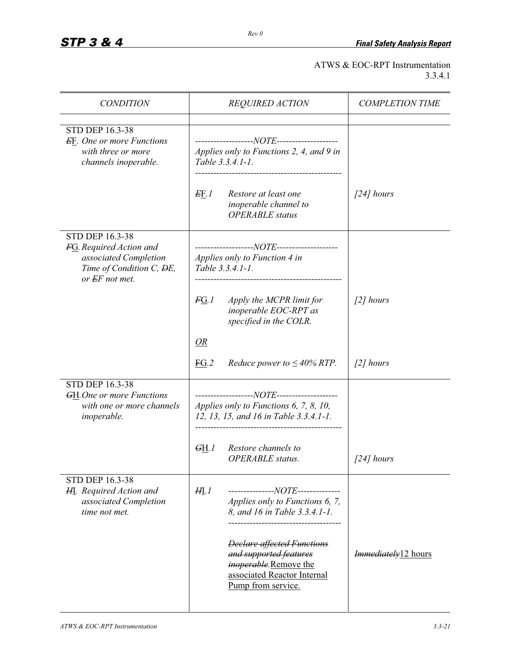# *STP 3 & 4 Final Safety Analysis Report*

# ATWS & EOC-RPT Instrumentation 3.3.4.1

| <b>CONDITION</b>                                                                                       | <b>REQUIRED ACTION</b>                                                                                                                             | <b>COMPLETION TIME</b>                 |
|--------------------------------------------------------------------------------------------------------|----------------------------------------------------------------------------------------------------------------------------------------------------|----------------------------------------|
| STD DEP 16.3-38<br><b>EF.</b> One or more Functions<br>with three or more<br>channels inoperable.      | Applies only to Functions 2, 4, and 9 in<br>Table 3.3.4.1-1.<br>Restore at least one<br>EF.1<br>inoperable channel to                              | $\int$ 24] hours                       |
| STD DEP 16.3-38                                                                                        | <b>OPERABLE</b> status                                                                                                                             |                                        |
| FG. Required Action and<br>associated Completion<br>Time of Condition C, ĐE,<br>or EF not met.         | Applies only to Function 4 in<br>Table 3.3.4.1-1.                                                                                                  |                                        |
|                                                                                                        | Apply the MCPR limit for<br>FG.1<br>inoperable EOC-RPT as<br>specified in the COLR.                                                                | $\int$ 2] hours                        |
|                                                                                                        | <i>OR</i>                                                                                                                                          |                                        |
|                                                                                                        | EG.2<br><i>Reduce power to</i> $\leq 40\%$ <i>RTP.</i>                                                                                             | $\int$ 2] hours                        |
| <b>STD DEP 16.3-38</b><br><b>GH.</b> One or more Functions<br>with one or more channels<br>inoperable. | Applies only to Functions 6, 7, 8, 10,<br>12, 13, 15, and 16 in Table 3.3.4.1-1.                                                                   |                                        |
|                                                                                                        | Restore channels to<br>G <sub>H.1</sub><br><b>OPERABLE</b> status.                                                                                 | $[24]$ hours                           |
| <b>STD DEP 16.3-38</b><br><b>HI.</b> Required Action and<br>associated Completion<br>time not met.     | ---------------NOTE--------------<br>HI.1<br>Applies only to Functions 6, 7,<br>8, and 16 in Table 3.3.4.1-1.                                      |                                        |
|                                                                                                        | <b>Declare affected Functions</b><br>and supported features<br><i>inoperable</i> . Remove the<br>associated Reactor Internal<br>Pump from service. | <i>Immediately</i> <sub>12</sub> hours |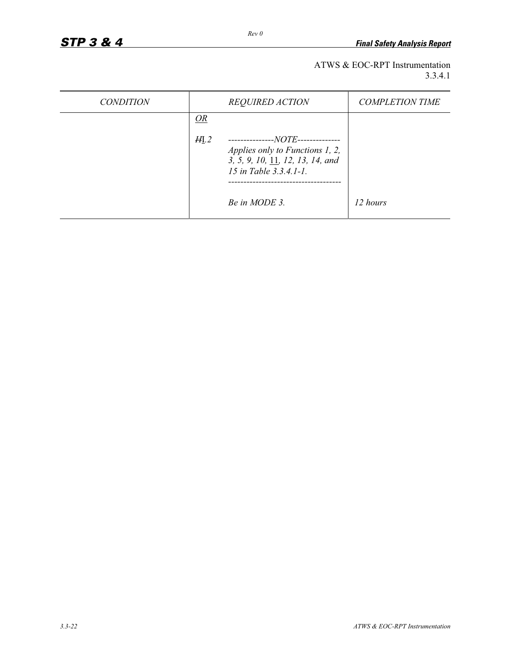ATWS & EOC-RPT Instrumentation 3.3.4.1

| <i>CONDITION</i> |                | <b>REQUIRED ACTION</b>                                                                                                             | <b>COMPLETION TIME</b> |
|------------------|----------------|------------------------------------------------------------------------------------------------------------------------------------|------------------------|
|                  | OR             |                                                                                                                                    |                        |
|                  | H <sub>L</sub> | ---------------NOTE--------------<br>Applies only to Functions 1, 2,<br>3, 5, 9, 10, 11, 12, 13, 14, and<br>15 in Table 3.3.4.1-1. |                        |
|                  |                | Be in MODE 3.                                                                                                                      | 12 hours               |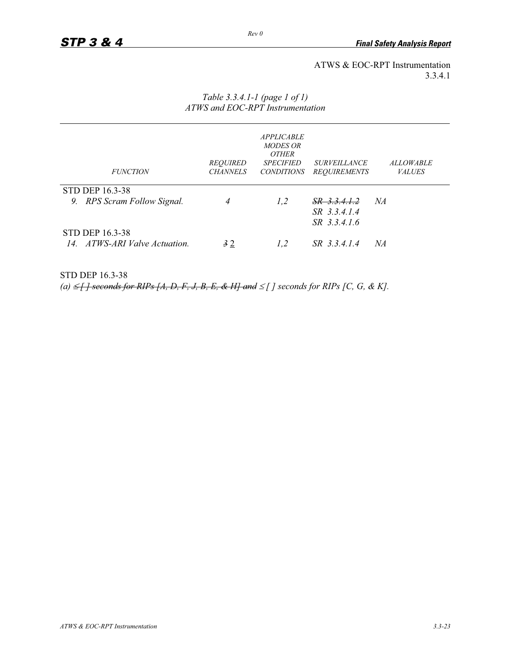### ATWS & EOC-RPT Instrumentation 3.3.4.1

| <b>FUNCTION</b>                                         | <b>REQUIRED</b><br><b>CHANNELS</b> | <b>APPLICABLE</b><br><b>MODES OR</b><br><b>OTHER</b><br><i><b>SPECIFIED</b></i><br><i>CONDITIONS</i> | <i>SURVEILLANCE</i><br><b>REQUIREMENTS</b> | <b>ALLOWABLE</b><br><b>VALUES</b> |
|---------------------------------------------------------|------------------------------------|------------------------------------------------------------------------------------------------------|--------------------------------------------|-----------------------------------|
| <b>STD DEP 16.3-38</b>                                  |                                    |                                                                                                      | $SR$ 3.3.4.1.2                             | NA                                |
| 9. RPS Scram Follow Signal.                             | 4                                  | 1,2                                                                                                  | SR 3.3.4.1.4<br>$SR$ 3.3.4.1.6             |                                   |
| <b>STD DEP 16.3-38</b><br>14. ATWS-ARI Valve Actuation. | 32                                 | 1,2                                                                                                  | SR 33414                                   | NA                                |

### *Table 3.3.4.1-1 (page 1 of 1) ATWS and EOC-RPT Instrumentation*

STD DEP 16.3-38

 $(a) \leq \int f \text{ seconds for RIPS } [A, D, F, J, B, E, \& H] \text{ and } \leq \int f \text{ seconds for RIPS } [C, G, \& K].$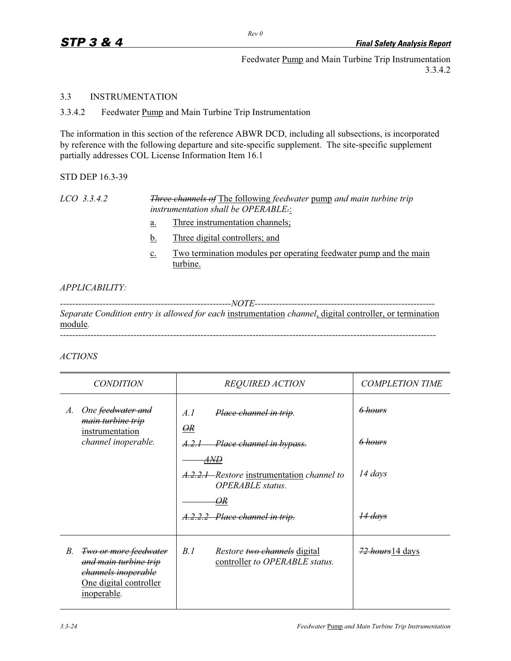Feedwater Pump and Main Turbine Trip Instrumentation 3.3.4.2

# 3.3 INSTRUMENTATION

3.3.4.2 Feedwater Pump and Main Turbine Trip Instrumentation

The information in this section of the reference ABWR DCD, including all subsections, is incorporated by reference with the following departure and site-specific supplement. The site-specific supplement partially addresses COL License Information Item 16.1

STD DEP 16.3-39

*LCO 3.3.4.2 Three channels of* The following *feedwater* pump *and main turbine trip instrumentation shall be OPERABLE.*:

- a. Three instrumentation channels;
- b. Three digital controllers; and
- c. Two termination modules per operating feedwater pump and the main turbine.

# *APPLICABILITY:*

*--------------------------------------------------------NOTE----------------------------------------------------------- Separate Condition entry is allowed for each* instrumentation *channel*, digital controller, or termination module*. ---------------------------------------------------------------------------------------------------------------------------* 

# *ACTIONS*

| <b>CONDITION</b>                                                                                                            | <b>REQUIRED ACTION</b>                                                       | <b>COMPLETION TIME</b> |
|-----------------------------------------------------------------------------------------------------------------------------|------------------------------------------------------------------------------|------------------------|
| One <del>feedwater and</del><br>A.<br>main turbine trip<br>instrumentation<br>channel inoperable.                           | A.I<br>Place channel in trip.<br>$\overline{OR}$                             | 6 hours                |
|                                                                                                                             | Place channel in bypass.<br>. A. 2. I                                        | <del>6 hours</del>     |
|                                                                                                                             | AND<br>A.2.2.1 Restore instrumentation channel to<br><b>OPERABLE</b> status. | 14 days                |
|                                                                                                                             | θR<br>A.2.2.2 Place channel in trip.                                         | 14 days                |
| <b>Two or more feedwater</b><br>В.<br>and main turbine trip<br>channels inoperable<br>One digital controller<br>inoperable. | B.I<br><i>Restore two channels</i> digital<br>controller to OPERABLE status. | 72 hours 14 days       |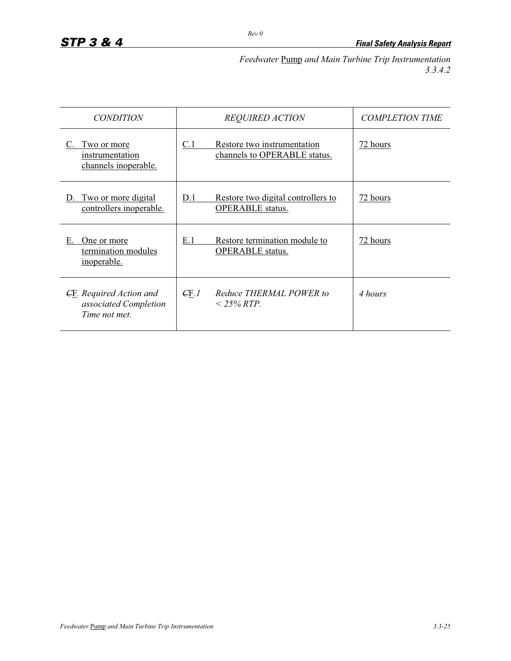*Feedwater* Pump *and Main Turbine Trip Instrumentation 3.3.4.2* 

| <i>CONDITION</i>                                                         | <b>REQUIRED ACTION</b>                                               | <b>COMPLETION TIME</b> |
|--------------------------------------------------------------------------|----------------------------------------------------------------------|------------------------|
| Two or more<br>instrumentation<br>channels inoperable.                   | C.1<br>Restore two instrumentation<br>channels to OPERABLE status.   | 72 hours               |
| Two or more digital<br>controllers inoperable.                           | Restore two digital controllers to<br>D.1<br><b>OPERABLE</b> status. | 72 hours               |
| Е.<br>One or more<br>termination modules<br>inoperable.                  | Restore termination module to<br>E.1<br><b>OPERABLE</b> status.      | 72 hours               |
| <b>CE.</b> Required Action and<br>associated Completion<br>Time not met. | Reduce THERMAL POWER to<br>$\epsilon$ F.I<br>$<$ 25% RTP.            | 4 hours                |

*Rev 0*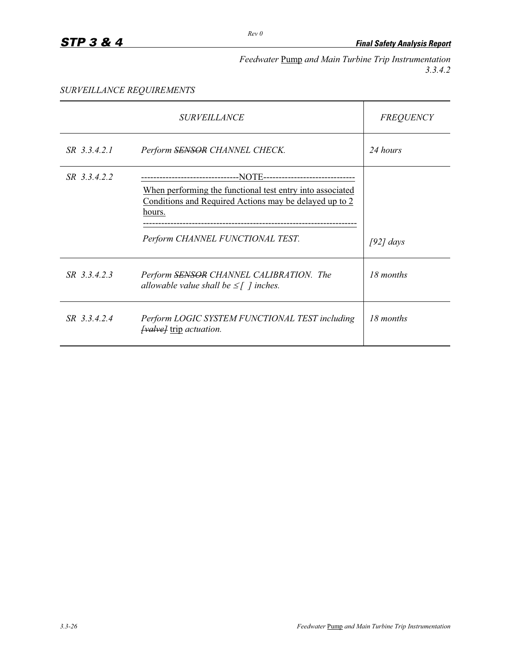*Feedwater* Pump *and Main Turbine Trip Instrumentation 3.3.4.2* 

## *SURVEILLANCE REQUIREMENTS*

|              | <i>SURVEILLANCE</i>                                                                                                                                    | <b>FREQUENCY</b> |
|--------------|--------------------------------------------------------------------------------------------------------------------------------------------------------|------------------|
| SR 3.3.4.2.1 | Perform SENSOR CHANNEL CHECK.                                                                                                                          | 24 hours         |
| SR 3.3.4.2.2 | --NOTE---------------<br>When performing the functional test entry into associated<br>Conditions and Required Actions may be delayed up to 2<br>hours. |                  |
|              | Perform CHANNEL FUNCTIONAL TEST.                                                                                                                       | $[92]$ days      |
| SR 3.3.4.2.3 | Perform SENSOR CHANNEL CALIBRATION. The<br>allowable value shall be $\leq$ [ ] inches.                                                                 | 18 months        |
| SR 3.3.4.2.4 | Perform LOGIC SYSTEM FUNCTIONAL TEST including<br><i>[valve]</i> trip <i>actuation</i> .                                                               | 18 months        |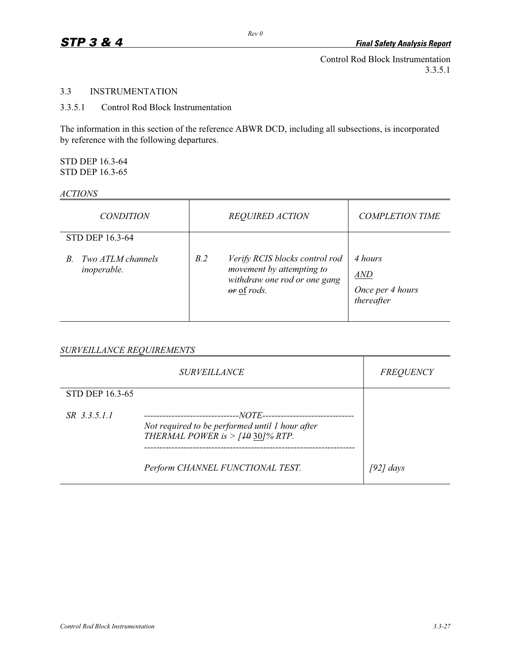Control Rod Block Instrumentation 3.3.5.1

## 3.3 INSTRUMENTATION

## 3.3.5.1 Control Rod Block Instrumentation

The information in this section of the reference ABWR DCD, including all subsections, is incorporated by reference with the following departures.

#### STD DEP 16.3-64 STD DEP 16.3-65

#### *ACTIONS*

| <i>CONDITION</i>                              |                      | <b>REQUIRED ACTION</b>                                                                      | <b>COMPLETION TIME</b>                           |
|-----------------------------------------------|----------------------|---------------------------------------------------------------------------------------------|--------------------------------------------------|
| STD DEP 16.3-64                               |                      |                                                                                             |                                                  |
| Two ATLM channels<br>R.<br><i>inoperable.</i> | B.2<br>$or$ of rods. | Verify RCIS blocks control rod<br>movement by attempting to<br>withdraw one rod or one gang | 4 hours<br>AND<br>Once per 4 hours<br>thereafter |

#### *SURVEILLANCE REQUIREMENTS*

|                 | <i>SURVEILLANCE</i>                                                                                                                                       | <b>FREQUENCY</b> |
|-----------------|-----------------------------------------------------------------------------------------------------------------------------------------------------------|------------------|
| STD DEP 16.3-65 |                                                                                                                                                           |                  |
| SR 3.3.5.1.1    | ---NOTE------------------------<br>-----------------------------<br>Not required to be performed until 1 hour after<br>THERMAL POWER is $>$ [40 30]% RTP. |                  |
|                 | Perform CHANNEL FUNCTIONAL TEST.                                                                                                                          | [92] days        |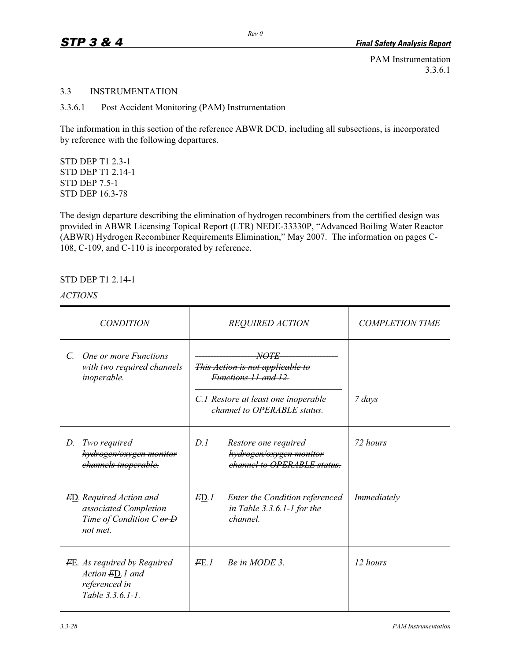PAM Instrumentation 3.3.6.1

#### 3.3 INSTRUMENTATION

3.3.6.1 Post Accident Monitoring (PAM) Instrumentation

The information in this section of the reference ABWR DCD, including all subsections, is incorporated by reference with the following departures.

STD DEP T1 2.3-1 STD DEP T1 2.14-1 STD DEP 7.5-1 STD DEP 16.3-78

The design departure describing the elimination of hydrogen recombiners from the certified design was provided in ABWR Licensing Topical Report (LTR) NEDE-33330P, "Advanced Boiling Water Reactor (ABWR) Hydrogen Recombiner Requirements Elimination," May 2007. The information on pages C-108, C-109, and C-110 is incorporated by reference.

## STD DEP T1 2.14-1

*ACTIONS*

| <b>CONDITION</b>                                                                                             | <b>REQUIRED ACTION</b>                                                                                                                        | <b>COMPLETION TIME</b> |
|--------------------------------------------------------------------------------------------------------------|-----------------------------------------------------------------------------------------------------------------------------------------------|------------------------|
| One or more Functions<br>$C_{\cdot}$<br>with two required channels<br>inoperable.                            | <i>NOTE</i><br>This Action is not applicable to<br>Functions 11 and 12.<br>C.1 Restore at least one inoperable<br>channel to OPERABLE status. | 7 days                 |
| <del>D. Two required</del><br>hydrogen/oxygen monitor<br>channels inoperable.                                | <del>D.I -</del><br><del>Restore one required</del><br>hydrogen/oxygen monitor<br>channel to OPERABLE status.                                 | $72$ hours             |
| <b>ED.</b> Required Action and<br>associated Completion<br>Time of Condition $C \overline{or} D$<br>not met. | ED.1<br>Enter the Condition referenced<br>in Table 3.3.6.1-1 for the<br><i>channel</i>                                                        | Immediately            |
| FE. As required by Required<br>Action ED.1 and<br>referenced in<br>Table 3.3.6.1-1.                          | Be in MODE 3.<br>FE.1                                                                                                                         | 12 hours               |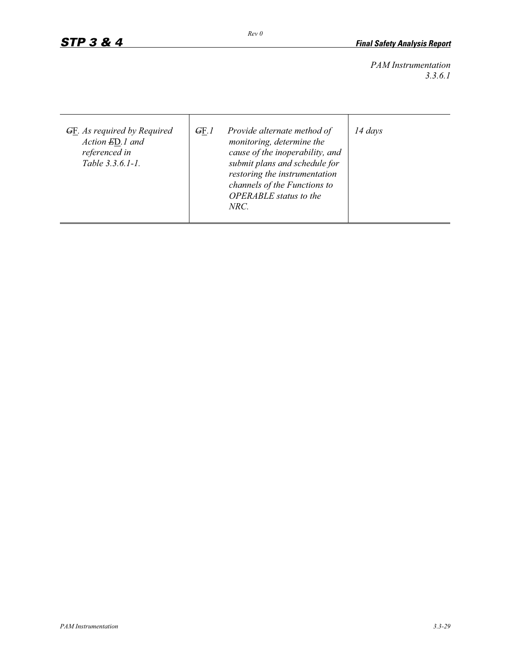*PAM Instrumentation 3.3.6.1*

| <b>GE.</b> As required by Required<br>Action ED.1 and<br>referenced in<br>Table 3.3.6.1-1. | GF.1 | Provide alternate method of<br>monitoring, determine the<br>cause of the inoperability, and<br>submit plans and schedule for<br>restoring the instrumentation<br>channels of the Functions to<br><b>OPERABLE</b> status to the<br>NRC. | $14 \; days$ |
|--------------------------------------------------------------------------------------------|------|----------------------------------------------------------------------------------------------------------------------------------------------------------------------------------------------------------------------------------------|--------------|
|--------------------------------------------------------------------------------------------|------|----------------------------------------------------------------------------------------------------------------------------------------------------------------------------------------------------------------------------------------|--------------|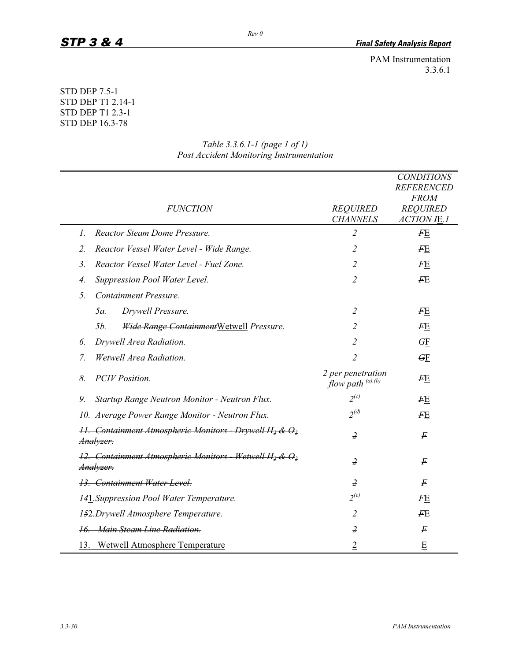PAM Instrumentation 3.3.6.1

## STD DEP 7.5-1 STD DEP T1 2.14-1 STD DEP T1 2.3-1 STD DEP 16.3-78

| <b>FUNCTION</b>                                                           | <b>REQUIRED</b>                              | <b>CONDITIONS</b><br><b>REFERENCED</b><br><b>FROM</b><br><b>REQUIRED</b> |
|---------------------------------------------------------------------------|----------------------------------------------|--------------------------------------------------------------------------|
| <b>Reactor Steam Dome Pressure.</b><br>1.                                 | <b>CHANNELS</b><br>$\overline{2}$            | <b>ACTION IE.1</b>                                                       |
|                                                                           |                                              | $F_{\rm E}$                                                              |
| $\overline{2}$ .<br>Reactor Vessel Water Level - Wide Range.              | $\overline{2}$                               | F E                                                                      |
| $\overline{3}$ .<br>Reactor Vessel Water Level - Fuel Zone.               | $\overline{2}$                               | FE                                                                       |
| Suppression Pool Water Level.<br>4.                                       | $\overline{2}$                               | $F_{\rm E}$                                                              |
| 5.<br>Containment Pressure.                                               |                                              |                                                                          |
| Drywell Pressure.<br>$5a$ .                                               | $\overline{2}$                               | FE                                                                       |
| 5 <i>b</i> .<br><b>Wide Range Containment Wetwell Pressure.</b>           | $\overline{2}$                               | $F_{\rm E}$                                                              |
| Drywell Area Radiation.<br>6.                                             | $\overline{2}$                               | $\overline{GE}$                                                          |
| Wetwell Area Radiation.<br>7.                                             | 2                                            | GF                                                                       |
| 8.<br><b>PCIV</b> Position.                                               | 2 per penetration<br>flow path $(a)$ , $(b)$ | FE                                                                       |
| 9.<br>Startup Range Neutron Monitor - Neutron Flux.                       | $2^{(c)}$                                    | FE                                                                       |
| 10. Average Power Range Monitor - Neutron Flux.                           | $2^{(d)}$                                    | FЕ                                                                       |
| 11. Containment Atmospheric Monitors - Drywell $H_2$ & $O_2$<br>Analyzer. | $\overline{z}$                               | F                                                                        |
| 12. Containment Atmospheric Monitors - Wetwell $H_2$ & $O_2$<br>Analyzer. | $\overline{z}$                               | F                                                                        |
| 13. Containment Water Level.                                              | $\overline{z}$                               | F                                                                        |
| 141. Suppression Pool Water Temperature.                                  | $2^{(e)}$                                    | FЕ                                                                       |
| 152. Drywell Atmosphere Temperature.                                      | $\overline{2}$                               | $F_{\rm E}$                                                              |
| 16. Main Steam Line Radiation.                                            | $\overline{z}$                               | $\boldsymbol{F}$                                                         |
| 13. Wetwell Atmosphere Temperature                                        | $\overline{2}$                               | E                                                                        |

## *Table 3.3.6.1-1 (page 1 of 1) Post Accident Monitoring Instrumentation*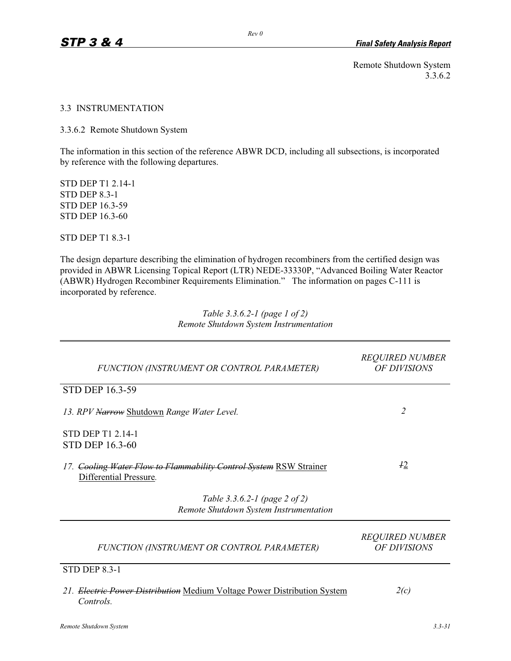Remote Shutdown System 3.3.6.2

#### 3.3 INSTRUMENTATION

3.3.6.2 Remote Shutdown System

The information in this section of the reference ABWR DCD, including all subsections, is incorporated by reference with the following departures.

STD DEP T1 2.14-1 STD DEP 8.3-1 STD DEP 16.3-59 STD DEP 16.3-60

STD DEP T1 8.3-1

The design departure describing the elimination of hydrogen recombiners from the certified design was provided in ABWR Licensing Topical Report (LTR) NEDE-33330P, "Advanced Boiling Water Reactor (ABWR) Hydrogen Recombiner Requirements Elimination." The information on pages C-111 is incorporated by reference.

> *Table 3.3.6.2-1 (page 1 of 2) Remote Shutdown System Instrumentation*

| FUNCTION (INSTRUMENT OR CONTROL PARAMETER)                                                   | <b>REQUIRED NUMBER</b><br>OF DIVISIONS |
|----------------------------------------------------------------------------------------------|----------------------------------------|
| <b>STD DEP 16.3-59</b>                                                                       |                                        |
| 13. RPV Narrow Shutdown Range Water Level.                                                   | $\overline{2}$                         |
| STD DEP T1 2.14-1<br><b>STD DEP 16.3-60</b>                                                  |                                        |
| 17. Cooling Water Flow to Flammability Control System RSW Strainer<br>Differential Pressure. | 42                                     |
| Table 3.3.6.2-1 (page 2 of 2)<br>Remote Shutdown System Instrumentation                      |                                        |
| FUNCTION (INSTRUMENT OR CONTROL PARAMETER)                                                   | <b>REQUIRED NUMBER</b><br>OF DIVISIONS |
| <b>STD DEP 8.3-1</b>                                                                         |                                        |
| 21. Electric Power Distribution Medium Voltage Power Distribution System<br>Controls.        | 2(c)                                   |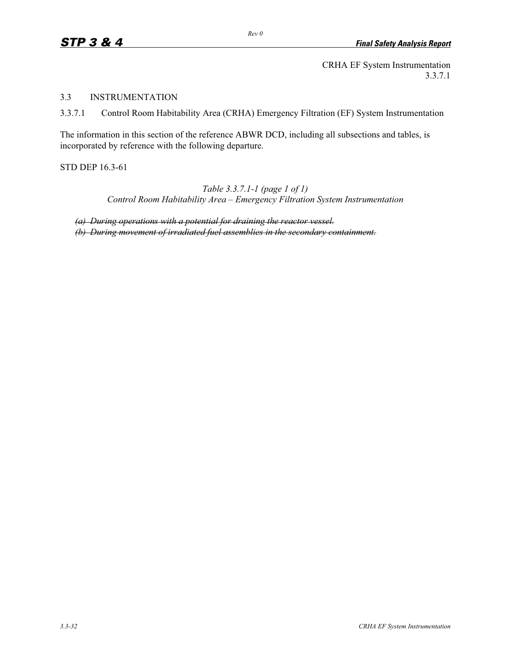CRHA EF System Instrumentation 3.3.7.1

3.3 INSTRUMENTATION

3.3.7.1 Control Room Habitability Area (CRHA) Emergency Filtration (EF) System Instrumentation

The information in this section of the reference ABWR DCD, including all subsections and tables, is incorporated by reference with the following departure.

STD DEP 16.3-61

*Table 3.3.7.1-1 (page 1 of 1) Control Room Habitability Area – Emergency Filtration System Instrumentation* 

*(a) During operations with a potential for draining the reactor vessel. (b) During movement of irradiated fuel assemblies in the secondary containment.*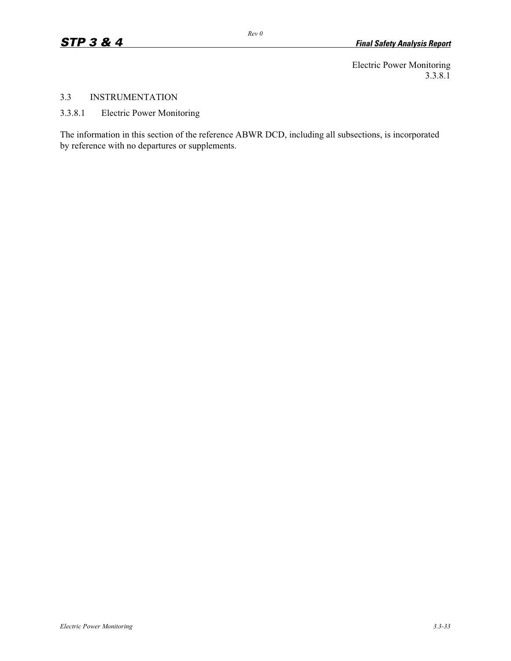Electric Power Monitoring 3.3.8.1

## 3.3 INSTRUMENTATION

3.3.8.1 Electric Power Monitoring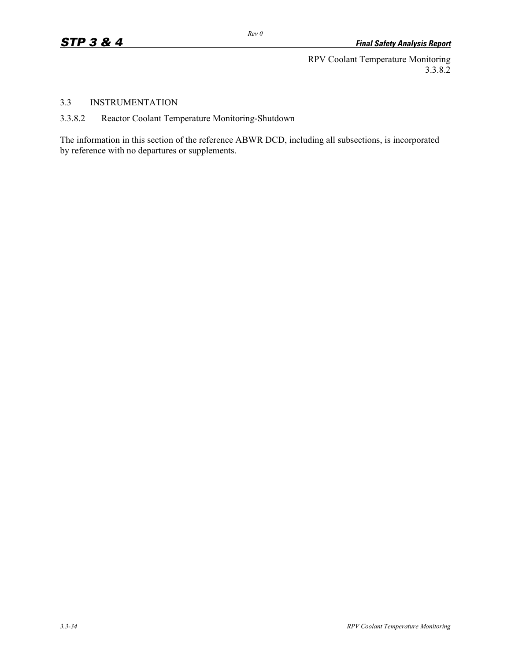RPV Coolant Temperature Monitoring 3.3.8.2

#### 3.3 INSTRUMENTATION

3.3.8.2 Reactor Coolant Temperature Monitoring-Shutdown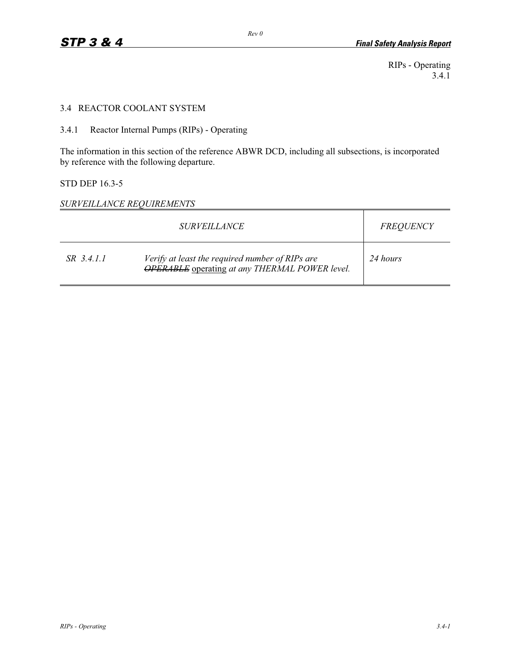RIPs - Operating 3.4.1

#### 3.4 REACTOR COOLANT SYSTEM

3.4.1 Reactor Internal Pumps (RIPs) - Operating

The information in this section of the reference ABWR DCD, including all subsections, is incorporated by reference with the following departure.

#### STD DEP 16.3-5

*SURVEILLANCE REQUIREMENTS* 

|            | <i>SURVEILLANCE</i>                                                                                      | <b>FREQUENCY</b> |
|------------|----------------------------------------------------------------------------------------------------------|------------------|
| SR 3.4.1.1 | Verify at least the required number of RIPs are<br><b>OPERABLE</b> operating at any THERMAL POWER level. | 24 hours         |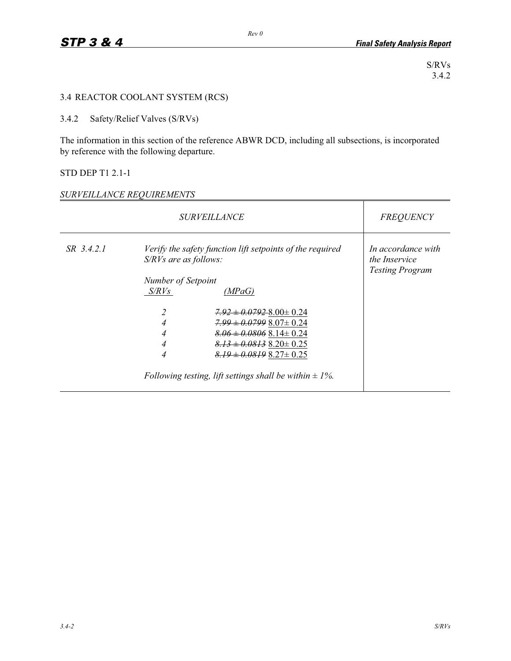S/RVs 3.4.2

## 3.4 REACTOR COOLANT SYSTEM (RCS)

## 3.4.2 Safety/Relief Valves (S/RVs)

The information in this section of the reference ABWR DCD, including all subsections, is incorporated by reference with the following departure.

## STD DEP T1 2.1-1

#### *SURVEILLANCE REQUIREMENTS*

| <i>SURVEILLANCE</i> |                         | <b>FREQUENCY</b>                                                                                                                                                                                                                                |                                                                      |
|---------------------|-------------------------|-------------------------------------------------------------------------------------------------------------------------------------------------------------------------------------------------------------------------------------------------|----------------------------------------------------------------------|
| SR 3.4.2.1          | $S/RVs$ are as follows: | Verify the safety function lift setpoints of the required                                                                                                                                                                                       | In accordance with<br><i>the Inservice</i><br><b>Testing Program</b> |
|                     | Number of Setpoint      |                                                                                                                                                                                                                                                 |                                                                      |
|                     | S/RVs                   | (MPaG)                                                                                                                                                                                                                                          |                                                                      |
|                     | 4<br>4<br>4<br>4        | $7.92 \pm 0.07928.00 \pm 0.24$<br>$7.99 \pm 0.07998.07 \pm 0.24$<br>$8.06 \pm 0.0806$ $8.14 \pm 0.24$<br>$8.13 \pm 0.0813$ $8.20 \pm 0.25$<br>$8.19 \pm 0.0819$ $8.27 \pm 0.25$<br>Following testing, lift settings shall be within $\pm 1\%$ . |                                                                      |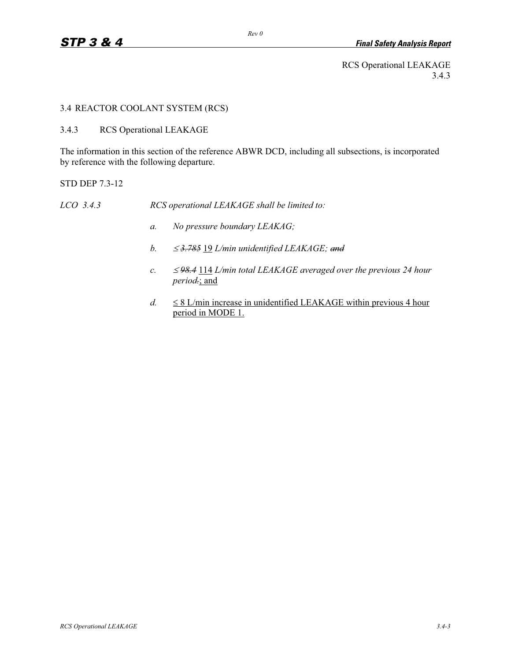RCS Operational LEAKAGE 3.4.3

#### 3.4 REACTOR COOLANT SYSTEM (RCS)

3.4.3 RCS Operational LEAKAGE

The information in this section of the reference ABWR DCD, including all subsections, is incorporated by reference with the following departure.

STD DEP 7.3-12

*LCO 3.4.3 RCS operational LEAKAGE shall be limited to:* 

- *a. No pressure boundary LEAKAG;*
- *b.*  $\leq$  *3.785* 19 *L/min unidentified LEAKAGE; and*
- $c. \leq$  *98.4* 114 *L/min total LEAKAGE averaged over the previous 24 hour period.*; and
- $d. \leq$  $\leq$  8 L/min increase in unidentified LEAKAGE within previous 4 hour period in MODE 1.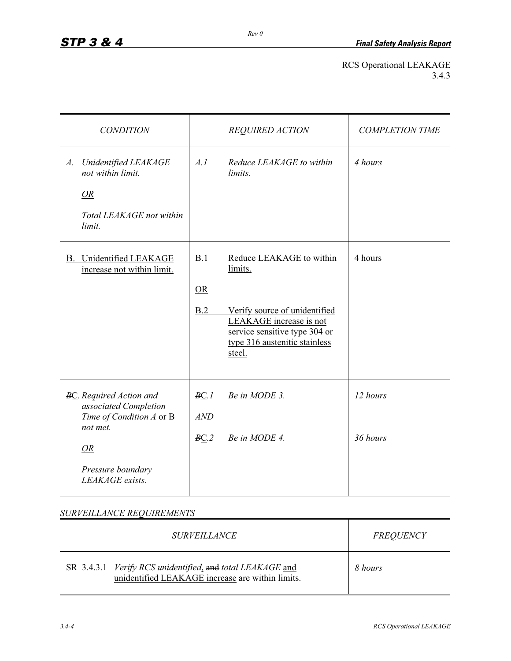## RCS Operational LEAKAGE 3.4.3

| <b>CONDITION</b>                                                                                                                                     | <b>REQUIRED ACTION</b>                                                                                                                                                                          | <b>COMPLETION TIME</b> |
|------------------------------------------------------------------------------------------------------------------------------------------------------|-------------------------------------------------------------------------------------------------------------------------------------------------------------------------------------------------|------------------------|
| Unidentified LEAKAGE<br>$A$ .<br>not within limit.<br><i>OR</i><br>Total LEAKAGE not within<br>limit.                                                | A.I<br>Reduce LEAKAGE to within<br>limits.                                                                                                                                                      | 4 hours                |
| <b>B.</b> Unidentified LEAKAGE<br>increase not within limit.                                                                                         | B.1<br>Reduce LEAKAGE to within<br>limits.<br>OR<br>B.2<br>Verify source of unidentified<br>LEAKAGE increase is not<br>service sensitive type 304 or<br>type 316 austenitic stainless<br>steel. | 4 hours                |
| <b>BC.</b> Required Action and<br>associated Completion<br>Time of Condition A or B<br>not met.<br><i>OR</i><br>Pressure boundary<br>LEAKAGE exists. | BC.1<br>Be in MODE 3.<br>AND<br>Be in MODE 4.<br>BC.2                                                                                                                                           | 12 hours<br>36 hours   |

*SURVEILLANCE REQUIREMENTS* 

| <i>SURVEILLANCE</i>                                                                                           | FREQUENCY |
|---------------------------------------------------------------------------------------------------------------|-----------|
| SR 3.4.3.1 Verify RCS unidentified, and total LEAKAGE and<br>unidentified LEAKAGE increase are within limits. | 8 hours   |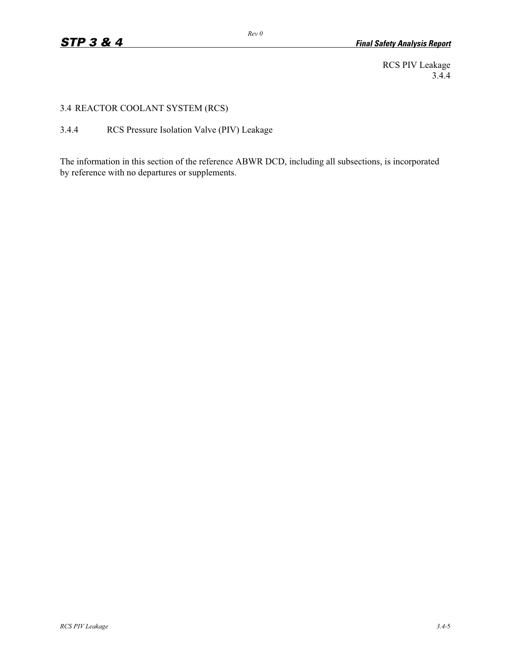RCS PIV Leakage 3.4.4

3.4 REACTOR COOLANT SYSTEM (RCS)

3.4.4 RCS Pressure Isolation Valve (PIV) Leakage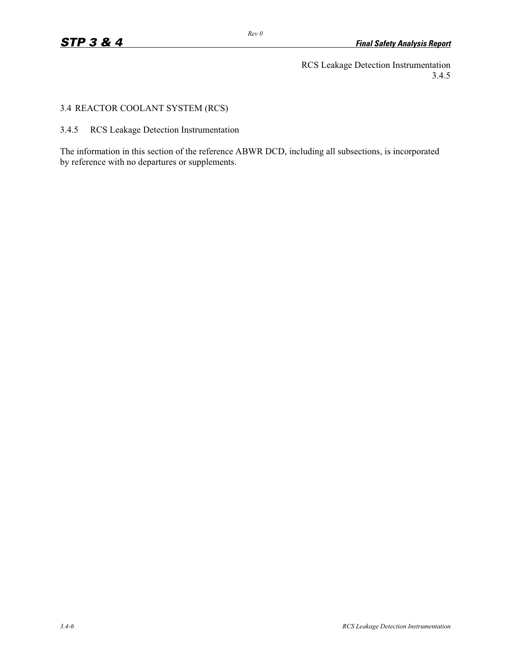RCS Leakage Detection Instrumentation 3.4.5

## 3.4 REACTOR COOLANT SYSTEM (RCS)

3.4.5 RCS Leakage Detection Instrumentation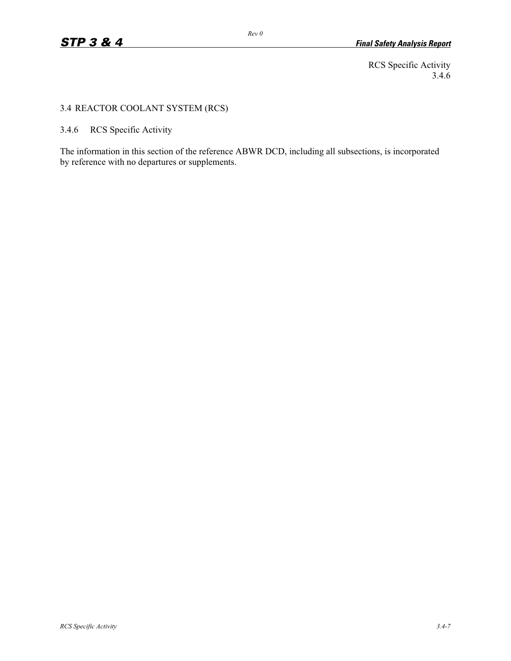RCS Specific Activity 3.4.6

## 3.4 REACTOR COOLANT SYSTEM (RCS)

3.4.6 RCS Specific Activity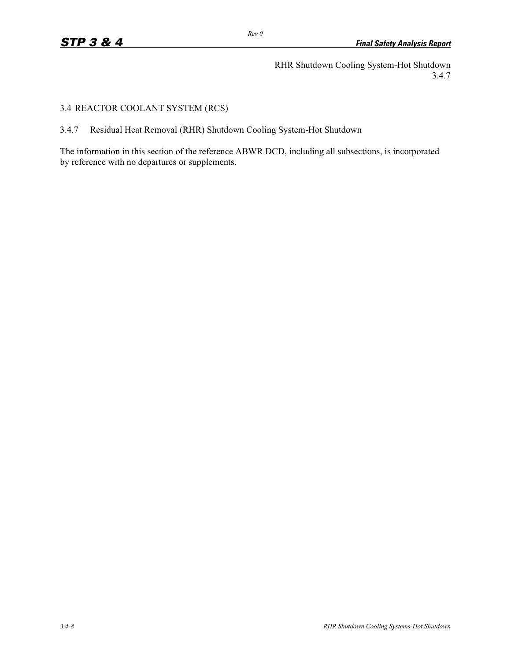RHR Shutdown Cooling System-Hot Shutdown 3.4.7

## 3.4 REACTOR COOLANT SYSTEM (RCS)

3.4.7 Residual Heat Removal (RHR) Shutdown Cooling System-Hot Shutdown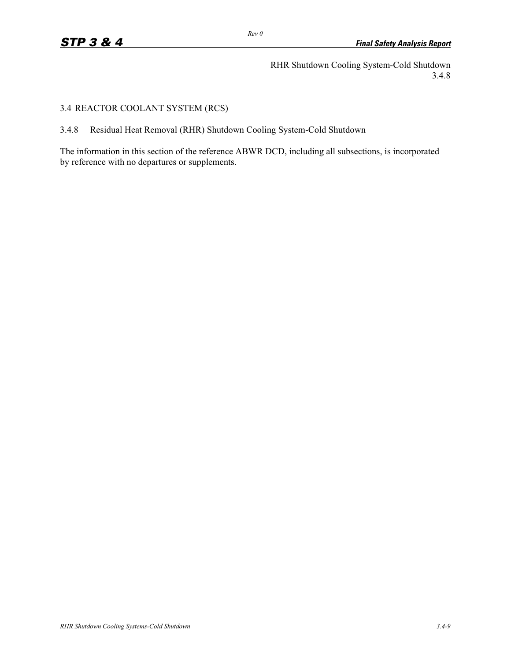RHR Shutdown Cooling System-Cold Shutdown 3.4.8

## 3.4 REACTOR COOLANT SYSTEM (RCS)

3.4.8 Residual Heat Removal (RHR) Shutdown Cooling System-Cold Shutdown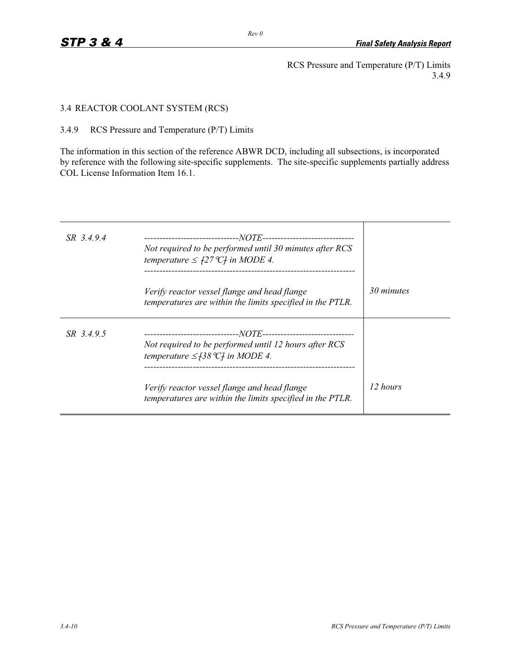RCS Pressure and Temperature (P/T) Limits 3.4.9

3.4 REACTOR COOLANT SYSTEM (RCS)

3.4.9 RCS Pressure and Temperature (P/T) Limits

The information in this section of the reference ABWR DCD, including all subsections, is incorporated by reference with the following site-specific supplements. The site-specific supplements partially address COL License Information Item 16.1.

| SR 3.4.9.4 | Not required to be performed until 30 minutes after RCS<br>temperature $\leq$ $f27^{\circ}Cf$ in MODE 4.  |            |
|------------|-----------------------------------------------------------------------------------------------------------|------------|
|            | Verify reactor vessel flange and head flange<br>temperatures are within the limits specified in the PTLR. | 30 minutes |
| SR 3.4.9.5 | Not required to be performed until 12 hours after RCS<br>temperature $\leq$ [38 °C] in MODE 4.            |            |
|            | Verify reactor vessel flange and head flange<br>temperatures are within the limits specified in the PTLR. | 12 hours   |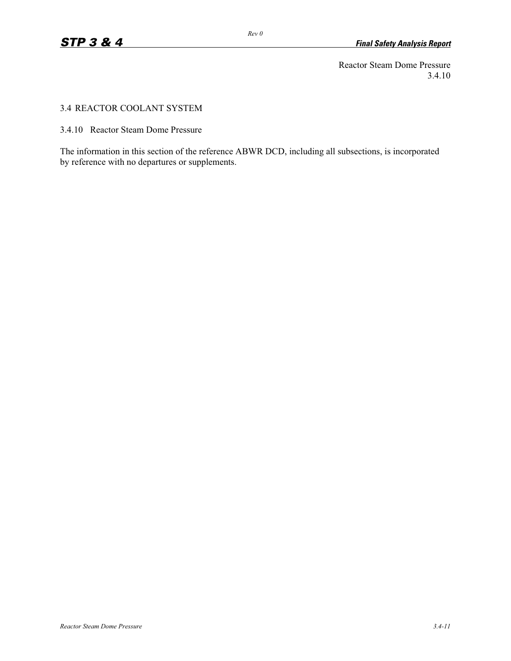Reactor Steam Dome Pressure 3.4.10

#### 3.4 REACTOR COOLANT SYSTEM

3.4.10 Reactor Steam Dome Pressure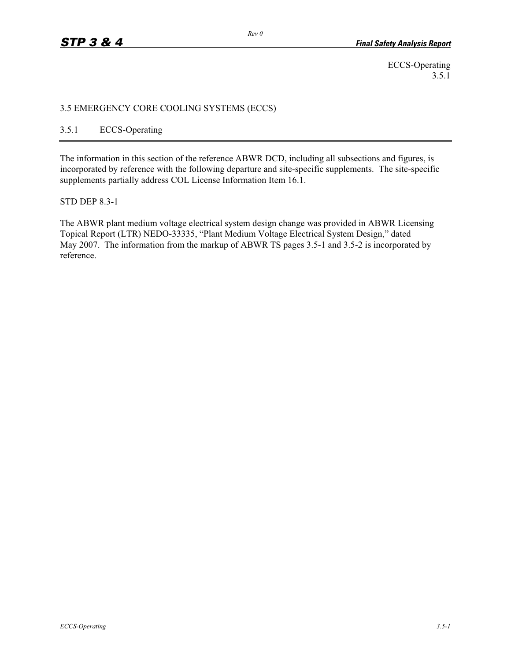ECCS-Operating 3.5.1

#### 3.5 EMERGENCY CORE COOLING SYSTEMS (ECCS)

## 3.5.1 ECCS-Operating

The information in this section of the reference ABWR DCD, including all subsections and figures, is incorporated by reference with the following departure and site-specific supplements. The site-specific supplements partially address COL License Information Item 16.1.

#### STD DEP 8.3-1

The ABWR plant medium voltage electrical system design change was provided in ABWR Licensing Topical Report (LTR) NEDO-33335, "Plant Medium Voltage Electrical System Design," dated May 2007. The information from the markup of ABWR TS pages 3.5-1 and 3.5-2 is incorporated by reference.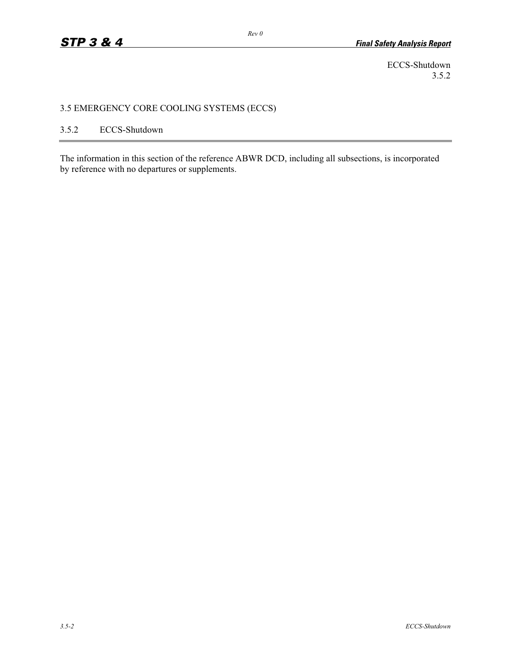ECCS-Shutdown 3.5.2

## 3.5 EMERGENCY CORE COOLING SYSTEMS (ECCS)

## 3.5.2 ECCS-Shutdown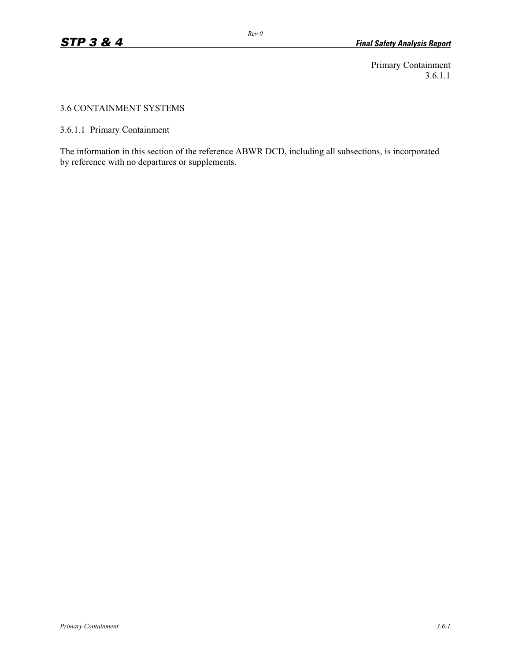Primary Containment 3.6.1.1

#### 3.6 CONTAINMENT SYSTEMS

3.6.1.1 Primary Containment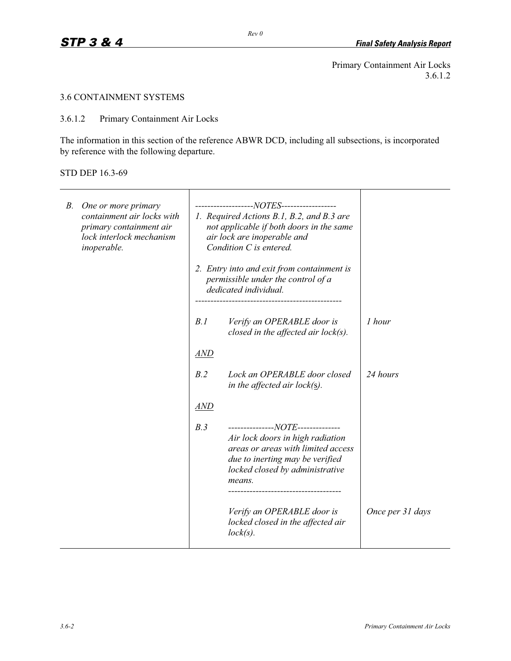Primary Containment Air Locks 3.6.1.2

 $\mathbf{r}$ 

## 3.6 CONTAINMENT SYSTEMS

3.6.1.2 Primary Containment Air Locks

 $\overline{\mathbf{r}}$ 

The information in this section of the reference ABWR DCD, including all subsections, is incorporated by reference with the following departure.

#### STD DEP 16.3-69

| В. | One or more primary<br>containment air locks with<br>primary containment air<br>lock interlock mechanism<br>inoperable. | -------------------NOTES------------------<br>1. Required Actions B.1, B.2, and B.3 are<br>not applicable if both doors in the same<br>air lock are inoperable and<br>Condition C is entered.<br>2. Entry into and exit from containment is<br>permissible under the control of a<br>dedicated individual. |                                                                                                                                                                                             |                  |
|----|-------------------------------------------------------------------------------------------------------------------------|------------------------------------------------------------------------------------------------------------------------------------------------------------------------------------------------------------------------------------------------------------------------------------------------------------|---------------------------------------------------------------------------------------------------------------------------------------------------------------------------------------------|------------------|
|    |                                                                                                                         | B.1                                                                                                                                                                                                                                                                                                        | Verify an OPERABLE door is<br>closed in the affected air $lock(s)$ .                                                                                                                        | 1 hour           |
|    |                                                                                                                         | <u>AND</u>                                                                                                                                                                                                                                                                                                 |                                                                                                                                                                                             |                  |
|    |                                                                                                                         | B.2                                                                                                                                                                                                                                                                                                        | Lock an OPERABLE door closed<br>in the affected air lock( $\underline{s}$ ).                                                                                                                | 24 hours         |
|    |                                                                                                                         | <b>AND</b>                                                                                                                                                                                                                                                                                                 |                                                                                                                                                                                             |                  |
|    |                                                                                                                         | B.3                                                                                                                                                                                                                                                                                                        | ---------------NOTE--------------<br>Air lock doors in high radiation<br>areas or areas with limited access<br>due to inerting may be verified<br>locked closed by administrative<br>means. |                  |
|    |                                                                                                                         |                                                                                                                                                                                                                                                                                                            | Verify an OPERABLE door is<br>locked closed in the affected air<br>$lock(s)$ .                                                                                                              | Once per 31 days |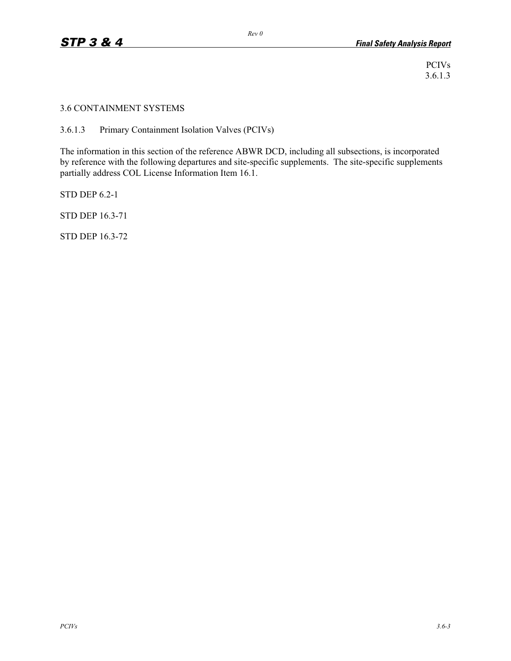3.6 CONTAINMENT SYSTEMS

3.6.1.3 Primary Containment Isolation Valves (PCIVs)

The information in this section of the reference ABWR DCD, including all subsections, is incorporated by reference with the following departures and site-specific supplements. The site-specific supplements partially address COL License Information Item 16.1.

STD DEP 6.2-1

STD DEP 16.3-71

STD DEP 16.3-72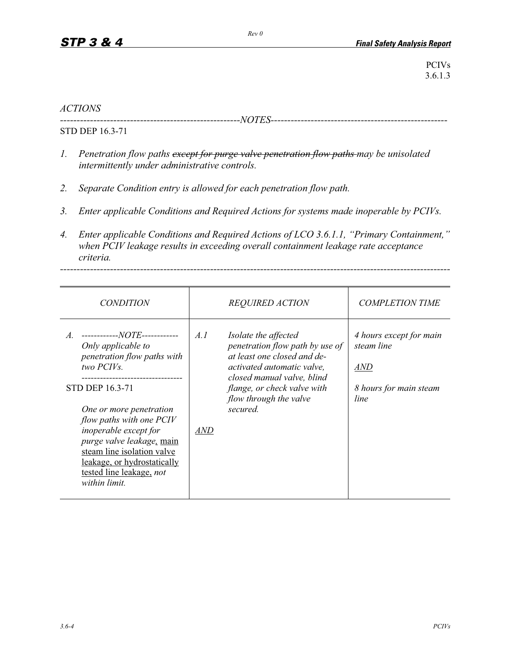## *ACTIONS*

*------------------------------------------------------NOTES-----------------------------------------------------*

STD DEP 16.3-71

- *1. Penetration flow paths except for purge valve penetration flow paths may be unisolated intermittently under administrative controls.*
- *2. Separate Condition entry is allowed for each penetration flow path.*
- *3. Enter applicable Conditions and Required Actions for systems made inoperable by PCIVs.*
- *4. Enter applicable Conditions and Required Actions of LCO 3.6.1.1, "Primary Containment," when PCIV leakage results in exceeding overall containment leakage rate acceptance criteria.*

*---------------------------------------------------------------------------------------------------------------------*

| <i>CONDITION</i>                                                                                                                                                                                                                                                                                                                                                       |                   | <b>REQUIRED ACTION</b>                                                                                                                                                                                                  | <b>COMPLETION TIME</b>                                                         |
|------------------------------------------------------------------------------------------------------------------------------------------------------------------------------------------------------------------------------------------------------------------------------------------------------------------------------------------------------------------------|-------------------|-------------------------------------------------------------------------------------------------------------------------------------------------------------------------------------------------------------------------|--------------------------------------------------------------------------------|
| ------------NOTE------------<br>$A_{\cdot}$<br>Only applicable to<br>penetration flow paths with<br>two PCIVs.<br><b>STD DEP 16.3-71</b><br>One or more penetration<br><i>flow paths with one PCIV</i><br>inoperable except for<br>purge valve leakage, main<br>steam line isolation valve<br>leakage, or hydrostatically<br>tested line leakage, not<br>within limit. | A.I<br><i>AND</i> | Isolate the affected<br>penetration flow path by use of<br>at least one closed and de-<br>activated automatic valve,<br>closed manual valve, blind<br>flange, or check valve with<br>flow through the valve<br>secured. | 4 hours except for main<br>steam line<br>AND<br>8 hours for main steam<br>line |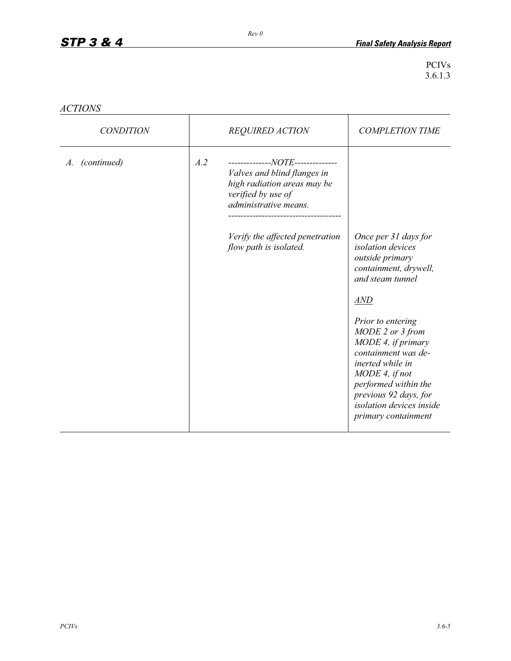| <i>ACTIONS</i> |  |
|----------------|--|
|----------------|--|

| <i>CONDITION</i>  |     | <b>REQUIRED ACTION</b>                                                                                                                                                                                     | <b>COMPLETION TIME</b>                                                                                                                                                                                                                                                                                                           |
|-------------------|-----|------------------------------------------------------------------------------------------------------------------------------------------------------------------------------------------------------------|----------------------------------------------------------------------------------------------------------------------------------------------------------------------------------------------------------------------------------------------------------------------------------------------------------------------------------|
| (continued)<br>A. | A.2 | --------------NOTE--------------<br>Valves and blind flanges in<br>high radiation areas may be<br>verified by use of<br>administrative means.<br>Verify the affected penetration<br>flow path is isolated. | Once per 31 days for<br><i>isolation</i> devices<br>outside primary<br>containment, drywell,<br>and steam tunnel<br>AND<br>Prior to entering<br>MODE 2 or 3 from<br>MODE 4, if primary<br>containment was de-<br>inerted while in<br>MODE 4, if not<br>performed within the<br>previous 92 days, for<br>isolation devices inside |
|                   |     |                                                                                                                                                                                                            | primary containment                                                                                                                                                                                                                                                                                                              |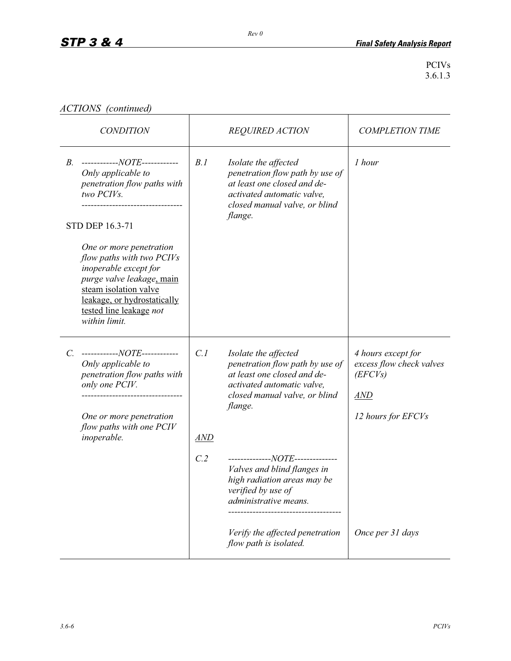|  | ACTIONS (continued) |
|--|---------------------|
|--|---------------------|

| <b>CONDITION</b>                                                                                                                                                                                               |            | <b>REQUIRED ACTION</b>                                                                                                                                           | <b>COMPLETION TIME</b>                                                                              |
|----------------------------------------------------------------------------------------------------------------------------------------------------------------------------------------------------------------|------------|------------------------------------------------------------------------------------------------------------------------------------------------------------------|-----------------------------------------------------------------------------------------------------|
| ------------NOTE------------<br>$B_{\cdot}$<br>Only applicable to<br>penetration flow paths with<br>two PCIVs.<br><b>STD DEP 16.3-71</b>                                                                       | B.1        | Isolate the affected<br>penetration flow path by use of<br>at least one closed and de-<br>activated automatic valve,<br>closed manual valve, or blind<br>flange. | 1 hour                                                                                              |
| One or more penetration<br>flow paths with two PCIVs<br>inoperable except for<br>purge valve leakage, main<br>steam isolation valve<br>leakage, or hydrostatically<br>tested line leakage not<br>within limit. |            |                                                                                                                                                                  |                                                                                                     |
| ------------NOTE------------<br>$C_{\cdot}$<br>Only applicable to<br>penetration flow paths with<br>only one PCIV.<br>One or more penetration<br>flow paths with one PCIV<br>inoperable.                       | C.1<br>AND | Isolate the affected<br>penetration flow path by use of<br>at least one closed and de-<br>activated automatic valve,<br>closed manual valve, or blind<br>flange. | 4 hours except for<br>excess flow check valves<br>(EFCVs)<br>$\overline{AND}$<br>12 hours for EFCVs |
|                                                                                                                                                                                                                | C.2        | --------------NOTE--------------<br>Valves and blind flanges in<br>high radiation areas may be<br>verified by use of<br>administrative means.                    |                                                                                                     |
|                                                                                                                                                                                                                |            | Verify the affected penetration<br>flow path is isolated.                                                                                                        | Once per 31 days                                                                                    |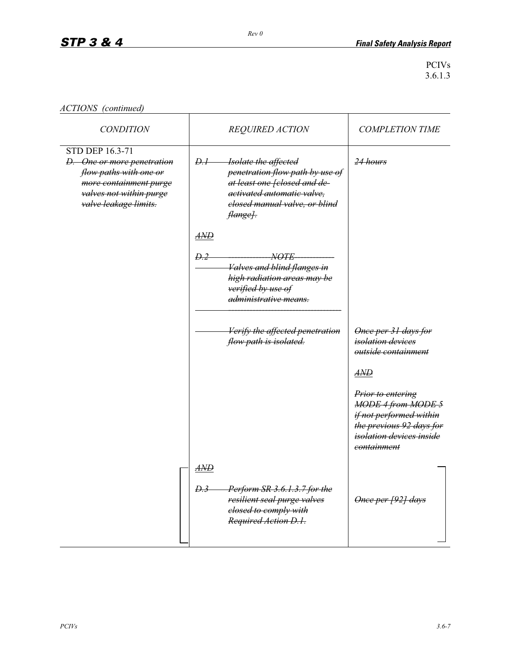| ACTIONS (continued) |  |
|---------------------|--|
|---------------------|--|

| <b>CONDITION</b>                                                                                                                                             | <b>REQUIRED ACTION</b>                                                                                                                                                                 | <b>COMPLETION TIME</b>                                                                                                                                                                                                    |
|--------------------------------------------------------------------------------------------------------------------------------------------------------------|----------------------------------------------------------------------------------------------------------------------------------------------------------------------------------------|---------------------------------------------------------------------------------------------------------------------------------------------------------------------------------------------------------------------------|
| <b>STD DEP 16.3-71</b><br>D. One or more penetration<br>flow paths with one or<br>more containment purge<br>valves not within purge<br>valve leakage limits. | <del>D.I -</del><br>Isolate the affected<br>penetration flow path by use of<br>at least one felosed and de-<br>activated automatic valve,<br>closed manual valve, or blind<br>flange]. | 24 hours                                                                                                                                                                                                                  |
|                                                                                                                                                              | $A\!M\!D$<br>D.2<br><i>NOTE</i><br>Valves and blind flanges in<br>high radiation areas may be<br>verified by use of<br><del>administrative means.</del>                                |                                                                                                                                                                                                                           |
|                                                                                                                                                              | Verify the affected penetration<br>flow path is isolated.                                                                                                                              | Once per 31 days for<br><i>isolation devices</i><br>outside containment<br>$A\!N\!D$<br>Prior to entering<br><b>MODE 4 from MODE 5</b><br>if not performed within<br>the previous 92 days for<br>isolation devices inside |
|                                                                                                                                                              | $A\!M\!D$<br>D.3<br>Perform SR 3.6.1.3.7 for the<br>resilient seal purge valves<br>elosed to comply with<br>Required Action D.1.                                                       | eontainment<br>Once per [92] days                                                                                                                                                                                         |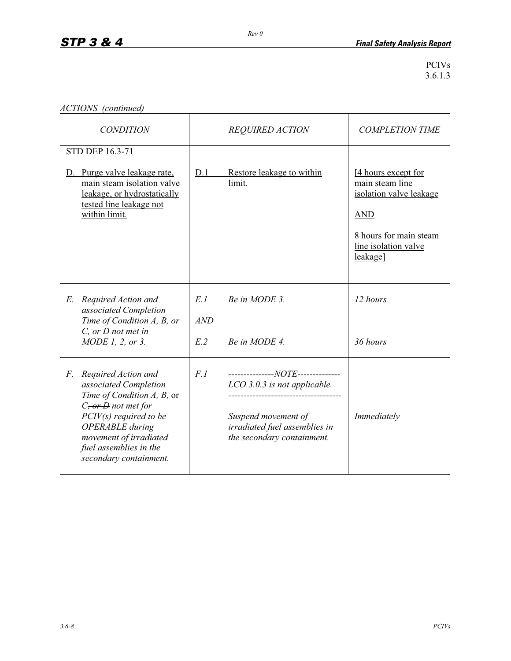|  | ACTIONS (continued) |
|--|---------------------|
|--|---------------------|

| <b>CONDITION</b>                                                                                                                                                                                                                                | <b>REQUIRED ACTION</b>   |                                                                                                                                                         | <b>COMPLETION TIME</b>                                                                                                                        |
|-------------------------------------------------------------------------------------------------------------------------------------------------------------------------------------------------------------------------------------------------|--------------------------|---------------------------------------------------------------------------------------------------------------------------------------------------------|-----------------------------------------------------------------------------------------------------------------------------------------------|
| STD DEP 16.3-71<br>D. Purge valve leakage rate,<br>main steam isolation valve<br>leakage, or hydrostatically<br>tested line leakage not<br>within limit.                                                                                        | D.1                      | Restore leakage to within<br>limit.                                                                                                                     | [4 hours except for<br>main steam line<br>isolation valve leakage<br><b>AND</b><br>8 hours for main steam<br>line isolation valve<br>leakage] |
| Required Action and<br>E.<br>associated Completion<br>Time of Condition A, B, or<br>$C$ , or $D$ not met in<br>MODE 1, 2, or 3.                                                                                                                 | E.1<br><b>AND</b><br>E.2 | Be in MODE 3.<br>Be in MODE 4.                                                                                                                          | 12 hours<br>36 hours                                                                                                                          |
| Required Action and<br>F.<br>associated Completion<br>Time of Condition A, B, or<br>$Cz$ or $D$ not met for<br>$PCIV(s)$ required to be<br><b>OPERABLE</b> during<br>movement of irradiated<br>fuel assemblies in the<br>secondary containment. | F.1                      | ---------------NOTE--------------<br>LCO 3.0.3 is not applicable.<br>Suspend movement of<br>irradiated fuel assemblies in<br>the secondary containment. | Immediately                                                                                                                                   |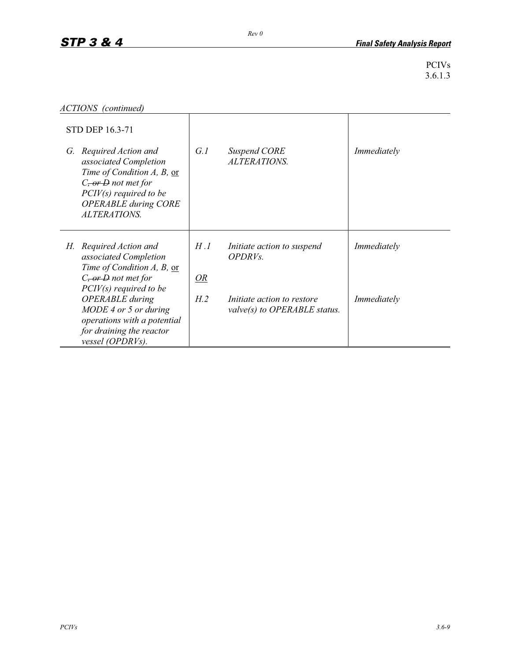```
ACTIONS (continued)
```

|    | <b>STD DEP 16.3-71</b>                                                                                                                                                                    |           |                                                                   |             |
|----|-------------------------------------------------------------------------------------------------------------------------------------------------------------------------------------------|-----------|-------------------------------------------------------------------|-------------|
|    | G. Required Action and<br>associated Completion<br>Time of Condition A, B, or<br>$C_{\tau}$ or $D$ not met for<br>$PCIV(s)$ required to be<br><b>OPERABLE during CORE</b><br>ALTERATIONS. | G.I       | Suspend CORE<br>ALTERATIONS.                                      | Immediately |
| Н. | Required Action and<br>associated Completion<br>Time of Condition A, B, or<br>$C$ , or $D$ not met for                                                                                    | H.I<br>OR | Initiate action to suspend<br>OPDRV <sub>s</sub> .                | Immediately |
|    | $PCIV(s)$ required to be<br><b>OPERABLE</b> during<br>MODE 4 or 5 or during<br>operations with a potential<br>for draining the reactor<br>vessel (OPDRVs).                                | H.2       | <i>Initiate action to restore</i><br>valve(s) to OPERABLE status. | Immediately |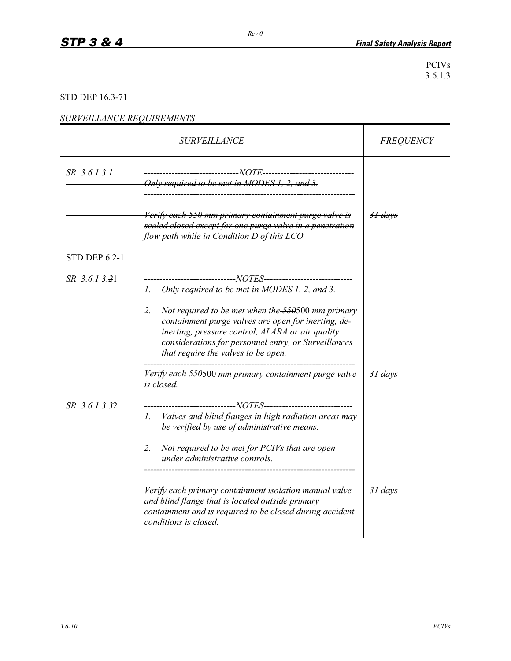## STD DEP 16.3-71

## *SURVEILLANCE REQUIREMENTS*

|                      | <b>SURVEILLANCE</b>                                                                                                                                                                                                                                                                                                                                                                                                                                                         | <b>FREQUENCY</b>   |
|----------------------|-----------------------------------------------------------------------------------------------------------------------------------------------------------------------------------------------------------------------------------------------------------------------------------------------------------------------------------------------------------------------------------------------------------------------------------------------------------------------------|--------------------|
| SR 3.6.1.3.1         | -NOTE<br>Only required to be met in MODES 1, 2, and 3.                                                                                                                                                                                                                                                                                                                                                                                                                      |                    |
|                      | Verify each 550 mm primary containment purge valve is<br>sealed closed except for one purge valve in a penetration<br>flow path while in Condition D of this LCO.                                                                                                                                                                                                                                                                                                           | <del>31 days</del> |
| <b>STD DEP 6.2-1</b> |                                                                                                                                                                                                                                                                                                                                                                                                                                                                             |                    |
| SR 3.6.1.3.21        | ----------------------------NOTES-----------------------------<br>Only required to be met in MODES 1, 2, and 3.<br>Ι.<br>2.<br>Not required to be met when the 550500 mm primary<br>containment purge valves are open for inerting, de-<br>inerting, pressure control, ALARA or air quality<br>considerations for personnel entry, or Surveillances<br>that require the valves to be open.<br>Verify each-550500 mm primary containment purge valve<br>is closed.           | $31 \, days$       |
| SR 3.6.1.3.32        | -----------------------NOTES------------------------<br>Valves and blind flanges in high radiation areas may<br>$\Gamma$ .<br>be verified by use of administrative means.<br>$2^{1}$<br>Not required to be met for PCIVs that are open<br>under administrative controls.<br>Verify each primary containment isolation manual valve<br>and blind flange that is located outside primary<br>containment and is required to be closed during accident<br>conditions is closed. | 31 days            |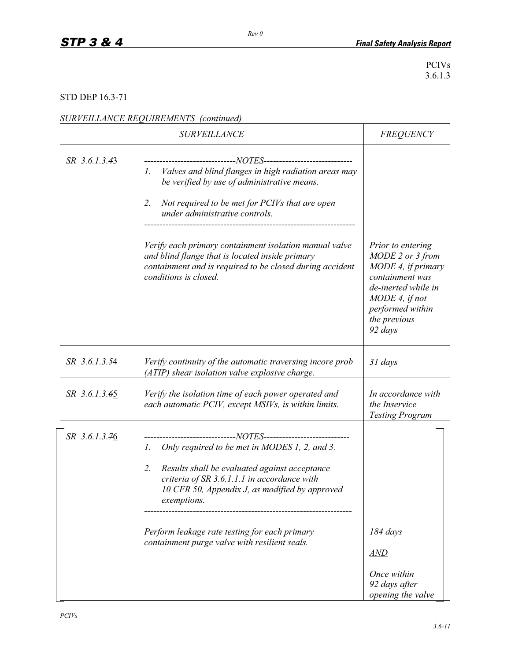## STD DEP 16.3-71

| SURVEILLANCE REQUIREMENTS (continued) |  |
|---------------------------------------|--|
|                                       |  |

|               | <i><b>SURVEILLANCE</b></i>                                                                                                                                                                                                                                                                                                                                                                               | <b>FREQUENCY</b>                                                                                                                                                       |
|---------------|----------------------------------------------------------------------------------------------------------------------------------------------------------------------------------------------------------------------------------------------------------------------------------------------------------------------------------------------------------------------------------------------------------|------------------------------------------------------------------------------------------------------------------------------------------------------------------------|
| SR 3.6.1.3.43 | ----------------------NOTES-----------------------------<br>Valves and blind flanges in high radiation areas may<br>Ι.<br>be verified by use of administrative means.<br>Not required to be met for PCIVs that are open<br>2.<br>under administrative controls.                                                                                                                                          |                                                                                                                                                                        |
|               | Verify each primary containment isolation manual valve<br>and blind flange that is located inside primary<br>containment and is required to be closed during accident<br>conditions is closed.                                                                                                                                                                                                           | Prior to entering<br>MODE 2 or 3 from<br>MODE 4, if primary<br>containment was<br>de-inerted while in<br>MODE 4, if not<br>performed within<br>the previous<br>92 days |
| SR 3.6.1.3.54 | Verify continuity of the automatic traversing incore prob<br>(ATIP) shear isolation valve explosive charge.                                                                                                                                                                                                                                                                                              | 31 days                                                                                                                                                                |
| SR 3.6.1.3.65 | Verify the isolation time of each power operated and<br>each automatic PCIV, except MSIVs, is within limits.                                                                                                                                                                                                                                                                                             | In accordance with<br>the Inservice<br><b>Testing Program</b>                                                                                                          |
| SR 3.6.1.3.76 | ---------------------NOTES----------------------------<br>Only required to be met in MODES 1, 2, and 3.<br>$\mathcal{L}$<br>Results shall be evaluated against acceptance<br>2.<br>criteria of SR 3.6.1.1.1 in accordance with<br>10 CFR 50, Appendix J, as modified by approved<br><i>exemptions.</i><br>Perform leakage rate testing for each primary<br>containment purge valve with resilient seals. | 184 days<br>AND<br>Once within<br>92 days after<br>opening the valve                                                                                                   |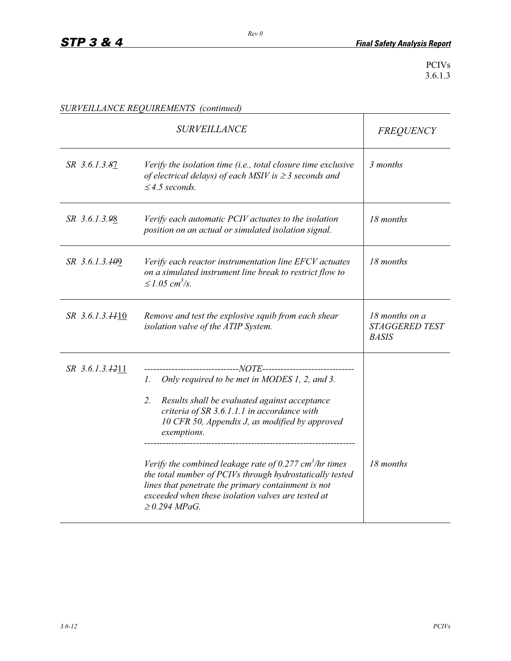|                             | <b>SURVEILLANCE</b>                                                                                                                                                                                                                                                                                                                                                                                                                                                                                                                                   | <b>FREQUENCY</b>                                        |
|-----------------------------|-------------------------------------------------------------------------------------------------------------------------------------------------------------------------------------------------------------------------------------------------------------------------------------------------------------------------------------------------------------------------------------------------------------------------------------------------------------------------------------------------------------------------------------------------------|---------------------------------------------------------|
| SR 3.6.1.3.87               | Verify the isolation time (i.e., total closure time exclusive<br>of electrical delays) of each MSIV is $\geq$ 3 seconds and<br>$\leq$ 4.5 seconds.                                                                                                                                                                                                                                                                                                                                                                                                    | 3 months                                                |
| SR 3.6.1.3.98               | Verify each automatic PCIV actuates to the isolation<br>position on an actual or simulated isolation signal.                                                                                                                                                                                                                                                                                                                                                                                                                                          | 18 months                                               |
| SR 3.6.1.3. <del>10</del> 9 | Verify each reactor instrumentation line EFCV actuates<br>on a simulated instrument line break to restrict flow to<br>$\leq 1.05$ cm <sup>3</sup> /s.                                                                                                                                                                                                                                                                                                                                                                                                 | 18 months                                               |
| $SR$ 3.6.1.3. $\#10$        | Remove and test the explosive squib from each shear<br>isolation valve of the ATIP System.                                                                                                                                                                                                                                                                                                                                                                                                                                                            | 18 months on a<br><b>STAGGERED TEST</b><br><b>BASIS</b> |
| SR 3.6.1.3.1211             | -----------------NOTE-----------------<br>Only required to be met in MODES 1, 2, and 3.<br>$\mathcal{L}$<br>2.<br>Results shall be evaluated against acceptance<br>criteria of SR 3.6.1.1.1 in accordance with<br>10 CFR 50, Appendix J, as modified by approved<br>exemptions.<br>Verify the combined leakage rate of 0.277 cm <sup>3</sup> /hr times<br>the total number of PCIVs through hydrostatically tested<br>lines that penetrate the primary containment is not<br>exceeded when these isolation valves are tested at<br>$\geq$ 0.294 MPaG. | 18 months                                               |

*SURVEILLANCE REQUIREMENTS (continued)*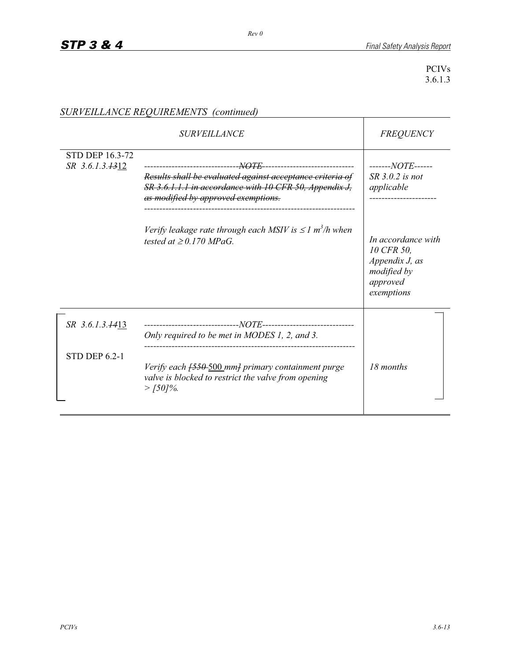|                                           | <i><b>SURVEILLANCE</b></i>                                                                                                                                                                                                                                                                                                                            | <b>FREQUENCY</b>                                                                                                                                    |
|-------------------------------------------|-------------------------------------------------------------------------------------------------------------------------------------------------------------------------------------------------------------------------------------------------------------------------------------------------------------------------------------------------------|-----------------------------------------------------------------------------------------------------------------------------------------------------|
| <b>STD DEP 16.3-72</b><br>SR 3.6.1.3.1312 | -------------------------------- <u>NOTE</u> ------------------------------<br>Results shall be evaluated against acceptance criteria of<br>SR 3.6.1.1.1 in accordance with 10 CFR 50, Appendix J,<br>as modified by approved exemptions.<br>Verify leakage rate through each MSIV is $\leq 1$ m <sup>3</sup> /h when<br>tested at $\geq$ 0.170 MPaG. | -------NOTE------<br>$SR$ 3.0.2 is not<br>applicable<br>In accordance with<br>10 CFR 50,<br>Appendix J, as<br>modified by<br>approved<br>exemptions |
| SR 3.6.1.3.1413                           | Only required to be met in MODES 1, 2, and 3.                                                                                                                                                                                                                                                                                                         |                                                                                                                                                     |
| <b>STD DEP 6.2-1</b>                      | Verify each <del>[550-500</del> mm] primary containment purge<br>valve is blocked to restrict the valve from opening<br>$>$ [50]%.                                                                                                                                                                                                                    | 18 months                                                                                                                                           |

# *SURVEILLANCE REQUIREMENTS (continued)*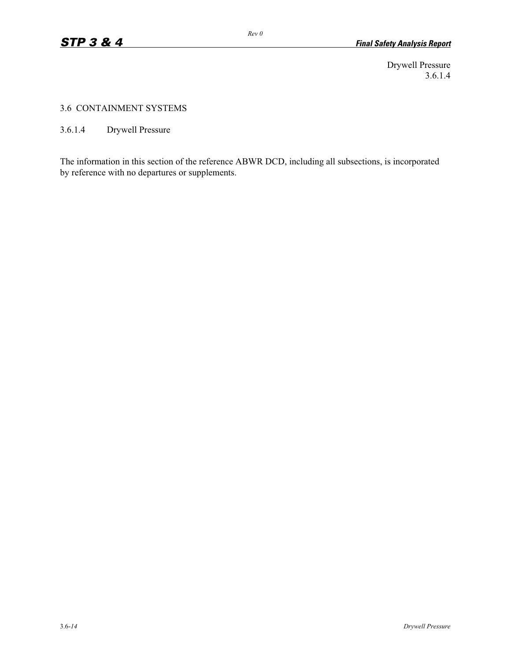Drywell Pressure 3.6.1.4

#### 3.6 CONTAINMENT SYSTEMS

3.6.1.4 Drywell Pressure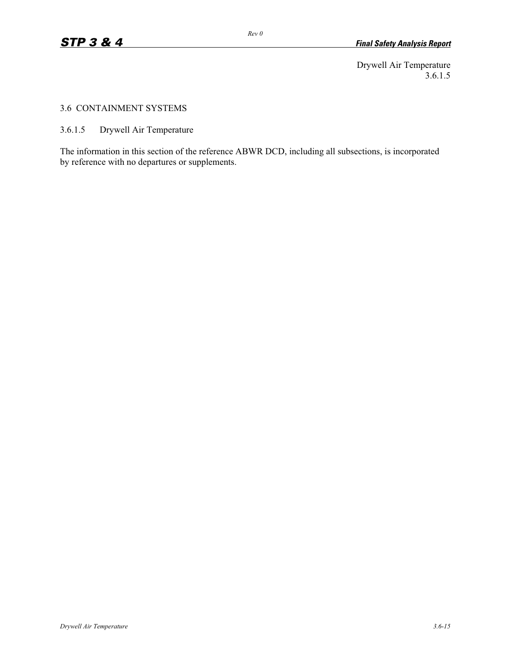Drywell Air Temperature 3.6.1.5

#### 3.6 CONTAINMENT SYSTEMS

3.6.1.5 Drywell Air Temperature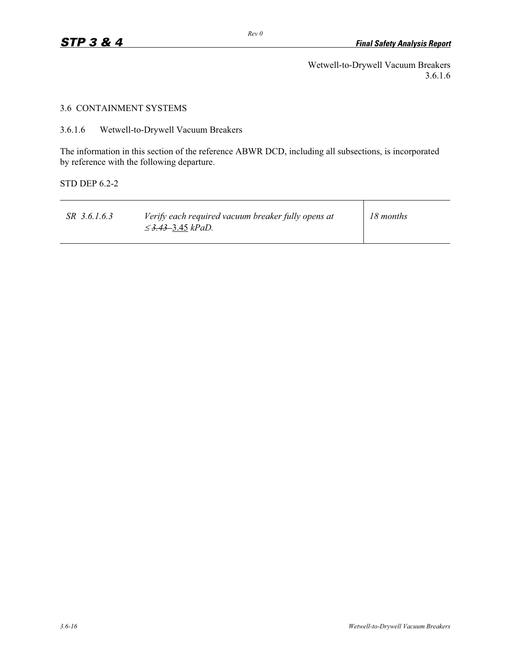Wetwell-to-Drywell Vacuum Breakers 3.6.1.6

# 3.6 CONTAINMENT SYSTEMS

3.6.1.6 Wetwell-to-Drywell Vacuum Breakers

The information in this section of the reference ABWR DCD, including all subsections, is incorporated by reference with the following departure.

STD DEP 6.2-2

| SR 3.6.1.6.3 | Verify each required vacuum breaker fully opens at<br>$\leq$ 3.43–3.45 kPaD. | 18 months |
|--------------|------------------------------------------------------------------------------|-----------|
|--------------|------------------------------------------------------------------------------|-----------|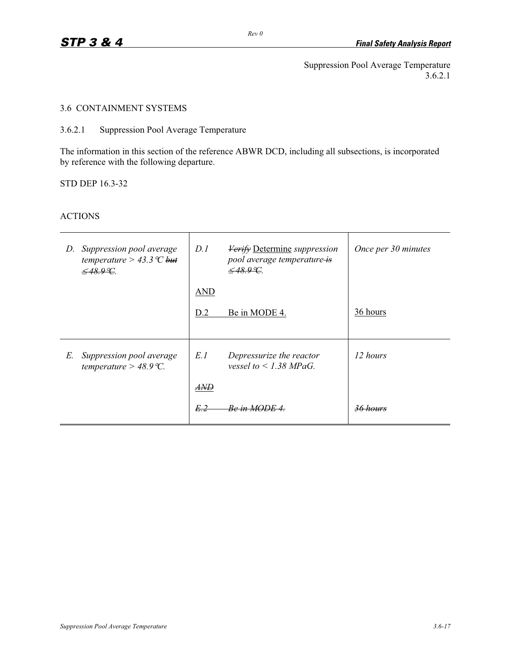Suppression Pool Average Temperature 3.6.2.1

# 3.6 CONTAINMENT SYSTEMS

# 3.6.2.1 Suppression Pool Average Temperature

The information in this section of the reference ABWR DCD, including all subsections, is incorporated by reference with the following departure.

STD DEP 16.3-32

# ACTIONS

| D. | Suppression pool average<br>temperature > 43.3 $\mathcal{C}$ but<br>$\leq$ 48.9 °C. | D.I        | <b>Verify Determine</b> suppression<br>pool average temperature is<br>$-48.99$ | Once per 30 minutes |
|----|-------------------------------------------------------------------------------------|------------|--------------------------------------------------------------------------------|---------------------|
|    |                                                                                     | <b>AND</b> |                                                                                |                     |
|    |                                                                                     | D.2        | Be in MODE 4.                                                                  | 36 hours            |
|    |                                                                                     |            |                                                                                |                     |
| E. | Suppression pool average<br>temperature > 48.9 °C.                                  | E.1        | Depressurize the reactor<br>vessel to $\leq$ 1.38 MPaG.                        | 12 hours            |
|    |                                                                                     | <i>AND</i> |                                                                                |                     |
|    |                                                                                     | E.2        | in MODE 4                                                                      |                     |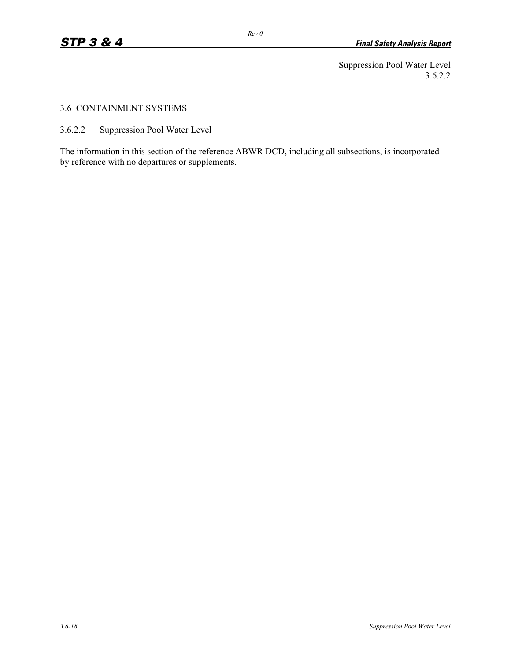Suppression Pool Water Level 3.6.2.2

### 3.6 CONTAINMENT SYSTEMS

3.6.2.2 Suppression Pool Water Level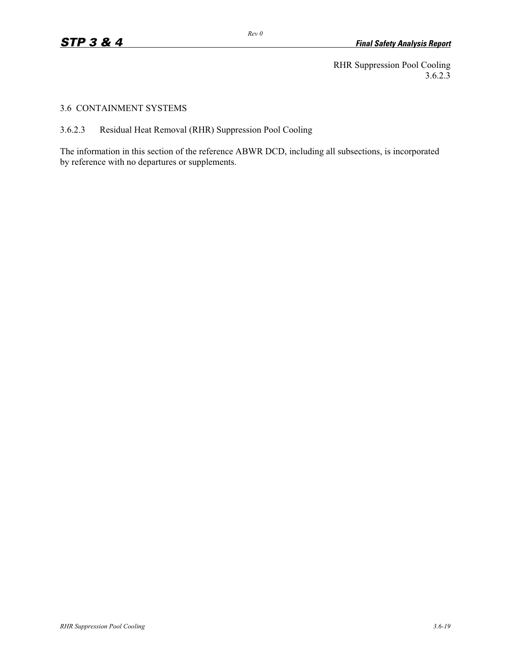RHR Suppression Pool Cooling 3.6.2.3

#### 3.6 CONTAINMENT SYSTEMS

3.6.2.3 Residual Heat Removal (RHR) Suppression Pool Cooling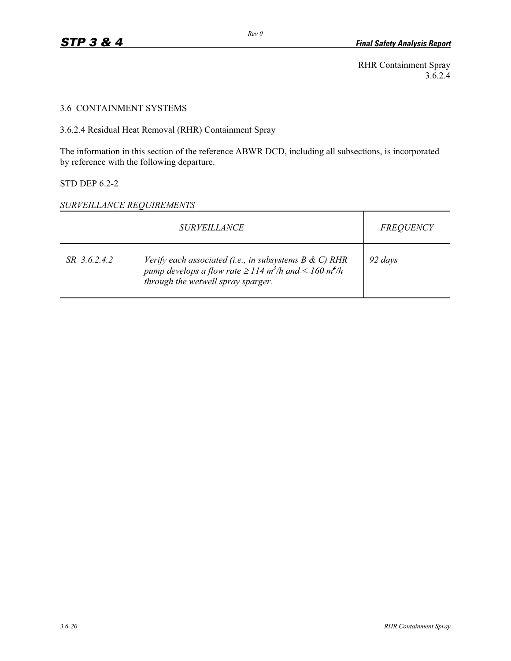RHR Containment Spray 3.6.2.4

# 3.6 CONTAINMENT SYSTEMS

3.6.2.4 Residual Heat Removal (RHR) Containment Spray

The information in this section of the reference ABWR DCD, including all subsections, is incorporated by reference with the following departure.

# STD DEP 6.2-2

# *SURVEILLANCE REQUIREMENTS*

|              | <i>SURVEILLANCE</i>                                                                                                                                                                         | <b>FREQUENCY</b> |
|--------------|---------------------------------------------------------------------------------------------------------------------------------------------------------------------------------------------|------------------|
| SR 3.6.2.4.2 | Verify each associated (i.e., in subsystems $B \& C$ ) RHR<br>pump develops a flow rate $\geq$ 114 m <sup>3</sup> /h and $\leq$ 160 m <sup>3</sup> /h<br>through the wetwell spray sparger. | 92 days          |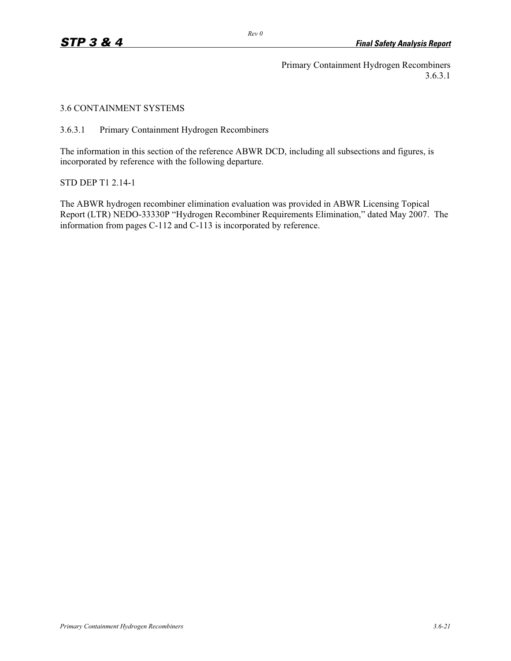Primary Containment Hydrogen Recombiners 3.6.3.1

3.6 CONTAINMENT SYSTEMS

3.6.3.1 Primary Containment Hydrogen Recombiners

The information in this section of the reference ABWR DCD, including all subsections and figures, is incorporated by reference with the following departure.

STD DEP T1 2.14-1

The ABWR hydrogen recombiner elimination evaluation was provided in ABWR Licensing Topical Report (LTR) NEDO-33330P "Hydrogen Recombiner Requirements Elimination," dated May 2007. The information from pages C-112 and C-113 is incorporated by reference.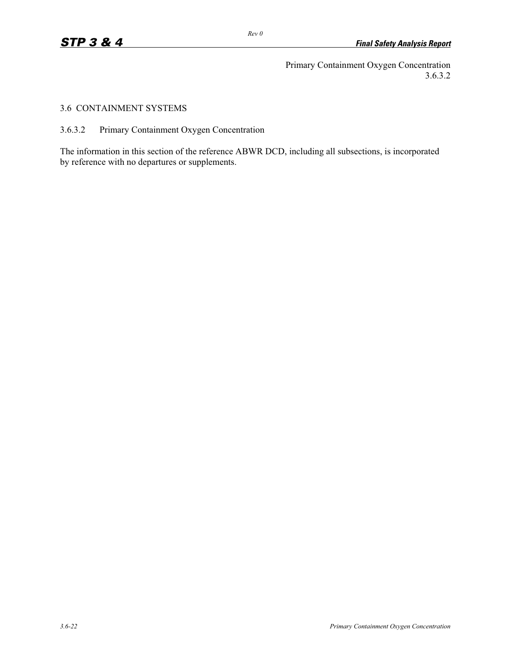Primary Containment Oxygen Concentration 3.6.3.2

### 3.6 CONTAINMENT SYSTEMS

3.6.3.2 Primary Containment Oxygen Concentration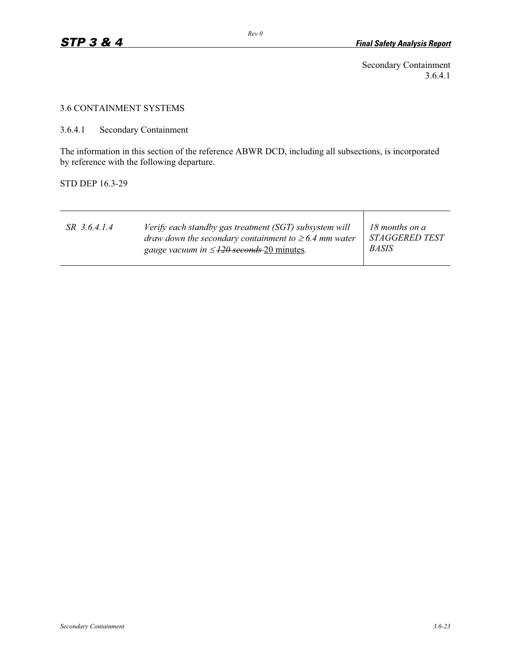Secondary Containment 3.6.4.1

### 3.6 CONTAINMENT SYSTEMS

3.6.4.1 Secondary Containment

The information in this section of the reference ABWR DCD, including all subsections, is incorporated by reference with the following departure.

STD DEP 16.3-29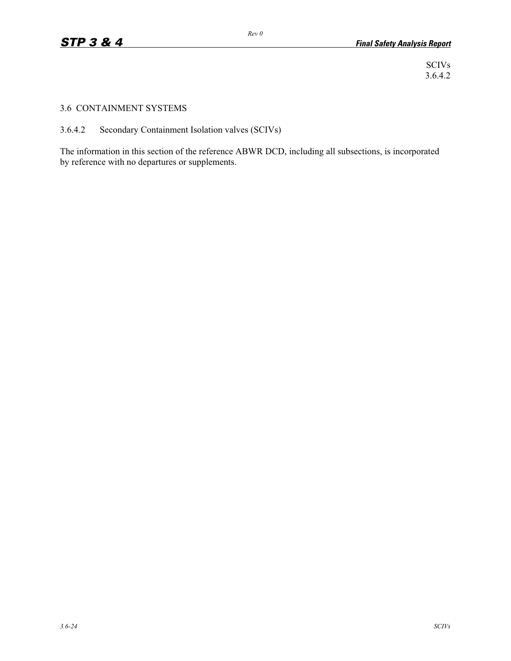SCIVs 3.6.4.2

#### 3.6 CONTAINMENT SYSTEMS

3.6.4.2 Secondary Containment Isolation valves (SCIVs)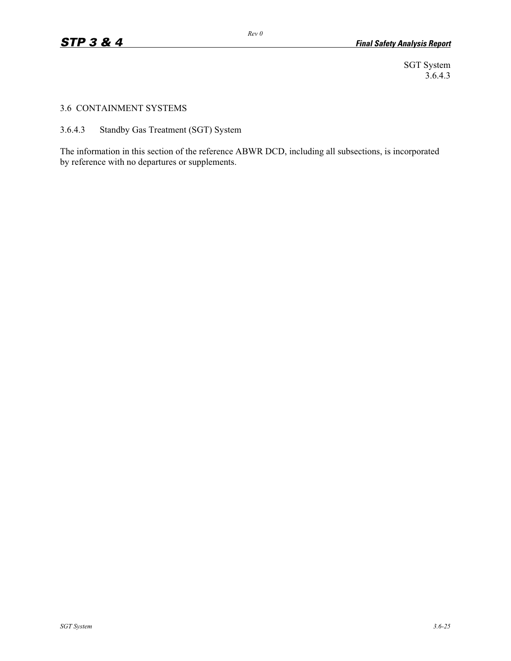SGT System 3.6.4.3

### 3.6 CONTAINMENT SYSTEMS

3.6.4.3 Standby Gas Treatment (SGT) System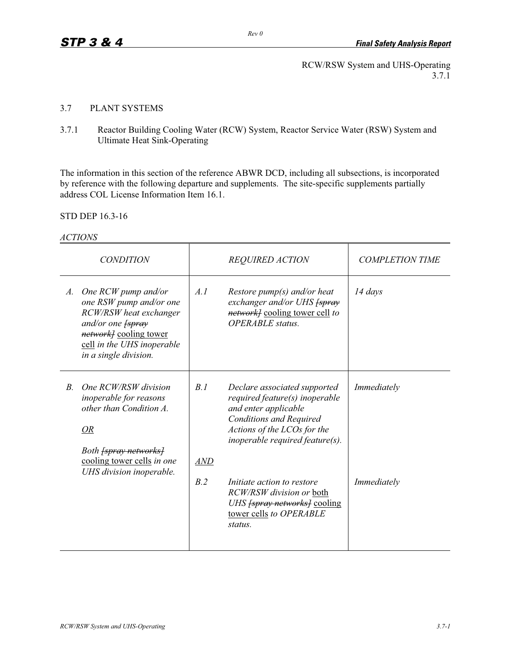## 3.7 PLANT SYSTEMS

3.7.1 Reactor Building Cooling Water (RCW) System, Reactor Service Water (RSW) System and Ultimate Heat Sink-Operating

The information in this section of the reference ABWR DCD, including all subsections, is incorporated by reference with the following departure and supplements. The site-specific supplements partially address COL License Information Item 16.1.

STD DEP 16.3-16

| 'TIONS<br>A. |
|--------------|
|--------------|

|             | <i>CONDITION</i>                                                                                                                                                                      |                   | <b>REQUIRED ACTION</b>                                                                                                                                                                     | <b>COMPLETION TIME</b> |
|-------------|---------------------------------------------------------------------------------------------------------------------------------------------------------------------------------------|-------------------|--------------------------------------------------------------------------------------------------------------------------------------------------------------------------------------------|------------------------|
| A.          | One RCW pump and/or<br>one RSW pump and/or one<br>RCW/RSW heat exchanger<br>and/or one fspray<br><i>networkl</i> cooling tower<br>cell in the UHS inoperable<br>in a single division. | A.I               | Restore $pump(s)$ and/or heat<br>exchanger and/or UHS [spray]<br><i>network[</i> cooling tower cell to<br><b>OPERABLE</b> status.                                                          | $14 \, days$           |
| $B_{\cdot}$ | One RCW/RSW division<br><i>inoperable for reasons</i><br>other than Condition A.<br>OR<br>Both <del>[spray networks]</del><br>cooling tower cells in one                              | B.1<br><b>AND</b> | Declare associated supported<br>required feature(s) inoperable<br>and enter applicable<br><b>Conditions and Required</b><br>Actions of the LCOs for the<br>inoperable required feature(s). | Immediately            |
|             | UHS division inoperable.                                                                                                                                                              | B.2               | Initiate action to restore<br>RCW/RSW division or both<br>UHS <i>[spray networks]</i> cooling<br>tower cells to OPERABLE<br>status.                                                        | Immediately            |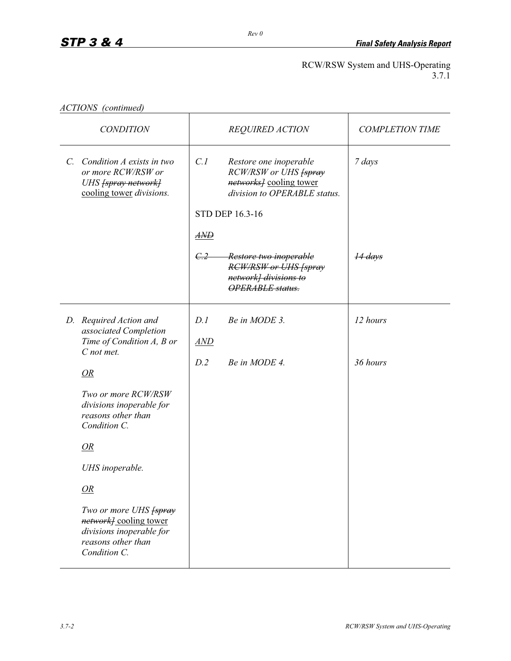|  | ACTIONS (continued) |
|--|---------------------|
|--|---------------------|

| <b>CONDITION</b> |                                                                                                                                        |                  | <b>REQUIRED ACTION</b>                                                                                     | <b>COMPLETION TIME</b> |
|------------------|----------------------------------------------------------------------------------------------------------------------------------------|------------------|------------------------------------------------------------------------------------------------------------|------------------------|
|                  | C. Condition A exists in two<br>or more RCW/RSW or<br>UHS [spray network]<br>cooling tower divisions.                                  | C.1              | Restore one inoperable<br>RCW/RSW or UHS [spray<br>networks] cooling tower<br>division to OPERABLE status. | 7 days                 |
|                  |                                                                                                                                        |                  | STD DEP 16.3-16                                                                                            |                        |
|                  |                                                                                                                                        | $\overline{AND}$ |                                                                                                            |                        |
|                  |                                                                                                                                        | C.2              | Restore two inoperable<br><b>RCW/RSW or UHS [spray</b><br>network] divisions to<br><b>OPERABLE</b> status. | 14 days                |
|                  | D. Required Action and<br>associated Completion<br>Time of Condition A, B or<br>C not met.                                             | D.1<br>AND       | Be in MODE 3.                                                                                              | 12 hours               |
|                  | OR                                                                                                                                     | D.2              | Be in MODE 4.                                                                                              | 36 hours               |
|                  | Two or more RCW/RSW<br>divisions inoperable for<br>reasons other than<br>Condition C.                                                  |                  |                                                                                                            |                        |
|                  | OR                                                                                                                                     |                  |                                                                                                            |                        |
|                  | UHS inoperable.                                                                                                                        |                  |                                                                                                            |                        |
|                  | OR                                                                                                                                     |                  |                                                                                                            |                        |
|                  | Two or more UHS <del>[spray</del> ]<br><i>network]</i> cooling tower<br>divisions inoperable for<br>reasons other than<br>Condition C. |                  |                                                                                                            |                        |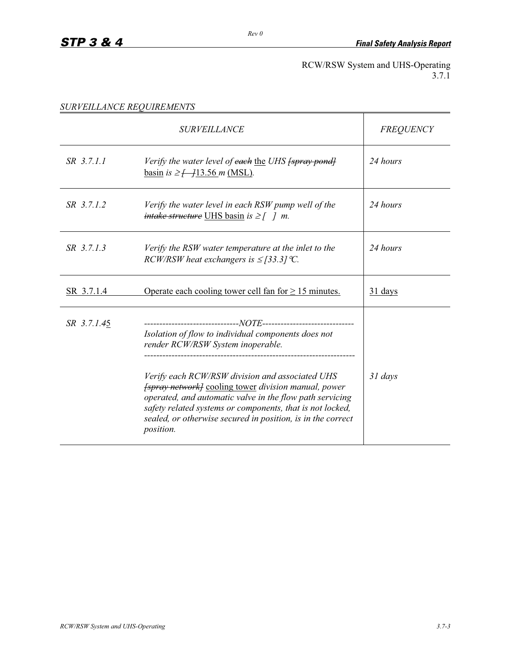*SURVEILLANCE REQUIREMENTS* 

|             | <i><b>SURVEILLANCE</b></i>                                                                                                                                                                                                                                                                                                                                                                                             | <b>FREQUENCY</b> |
|-------------|------------------------------------------------------------------------------------------------------------------------------------------------------------------------------------------------------------------------------------------------------------------------------------------------------------------------------------------------------------------------------------------------------------------------|------------------|
| SR 3.7.1.1  | Verify the water level of each the UHS [spray pond]<br><u>basin</u> is $\geq$ $\frac{13.56 \text{ m} (MSL)}{2}$ .                                                                                                                                                                                                                                                                                                      | 24 hours         |
| SR 3.7.1.2  | Verify the water level in each RSW pump well of the<br><i>intake structure</i> UHS basin is $\geq$ [ ] m.                                                                                                                                                                                                                                                                                                              | 24 hours         |
| SR 3.7.1.3  | Verify the RSW water temperature at the inlet to the<br>RCW/RSW heat exchangers is $\leq$ [33.3] °C.                                                                                                                                                                                                                                                                                                                   | 24 hours         |
| SR 3.7.1.4  | Operate each cooling tower cell fan for $\geq 15$ minutes.                                                                                                                                                                                                                                                                                                                                                             | 31 days          |
| SR 3.7.1.45 | Isolation of flow to individual components does not<br>render RCW/RSW System inoperable.<br>Verify each RCW/RSW division and associated UHS<br><i>[spray network]</i> cooling tower <i>division manual, power</i><br>operated, and automatic valve in the flow path servicing<br>safety related systems or components, that is not locked,<br>sealed, or otherwise secured in position, is in the correct<br>position. | $31 \, days$     |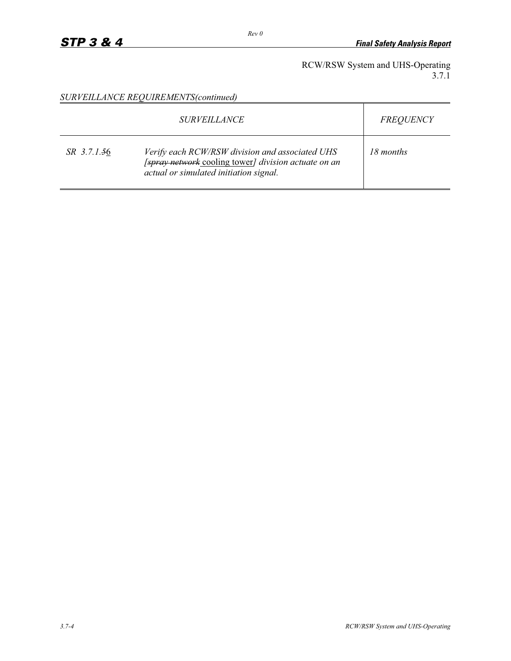*SURVEILLANCE REQUIREMENTS(continued)* 

|             | <i>SURVEILLANCE</i>                                                                                                                               | <b>FREQUENCY</b> |
|-------------|---------------------------------------------------------------------------------------------------------------------------------------------------|------------------|
| SR 3.7.1.56 | Verify each RCW/RSW division and associated UHS<br>[spray network cooling tower] division actuate on an<br>actual or simulated initiation signal. | 18 months        |

*Rev 0*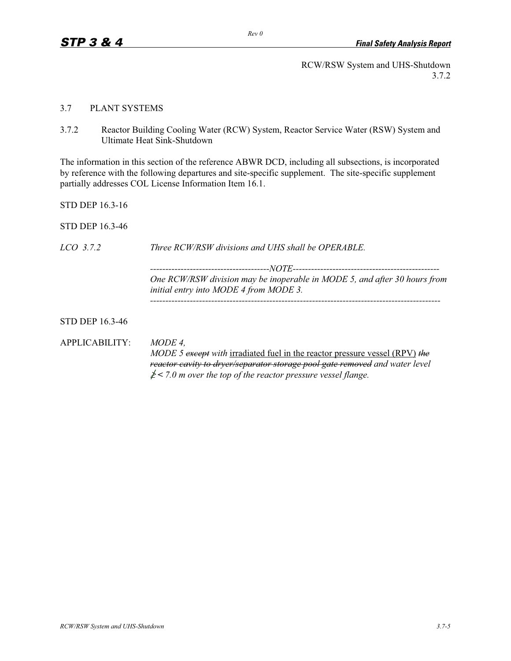#### 3.7 PLANT SYSTEMS

3.7.2 Reactor Building Cooling Water (RCW) System, Reactor Service Water (RSW) System and Ultimate Heat Sink-Shutdown

The information in this section of the reference ABWR DCD, including all subsections, is incorporated by reference with the following departures and site-specific supplement. The site-specific supplement partially addresses COL License Information Item 16.1.

STD DEP 16.3-16

STD DEP 16.3-46

*LCO 3.7.2 Three RCW/RSW divisions and UHS shall be OPERABLE. ---------------------------------------NOTE------------------------------------------------ One RCW/RSW division may be inoperable in MODE 5, and after 30 hours from initial entry into MODE 4 from MODE 3. -----------------------------------------------------------------------------------------------*  STD DEP 16.3-46 APPLICABILITY: *MODE 4, MODE 5 except with* irradiated fuel in the reactor pressure vessel (RPV) *the reactor cavity to dryer/separator storage pool gate removed and water level*   $\geq$  < 7.0 m over the top of the reactor pressure vessel flange.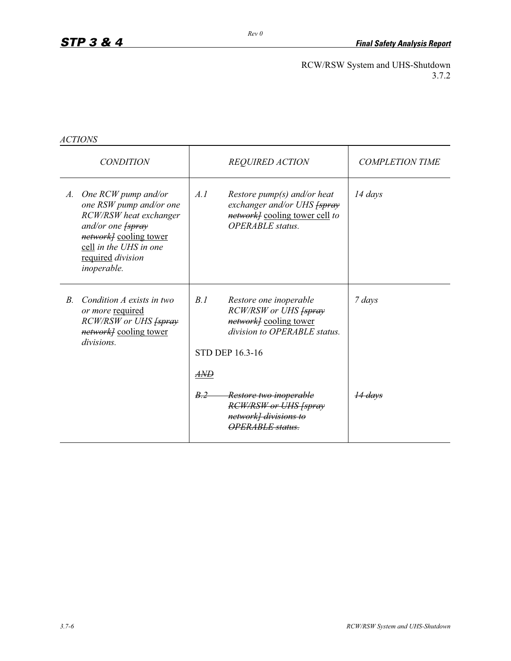*ACTIONS*

| <b>CONDITION</b> |                                                                                                                                                                                                 | <b>REQUIRED ACTION</b> |                                                                                                                                             | <b>COMPLETION TIME</b> |
|------------------|-------------------------------------------------------------------------------------------------------------------------------------------------------------------------------------------------|------------------------|---------------------------------------------------------------------------------------------------------------------------------------------|------------------------|
|                  | A. One RCW pump and/or<br>one RSW pump and/or one<br>RCW/RSW heat exchanger<br>and/or one fspray<br><i>networkl</i> cooling tower<br>cell in the UHS in one<br>required division<br>inoperable. | A.I                    | Restore $pump(s)$ and/or heat<br>exchanger and/or UHS [spray]<br><i>network[</i> cooling tower cell to<br><b>OPERABLE</b> status.           | 14 days                |
| $B_{\cdot}$      | Condition A exists in two<br>or more required<br>RCW/RSW or UHS [spray]<br><i>networkl</i> cooling tower<br><i>divisions</i> .                                                                  | B.1                    | Restore one inoperable<br>RCW/RSW or UHS [spray]<br><i>networkl</i> cooling tower<br>division to OPERABLE status.<br><b>STD DEP 16.3-16</b> | 7 days                 |
|                  |                                                                                                                                                                                                 | AND                    |                                                                                                                                             |                        |
|                  |                                                                                                                                                                                                 | B.2                    | Restore two inoperable<br><b>RCW/RSW or UHS [spray</b><br>network] divisions to<br><i><b>OPERABLE</b></i> status.                           | <del>14 davs</del>     |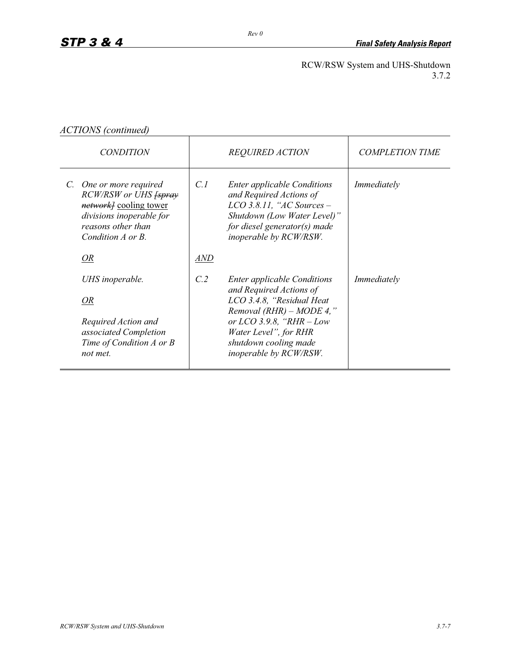*ACTIONS (continued)* 

| <i>CONDITION</i> |                                                                                                                                                           | <b>REQUIRED ACTION</b> |                                                                                                                                                                                       | <b>COMPLETION TIME</b> |
|------------------|-----------------------------------------------------------------------------------------------------------------------------------------------------------|------------------------|---------------------------------------------------------------------------------------------------------------------------------------------------------------------------------------|------------------------|
|                  | C. One or more required<br>RCW/RSW or UHS [spray]<br><i>networkl</i> cooling tower<br>divisions inoperable for<br>reasons other than<br>Condition A or B. | C.1                    | <b>Enter applicable Conditions</b><br>and Required Actions of<br>$LCO$ 3.8.11, "AC Sources -<br>Shutdown (Low Water Level)"<br>for diesel generator(s) made<br>inoperable by RCW/RSW. | Immediately            |
|                  | OR                                                                                                                                                        | <i>AND</i>             |                                                                                                                                                                                       |                        |
|                  | UHS inoperable.                                                                                                                                           | C.2                    | <b>Enter applicable Conditions</b><br>and Required Actions of                                                                                                                         | Immediately            |
|                  | OR                                                                                                                                                        |                        | LCO 3.4.8, "Residual Heat<br>Removal (RHR) – MODE 4,"                                                                                                                                 |                        |
|                  | Required Action and                                                                                                                                       |                        | or $LCO$ 3.9.8, "RHR $-Low$                                                                                                                                                           |                        |
|                  | associated Completion<br>Time of Condition A or B                                                                                                         |                        | Water Level", for RHR<br>shutdown cooling made                                                                                                                                        |                        |
|                  | not met.                                                                                                                                                  |                        | <i>inoperable by RCW/RSW.</i>                                                                                                                                                         |                        |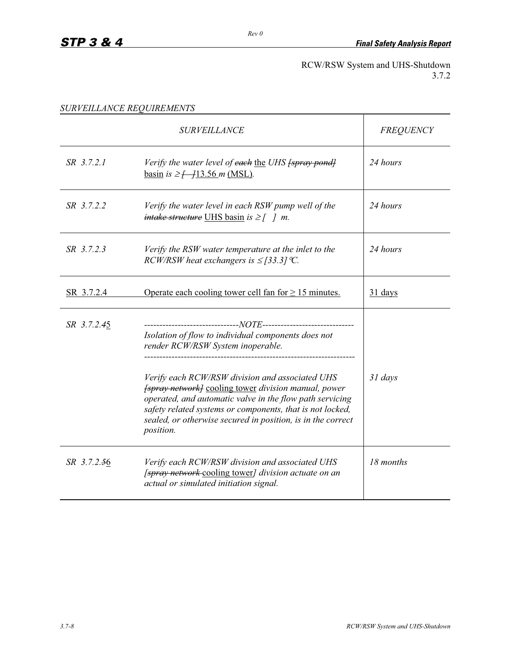*SURVEILLANCE REQUIREMENTS* 

|             | <b>SURVEILLANCE</b>                                                                                                                                                                                                                                                                                                         | <b>FREQUENCY</b> |
|-------------|-----------------------------------------------------------------------------------------------------------------------------------------------------------------------------------------------------------------------------------------------------------------------------------------------------------------------------|------------------|
| SR 3.7.2.1  | Verify the water level of each the UHS fspray pondl<br>basin is $\geq$ $\frac{13.56 \text{ m} (MSL)}{2}$ .                                                                                                                                                                                                                  | 24 hours         |
| SR 3.7.2.2  | Verify the water level in each RSW pump well of the<br><i>intake structure</i> UHS basin is $\geq$ [ ] m.                                                                                                                                                                                                                   | 24 hours         |
| SR 3.7.2.3  | Verify the RSW water temperature at the inlet to the<br>RCW/RSW heat exchangers is $\leq$ [33.3] °C.                                                                                                                                                                                                                        | 24 hours         |
| SR 3.7.2.4  | Operate each cooling tower cell fan for $\geq 15$ minutes.                                                                                                                                                                                                                                                                  | 31 days          |
| SR 3.7.2.45 | Isolation of flow to individual components does not<br>render RCW/RSW System inoperable.                                                                                                                                                                                                                                    |                  |
|             | Verify each RCW/RSW division and associated UHS<br><i>[spray network]</i> cooling tower <i>division manual</i> , power<br>operated, and automatic valve in the flow path servicing<br>safety related systems or components, that is not locked,<br>sealed, or otherwise secured in position, is in the correct<br>position. | $31$ days        |
| SR 3.7.2.56 | Verify each RCW/RSW division and associated UHS<br>[spray network cooling tower] division actuate on an<br>actual or simulated initiation signal.                                                                                                                                                                           | 18 months        |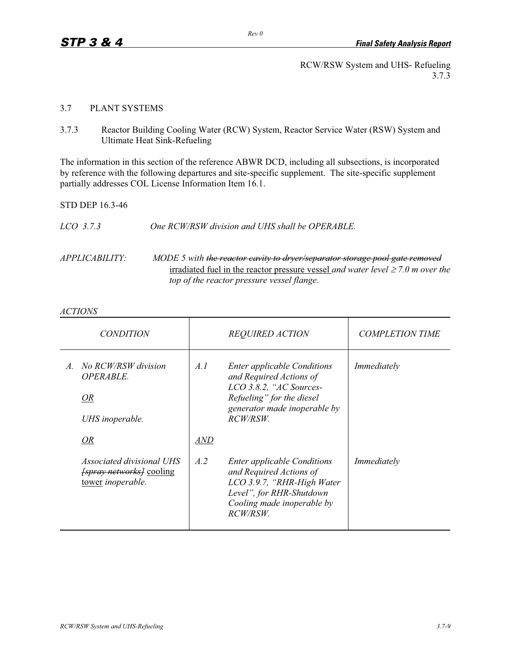RCW/RSW System and UHS- Refueling 3.7.3

### 3.7 PLANT SYSTEMS

3.7.3 Reactor Building Cooling Water (RCW) System, Reactor Service Water (RSW) System and Ultimate Heat Sink-Refueling

The information in this section of the reference ABWR DCD, including all subsections, is incorporated by reference with the following departures and site-specific supplement. The site-specific supplement partially addresses COL License Information Item 16.1.

STD DEP 16.3-46

| One RCW/RSW division and UHS shall be OPERABLE.<br>LCO 3.7.3 |
|--------------------------------------------------------------|
|--------------------------------------------------------------|

*APPLICABILITY: MODE 5 with the reactor cavity to dryer/separator storage pool gate removed* irradiated fuel in the reactor pressure vessel *and water level*  $\geq$  7.0 *m* over the *top of the reactor pressure vessel flange.* 

#### *ACTIONS*

| <i>CONDITION</i>                                                                  | <b>REQUIRED ACTION</b> |                                                                                                                                                                         | <b>COMPLETION TIME</b> |
|-----------------------------------------------------------------------------------|------------------------|-------------------------------------------------------------------------------------------------------------------------------------------------------------------------|------------------------|
| No RCW/RSW division<br>$\mathcal{A}.$<br>OPERABLE.<br>OR<br>UHS inoperable.<br>OR | A.I<br>AND             | <b>Enter applicable Conditions</b><br>and Required Actions of<br>LCO 3.8.2, "AC Sources-<br>Refueling" for the diesel<br>generator made inoperable by<br><i>RCW/RSW</i> | Immediately            |
| Associated divisional UHS<br><i>[spray networks]</i> cooling<br>tower inoperable. | A.2                    | <b>Enter applicable Conditions</b><br>and Required Actions of<br>LCO 3.9.7, "RHR-High Water<br>Level", for RHR-Shutdown<br>Cooling made inoperable by<br><i>RCW/RSW</i> | Immediately            |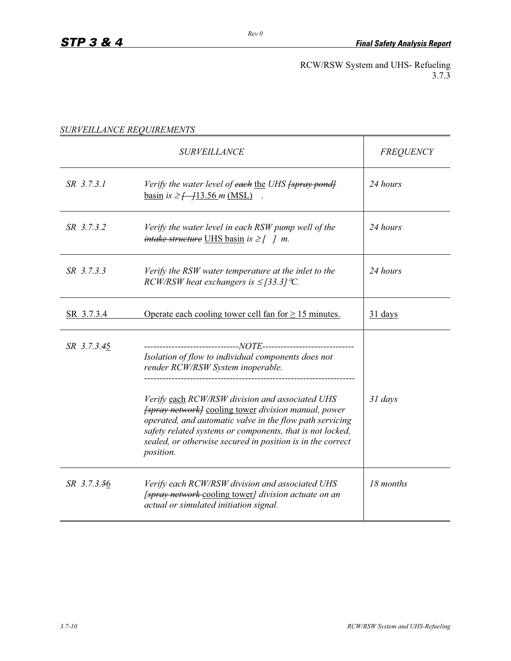RCW/RSW System and UHS- Refueling 3.7.3

|                   | <i><b>SURVEILLANCE</b></i>                                                                                                                                                                                                                                                                                                      | <b>FREQUENCY</b> |
|-------------------|---------------------------------------------------------------------------------------------------------------------------------------------------------------------------------------------------------------------------------------------------------------------------------------------------------------------------------|------------------|
| SR 3.7.3.1        | Verify the water level of each the UHS fspray pondl<br><u>basin</u> is $\geq$ $\frac{13.56 \text{ m} (MSL)}{}$                                                                                                                                                                                                                  | 24 hours         |
| SR 3.7.3.2        | Verify the water level in each RSW pump well of the<br><i>intake structure</i> UHS basin is $\geq$ [ ] m.                                                                                                                                                                                                                       | 24 hours         |
| SR 3.7.3.3        | Verify the RSW water temperature at the inlet to the<br>RCW/RSW heat exchangers is $\leq$ [33.3] °C.                                                                                                                                                                                                                            | 24 hours         |
| <u>SR 3.7.3.4</u> | Operate each cooling tower cell fan for $\geq 15$ minutes.                                                                                                                                                                                                                                                                      | 31 days          |
| SR 3.7.3.45       | Isolation of flow to individual components does not<br>render RCW/RSW System inoperable.                                                                                                                                                                                                                                        |                  |
|                   | Verify each RCW/RSW division and associated UHS<br><i><b>fspray network</b></i> cooling tower <i>division manual, power</i><br>operated, and automatic valve in the flow path servicing<br>safety related systems or components, that is not locked,<br>sealed, or otherwise secured in position is in the correct<br>position. | 31 days          |
| SR 3.7.3.56       | Verify each RCW/RSW division and associated UHS<br>[spray network cooling tower] division actuate on an<br>actual or simulated initiation signal.                                                                                                                                                                               | 18 months        |

*SURVEILLANCE REQUIREMENTS*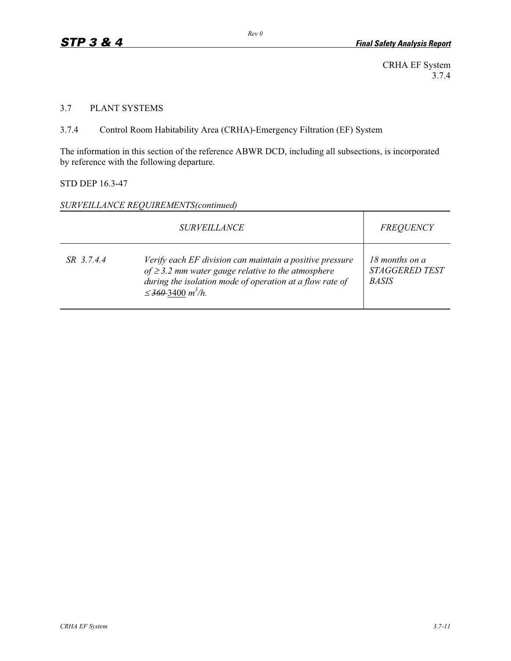CRHA EF System 3.7.4

### 3.7 PLANT SYSTEMS

3.7.4 Control Room Habitability Area (CRHA)-Emergency Filtration (EF) System

The information in this section of the reference ABWR DCD, including all subsections, is incorporated by reference with the following departure.

# STD DEP 16.3-47

#### *SURVEILLANCE REQUIREMENTS(continued)*

|            | <b>FREQUENCY</b>                                                                                                                                                                                                      |                                                         |
|------------|-----------------------------------------------------------------------------------------------------------------------------------------------------------------------------------------------------------------------|---------------------------------------------------------|
| SR 3.7.4.4 | Verify each EF division can maintain a positive pressure<br>of $\geq$ 3.2 mm water gauge relative to the atmosphere<br>during the isolation mode of operation at a flow rate of<br>$\leq$ 360–3400 m <sup>3</sup> /h. | 18 months on a<br><b>STAGGERED TEST</b><br><b>BASIS</b> |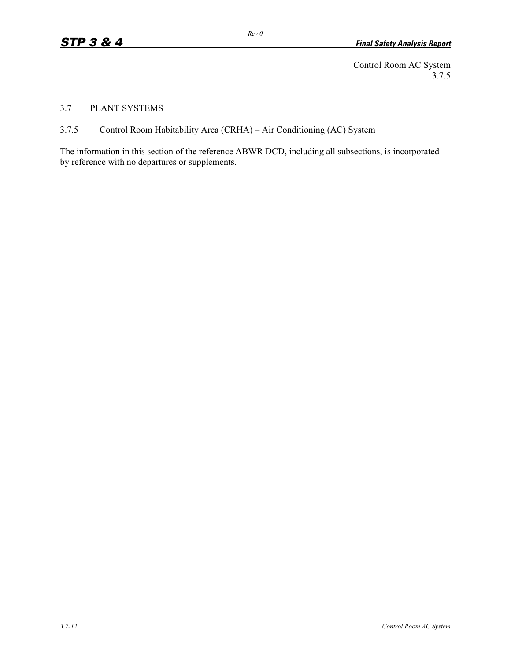Control Room AC System 3.7.5

3.7 PLANT SYSTEMS

3.7.5 Control Room Habitability Area (CRHA) – Air Conditioning (AC) System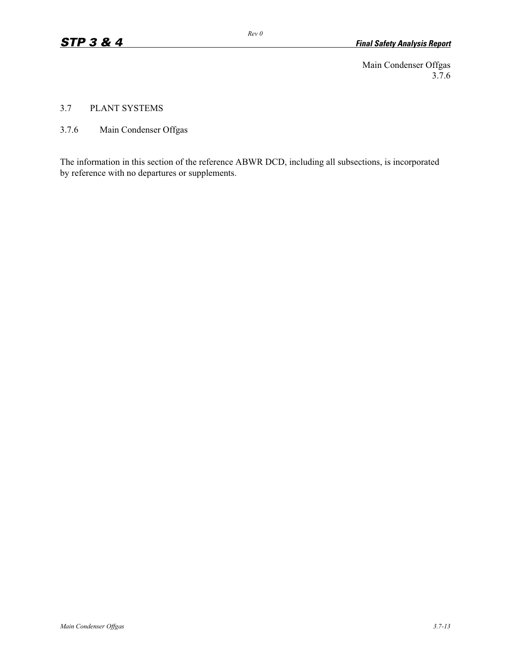Main Condenser Offgas 3.7.6

3.7 PLANT SYSTEMS

3.7.6 Main Condenser Offgas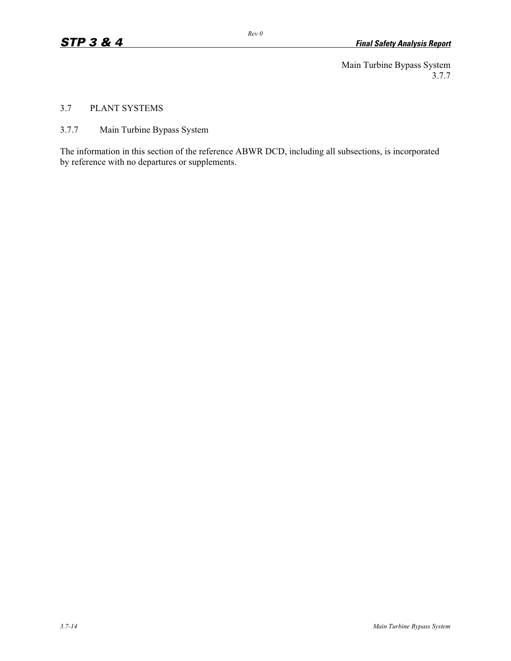Main Turbine Bypass System 3.7.7

# 3.7 PLANT SYSTEMS

3.7.7 Main Turbine Bypass System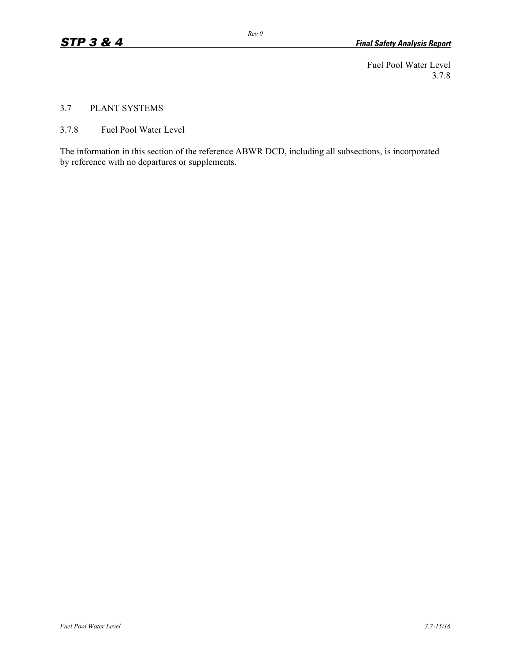Fuel Pool Water Level 3.7.8

### 3.7 PLANT SYSTEMS

3.7.8 Fuel Pool Water Level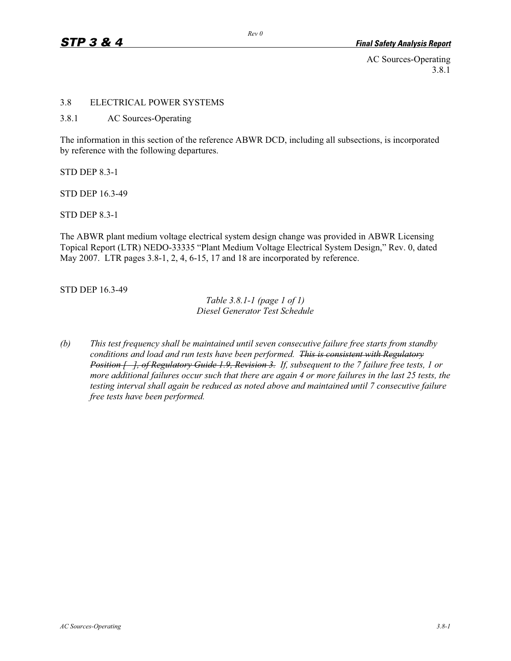AC Sources-Operating 3.8.1

#### 3.8 ELECTRICAL POWER SYSTEMS

3.8.1 AC Sources-Operating

The information in this section of the reference ABWR DCD, including all subsections, is incorporated by reference with the following departures.

STD DEP 8.3-1

STD DEP 16.3-49

STD DEP 8.3-1

The ABWR plant medium voltage electrical system design change was provided in ABWR Licensing Topical Report (LTR) NEDO-33335 "Plant Medium Voltage Electrical System Design," Rev. 0, dated May 2007. LTR pages 3.8-1, 2, 4, 6-15, 17 and 18 are incorporated by reference.

STD DEP 16.3-49

*Table 3.8.1-1 (page 1 of 1) Diesel Generator Test Schedule* 

*(b) This test frequency shall be maintained until seven consecutive failure free starts from standby conditions and load and run tests have been performed. This is consistent with Regulatory Position [ ], of Regulatory Guide 1.9, Revision 3. If, subsequent to the 7 failure free tests, 1 or more additional failures occur such that there are again 4 or more failures in the last 25 tests, the testing interval shall again be reduced as noted above and maintained until 7 consecutive failure free tests have been performed.*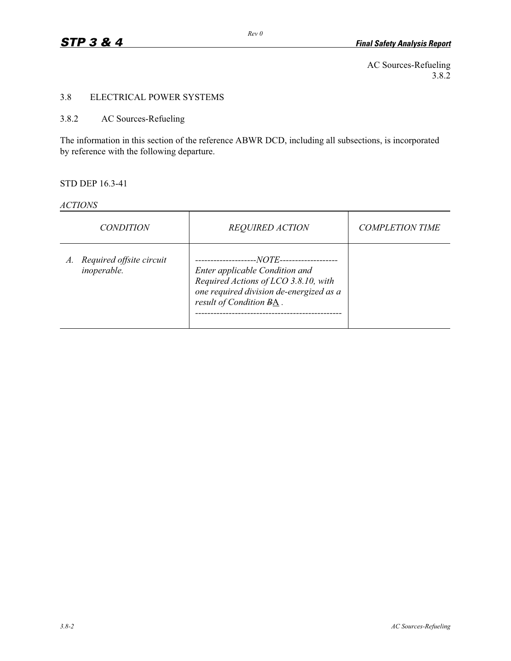AC Sources-Refueling 3.8.2

# 3.8 ELECTRICAL POWER SYSTEMS

# 3.8.2 AC Sources-Refueling

The information in this section of the reference ABWR DCD, including all subsections, is incorporated by reference with the following departure.

### STD DEP 16.3-41

| <i>ACTIONS</i> |
|----------------|
|----------------|

| <i>CONDITION</i>                           | <b>REQUIRED ACTION</b>                                                                                                                                   | <b>COMPLETION TIME</b> |
|--------------------------------------------|----------------------------------------------------------------------------------------------------------------------------------------------------------|------------------------|
| A. Required offsite circuit<br>inoperable. | --NOTE--<br>Enter applicable Condition and<br>Required Actions of LCO 3.8.10, with<br>one required division de-energized as a<br>result of Condition BA. |                        |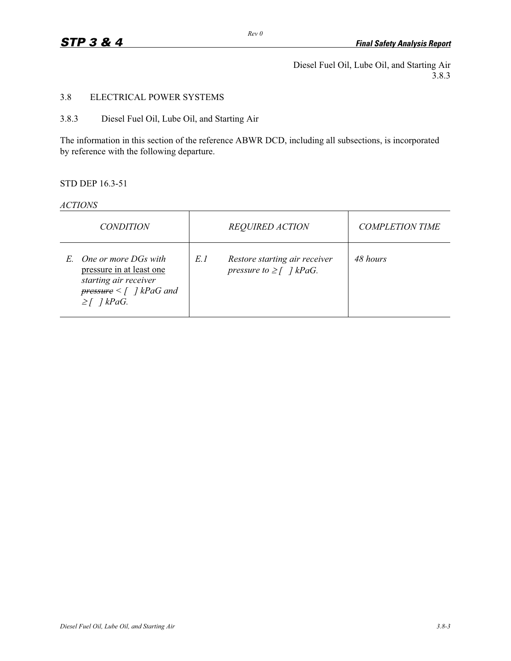Diesel Fuel Oil, Lube Oil, and Starting Air 3.8.3

# 3.8 ELECTRICAL POWER SYSTEMS

### 3.8.3 Diesel Fuel Oil, Lube Oil, and Starting Air

The information in this section of the reference ABWR DCD, including all subsections, is incorporated by reference with the following departure.

# STD DEP 16.3-51

#### *ACTIONS*

| <i>CONDITION</i>                                                                                                                       | <b>REQUIRED ACTION</b>                                               | <b>COMPLETION TIME</b> |
|----------------------------------------------------------------------------------------------------------------------------------------|----------------------------------------------------------------------|------------------------|
| E. One or more DGs with<br>pressure in at least one<br>starting air receiver<br>$pressure < \int$ ] kPaG and<br>$\geq \int$ ] $kPaG$ . | E.1<br>Restore starting air receiver<br>pressure to $\geq$ [ ] kPaG. | 48 hours               |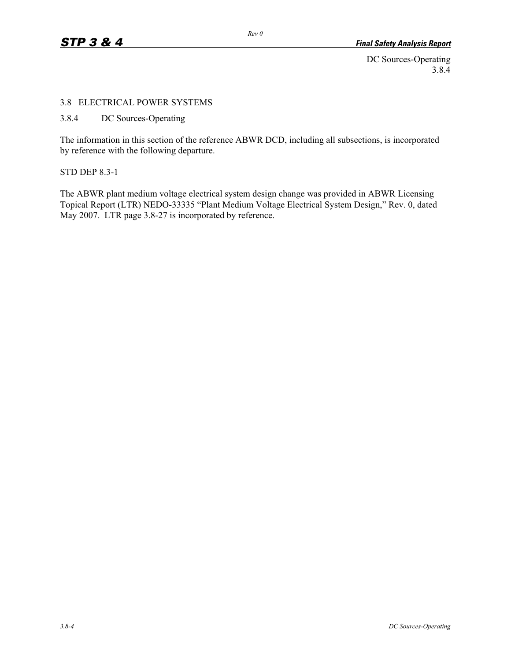DC Sources-Operating 3.8.4

### 3.8 ELECTRICAL POWER SYSTEMS

3.8.4 DC Sources-Operating

The information in this section of the reference ABWR DCD, including all subsections, is incorporated by reference with the following departure.

STD DEP 8.3-1

The ABWR plant medium voltage electrical system design change was provided in ABWR Licensing Topical Report (LTR) NEDO-33335 "Plant Medium Voltage Electrical System Design," Rev. 0, dated May 2007. LTR page 3.8-27 is incorporated by reference.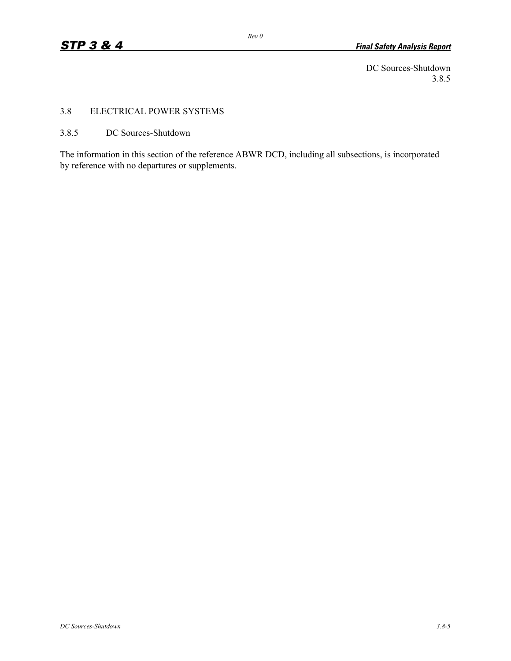DC Sources-Shutdown 3.8.5

# 3.8 ELECTRICAL POWER SYSTEMS

3.8.5 DC Sources-Shutdown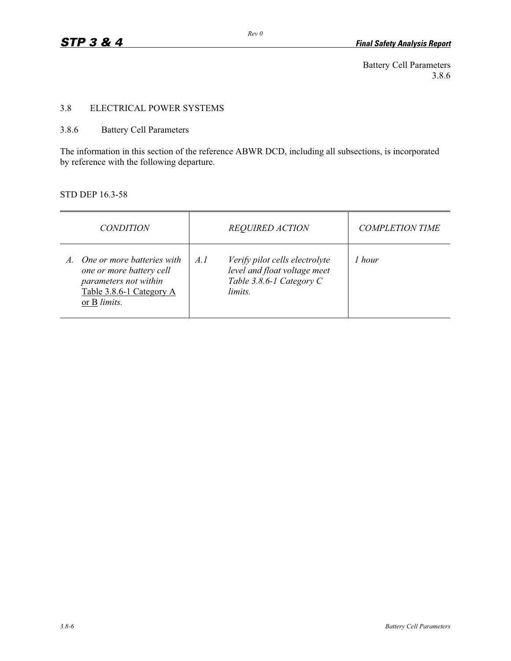Battery Cell Parameters 3.8.6

# 3.8 ELECTRICAL POWER SYSTEMS

# 3.8.6 Battery Cell Parameters

The information in this section of the reference ABWR DCD, including all subsections, is incorporated by reference with the following departure.

# STD DEP 16.3-58

| <i>CONDITION</i> |                                                                                                             | <b>REQUIRED ACTION</b> |                                                                                                       | <b>COMPLETION TIME</b> |
|------------------|-------------------------------------------------------------------------------------------------------------|------------------------|-------------------------------------------------------------------------------------------------------|------------------------|
| or B limits.     | One or more batteries with<br>one or more battery cell<br>parameters not within<br>Table 3.8.6-1 Category A | A.1                    | Verify pilot cells electrolyte<br>level and float voltage meet<br>Table 3.8.6-1 Category C<br>limits. | 1 hour                 |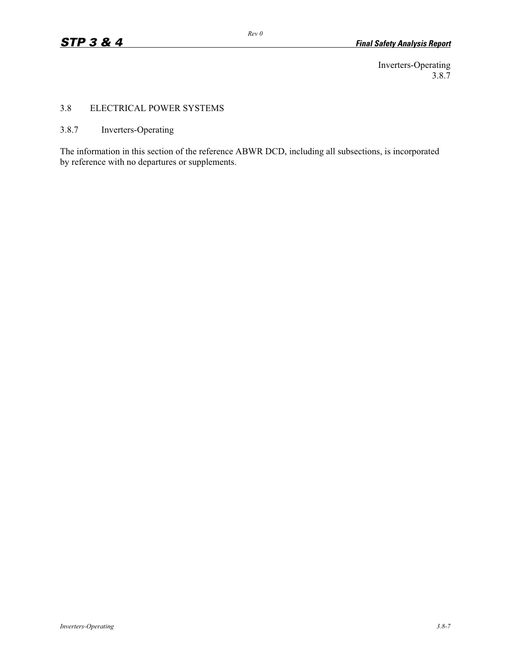Inverters-Operating 3.8.7

# 3.8 ELECTRICAL POWER SYSTEMS

# 3.8.7 Inverters-Operating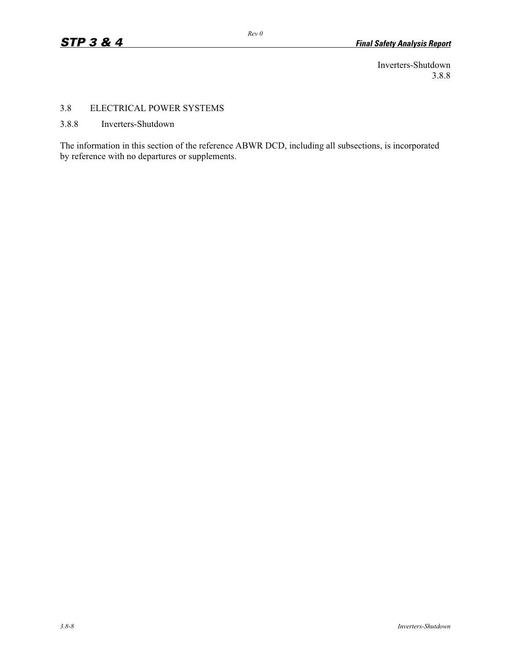Inverters-Shutdown 3.8.8

# 3.8 ELECTRICAL POWER SYSTEMS

3.8.8 Inverters-Shutdown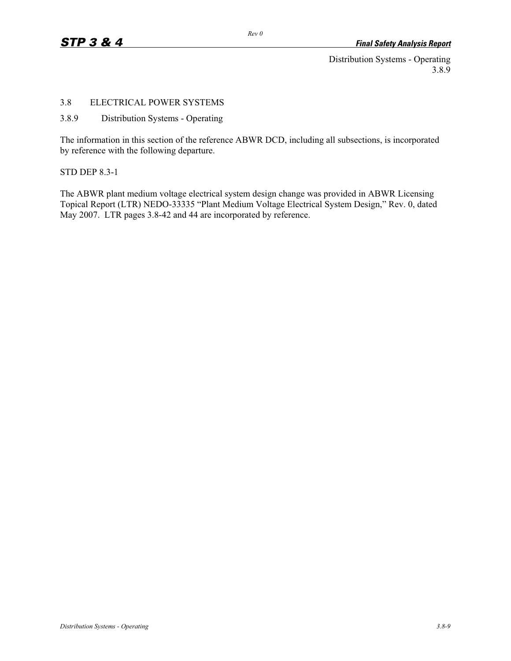Distribution Systems - Operating 3.8.9

# 3.8 ELECTRICAL POWER SYSTEMS

### 3.8.9 Distribution Systems - Operating

The information in this section of the reference ABWR DCD, including all subsections, is incorporated by reference with the following departure.

STD DEP 8.3-1

The ABWR plant medium voltage electrical system design change was provided in ABWR Licensing Topical Report (LTR) NEDO-33335 "Plant Medium Voltage Electrical System Design," Rev. 0, dated May 2007. LTR pages 3.8-42 and 44 are incorporated by reference.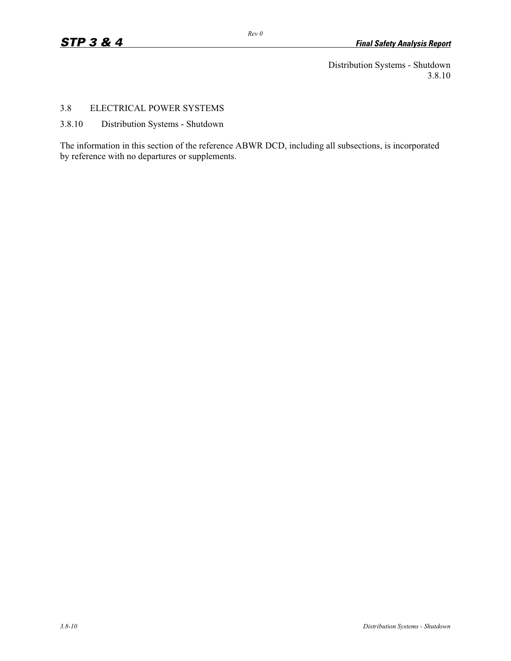Distribution Systems - Shutdown 3.8.10

## 3.8 ELECTRICAL POWER SYSTEMS

3.8.10 Distribution Systems - Shutdown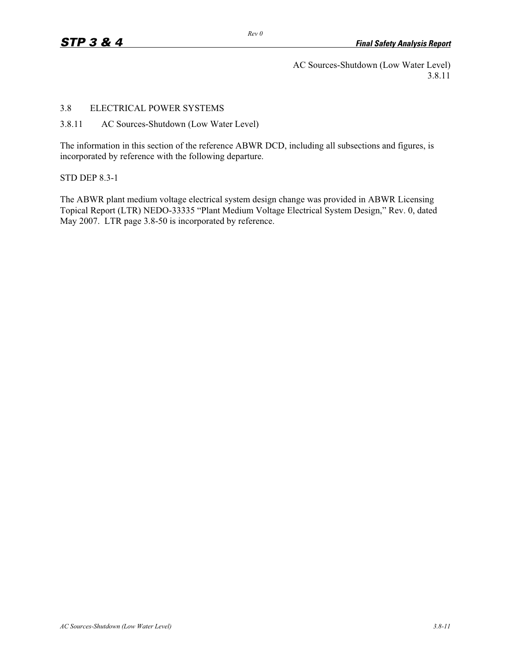AC Sources-Shutdown (Low Water Level) 3.8.11

## 3.8 ELECTRICAL POWER SYSTEMS

3.8.11 AC Sources-Shutdown (Low Water Level)

The information in this section of the reference ABWR DCD, including all subsections and figures, is incorporated by reference with the following departure.

#### STD DEP 8.3-1

The ABWR plant medium voltage electrical system design change was provided in ABWR Licensing Topical Report (LTR) NEDO-33335 "Plant Medium Voltage Electrical System Design," Rev. 0, dated May 2007. LTR page 3.8-50 is incorporated by reference.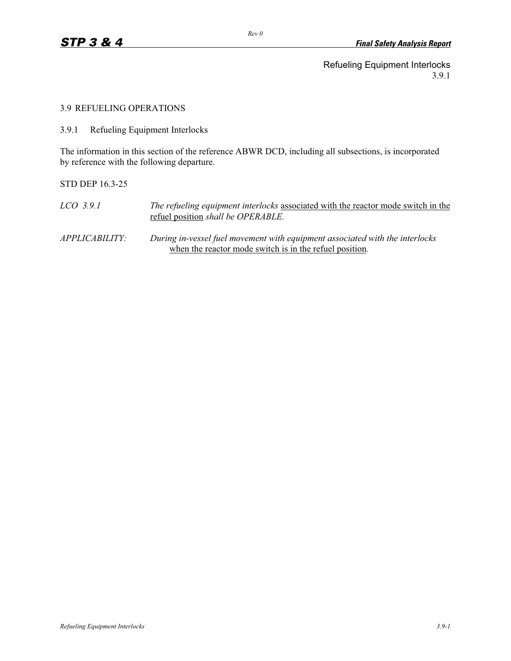Refueling Equipment Interlocks 3.9.1

3.9 REFUELING OPERATIONS

3.9.1 Refueling Equipment Interlocks

The information in this section of the reference ABWR DCD, including all subsections, is incorporated by reference with the following departure.

STD DEP 16.3-25

*LCO 3.9.1 The refueling equipment interlocks* associated with the reactor mode switch in the refuel position *shall be OPERABLE.* 

*APPLICABILITY: During in-vessel fuel movement with equipment associated with the interlocks*  when the reactor mode switch is in the refuel position*.*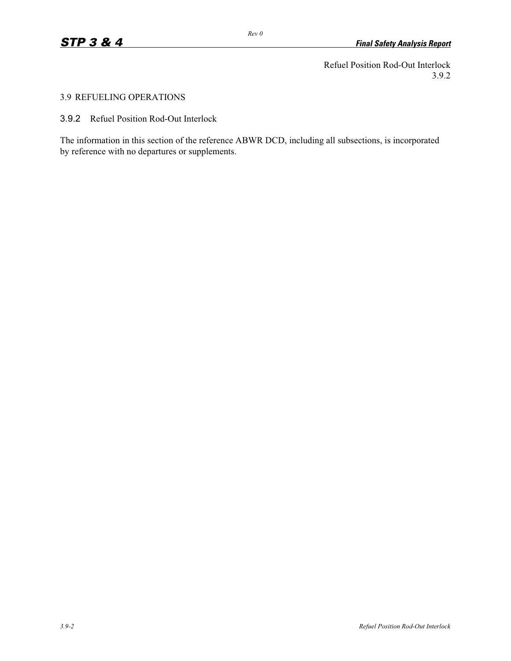Refuel Position Rod-Out Interlock 3.9.2

# 3.9 REFUELING OPERATIONS

3.9.2 Refuel Position Rod-Out Interlock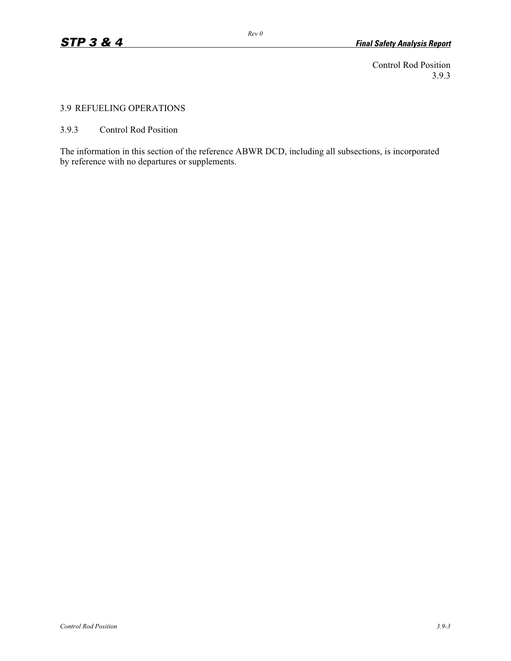Control Rod Position 3.9.3

# 3.9 REFUELING OPERATIONS

3.9.3 Control Rod Position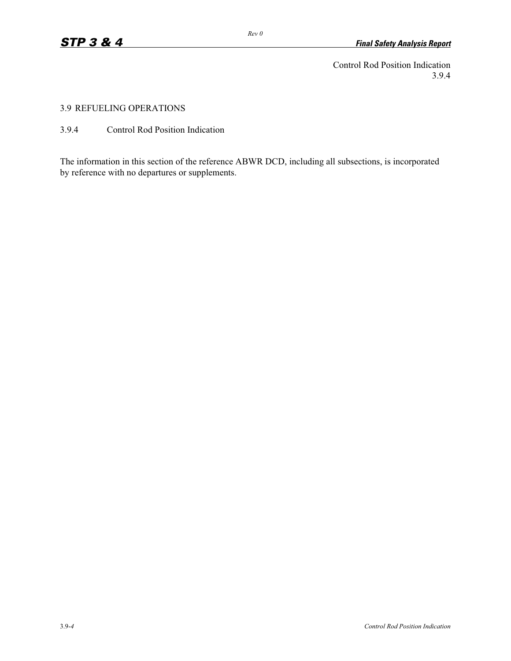Control Rod Position Indication 3.9.4

3.9 REFUELING OPERATIONS

3.9.4 Control Rod Position Indication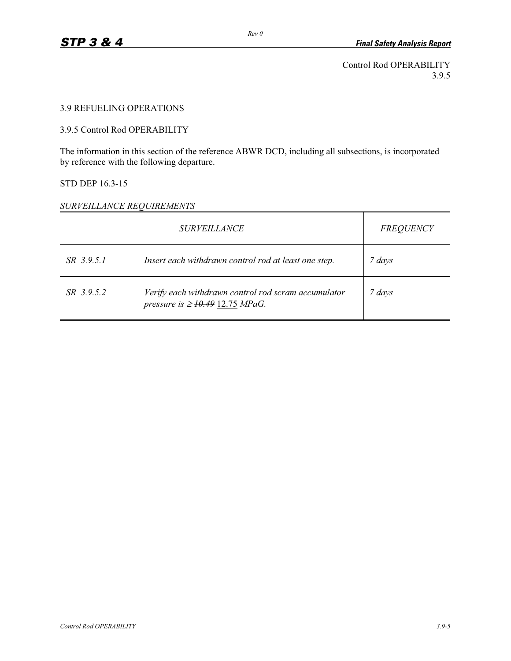Control Rod OPERABILITY 3.9.5

# 3.9 REFUELING OPERATIONS

# 3.9.5 Control Rod OPERABILITY

The information in this section of the reference ABWR DCD, including all subsections, is incorporated by reference with the following departure.

#### STD DEP 16.3-15

# *SURVEILLANCE REQUIREMENTS*

|            | <b>SURVEILLANCE</b>                                                                         | <b>FREQUENCY</b> |
|------------|---------------------------------------------------------------------------------------------|------------------|
| SR 3.9.5.1 | Insert each withdrawn control rod at least one step.                                        | 7 days           |
| SR 3.9.5.2 | Verify each withdrawn control rod scram accumulator<br>pressure is $\geq$ 10.49 12.75 MPaG. | 7 days           |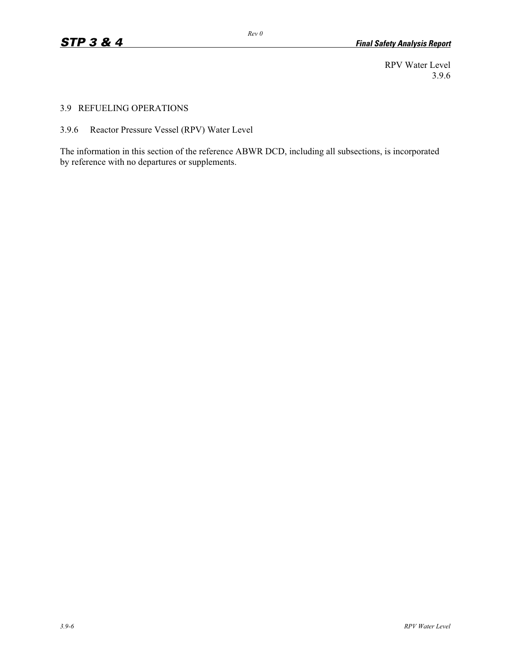RPV Water Level 3.9.6

#### 3.9 REFUELING OPERATIONS

3.9.6 Reactor Pressure Vessel (RPV) Water Level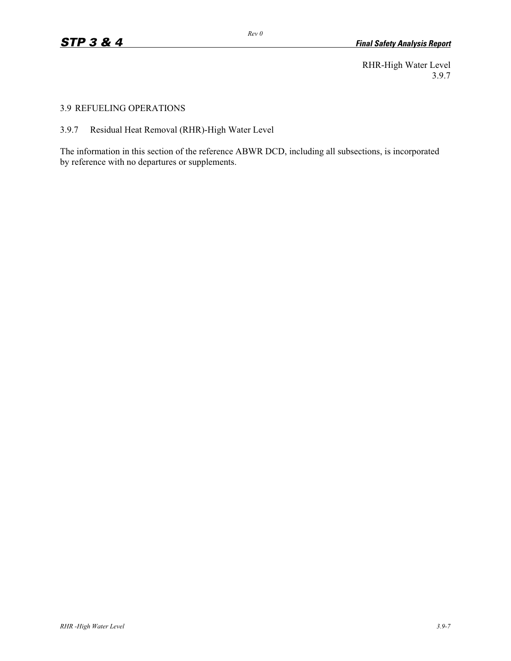RHR-High Water Level 3.9.7

#### 3.9 REFUELING OPERATIONS

# 3.9.7 Residual Heat Removal (RHR)-High Water Level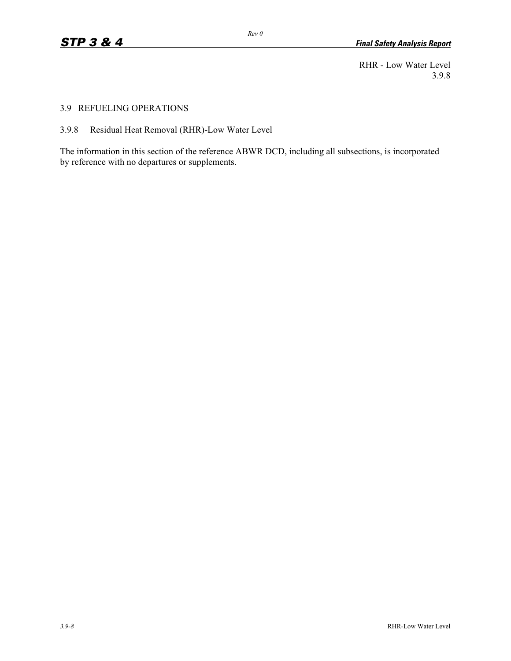RHR - Low Water Level 3.9.8

#### 3.9 REFUELING OPERATIONS

3.9.8 Residual Heat Removal (RHR)-Low Water Level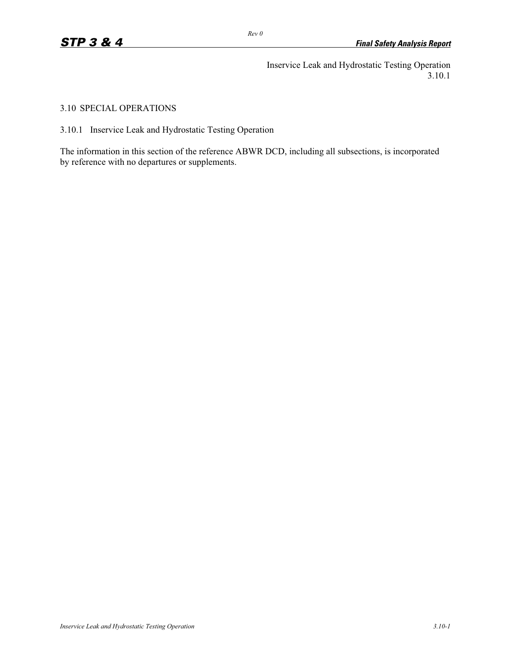Inservice Leak and Hydrostatic Testing Operation 3.10.1

3.10 SPECIAL OPERATIONS

3.10.1 Inservice Leak and Hydrostatic Testing Operation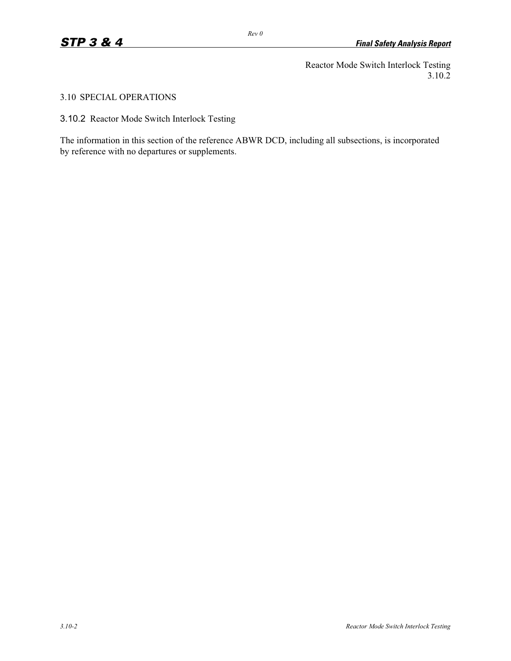Reactor Mode Switch Interlock Testing 3.10.2

# 3.10 SPECIAL OPERATIONS

3.10.2 Reactor Mode Switch Interlock Testing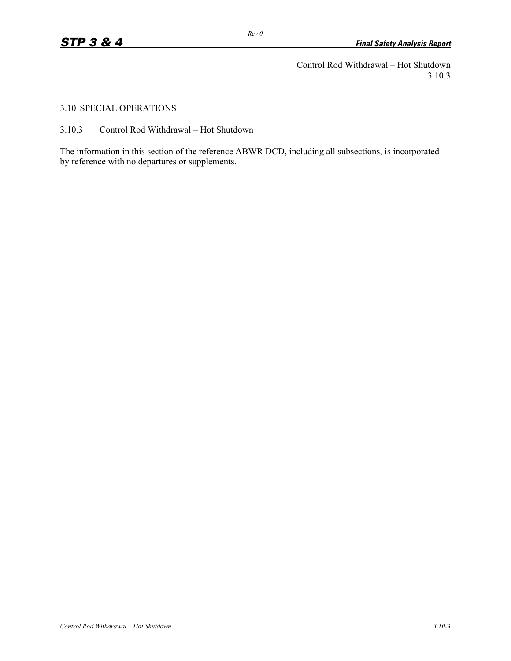Control Rod Withdrawal – Hot Shutdown 3.10.3

3.10 SPECIAL OPERATIONS

3.10.3 Control Rod Withdrawal – Hot Shutdown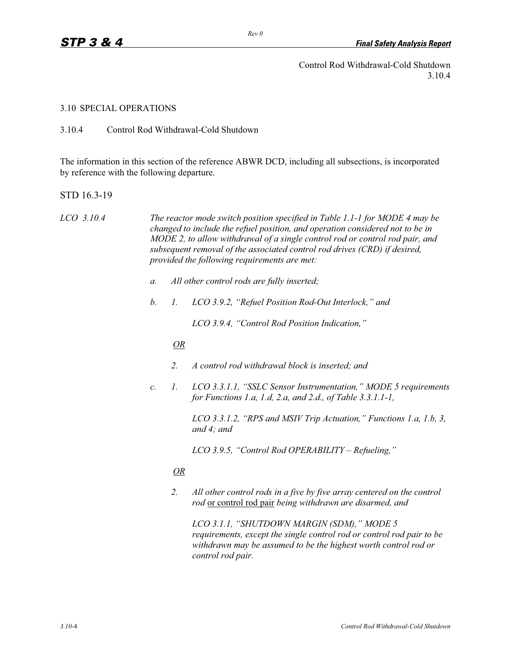Control Rod Withdrawal-Cold Shutdown 3.10.4

#### 3.10 SPECIAL OPERATIONS

3.10.4 Control Rod Withdrawal-Cold Shutdown

The information in this section of the reference ABWR DCD, including all subsections, is incorporated by reference with the following departure.

STD 16.3-19

*LCO 3.10.4 The reactor mode switch position specified in Table 1.1-1 for MODE 4 may be changed to include the refuel position, and operation considered not to be in MODE 2, to allow withdrawal of a single control rod or control rod pair, and subsequent removal of the associated control rod drives (CRD) if desired, provided the following requirements are met:* 

- *a. All other control rods are fully inserted;*
- *b. 1. LCO 3.9.2, "Refuel Position Rod-Out Interlock," and*

 *LCO 3.9.4, "Control Rod Position Indication,"* 

## *OR*

- *2. A control rod withdrawal block is inserted; and*
- *c. 1. LCO 3.3.1.1, "SSLC Sensor Instrumentation," MODE 5 requirements for Functions 1.a, 1.d, 2.a, and 2.d., of Table 3.3.1.1-1,*

 *LCO 3.3.1.2, "RPS and MSIV Trip Actuation," Functions 1.a, 1.b, 3, and 4; and* 

 *LCO 3.9.5, "Control Rod OPERABILITY – Refueling,"* 

## *OR*

 *2. All other control rods in a five by five array centered on the control rod* or control rod pair *being withdrawn are disarmed, and* 

 *LCO 3.1.1, "SHUTDOWN MARGIN (SDM)," MODE 5 requirements, except the single control rod or control rod pair to be withdrawn may be assumed to be the highest worth control rod or control rod pair.*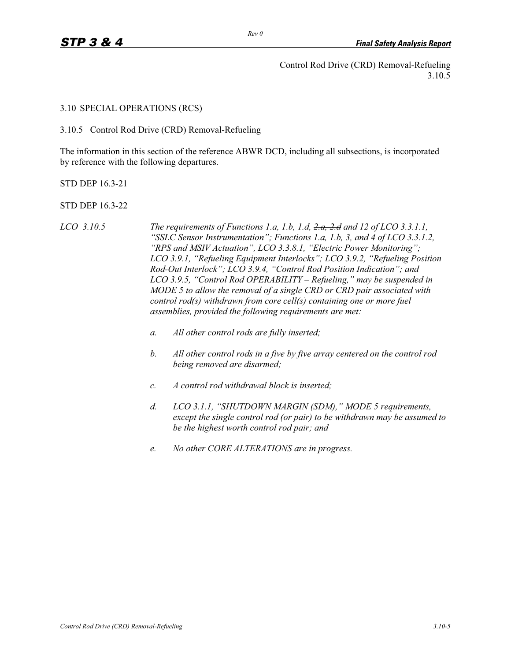Control Rod Drive (CRD) Removal-Refueling 3.10.5

3.10 SPECIAL OPERATIONS (RCS)

3.10.5 Control Rod Drive (CRD) Removal-Refueling

The information in this section of the reference ABWR DCD, including all subsections, is incorporated by reference with the following departures.

STD DEP 16.3-21

STD DEP 16.3-22

- *LCO 3.10.5 The requirements of Functions 1.a, 1.b, 1.d, 2.a, 2.d and 12 of LCO 3.3.1.1, "SSLC Sensor Instrumentation"; Functions 1.a, 1.b, 3, and 4 of LCO 3.3.1.2, "RPS and MSIV Actuation", LCO 3.3.8.1, "Electric Power Monitoring"; LCO 3.9.1, "Refueling Equipment Interlocks"; LCO 3.9.2, "Refueling Position Rod-Out Interlock"; LCO 3.9.4, "Control Rod Position Indication"; and LCO 3.9.5, "Control Rod OPERABILITY – Refueling," may be suspended in MODE 5 to allow the removal of a single CRD or CRD pair associated with control rod(s) withdrawn from core cell(s) containing one or more fuel assemblies, provided the following requirements are met:* 
	- *a. All other control rods are fully inserted;*
	- *b. All other control rods in a five by five array centered on the control rod being removed are disarmed;*
	- *c. A control rod withdrawal block is inserted;*
	- *d. LCO 3.1.1, "SHUTDOWN MARGIN (SDM)," MODE 5 requirements, except the single control rod (or pair) to be withdrawn may be assumed to be the highest worth control rod pair; and*
	- *e. No other CORE ALTERATIONS are in progress.*

*Rev 0*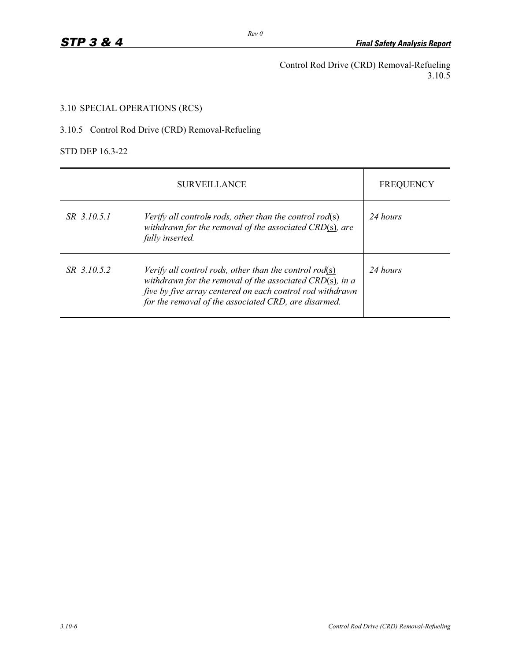Control Rod Drive (CRD) Removal-Refueling 3.10.5

# 3.10 SPECIAL OPERATIONS (RCS)

# 3.10.5 Control Rod Drive (CRD) Removal-Refueling

STD DEP 16.3-22

|             | <b>SURVEILLANCE</b>                                                                                                                                                                                                                         | <b>FREQUENCY</b> |
|-------------|---------------------------------------------------------------------------------------------------------------------------------------------------------------------------------------------------------------------------------------------|------------------|
| SR 3.10.5.1 | Verify all controls rods, other than the control rod(s)<br>withdrawn for the removal of the associated CRD $(s)$ , are<br>fully inserted.                                                                                                   | 24 hours         |
| SR 3.10.5.2 | Verify all control rods, other than the control rod(s)<br>withdrawn for the removal of the associated CRD $(s)$ , in a<br>five by five array centered on each control rod withdrawn<br>for the removal of the associated CRD, are disarmed. | 24 hours         |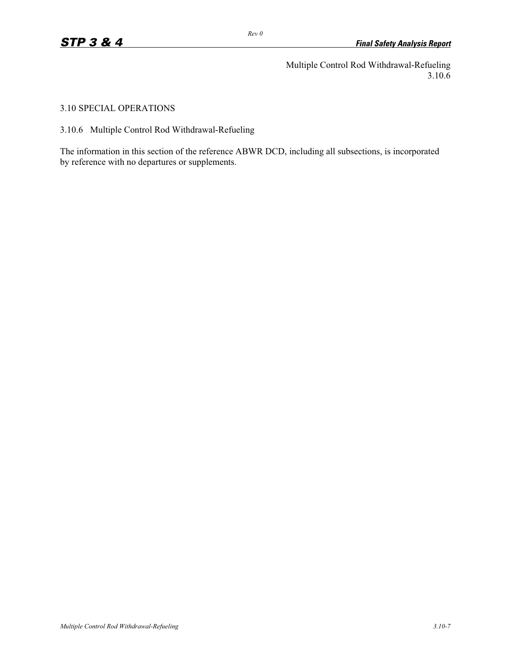Multiple Control Rod Withdrawal-Refueling 3.10.6

3.10 SPECIAL OPERATIONS

3.10.6 Multiple Control Rod Withdrawal-Refueling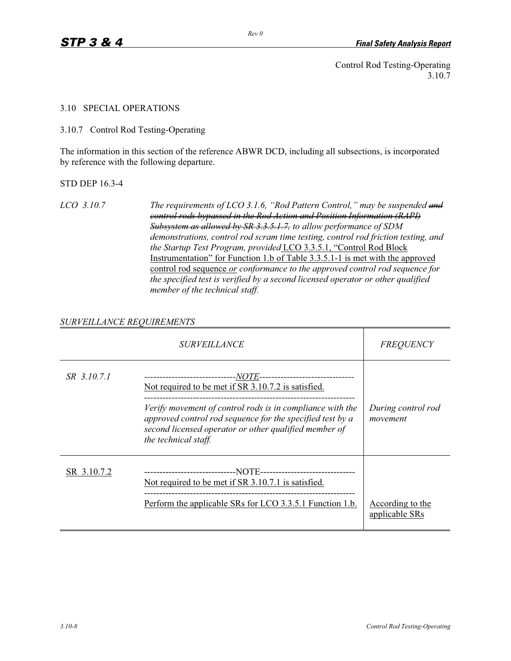Control Rod Testing-Operating 3.10.7

#### 3.10 SPECIAL OPERATIONS

3.10.7 Control Rod Testing-Operating

The information in this section of the reference ABWR DCD, including all subsections, is incorporated by reference with the following departure.

STD DEP 16.3-4

*LCO 3.10.7 The requirements of LCO 3.1.6, "Rod Pattern Control," may be suspended and control rods bypassed in the Rod Action and Position Information (RAPI) Subsystem as allowed by SR 3.3.5.1.7, to allow performance of SDM demonstrations, control rod scram time testing, control rod friction testing, and the Startup Test Program, provided* LCO 3.3.5.1, "Control Rod Block Instrumentation" for Function 1.b of Table 3.3.5.1-1 is met with the approved control rod sequence *or conformance to the approved control rod sequence for the specified test is verified by a second licensed operator or other qualified member of the technical staff.* 

## *SURVEILLANCE REQUIREMENTS*

|             | <i>SURVEILLANCE</i>                                                                                                                                                                                                                                            | <b>FREQUENCY</b>                   |
|-------------|----------------------------------------------------------------------------------------------------------------------------------------------------------------------------------------------------------------------------------------------------------------|------------------------------------|
| SR 3.10.7.1 | Not required to be met if SR 3.10.7.2 is satisfied.<br>Verify movement of control rods is in compliance with the<br>approved control rod sequence for the specified test by a<br>second licensed operator or other qualified member of<br>the technical staff. | During control rod<br>movement     |
| SR 3.10.7.2 | Not required to be met if SR 3.10.7.1 is satisfied.<br>Perform the applicable SRs for LCO 3.3.5.1 Function 1.b.                                                                                                                                                | According to the<br>applicable SRs |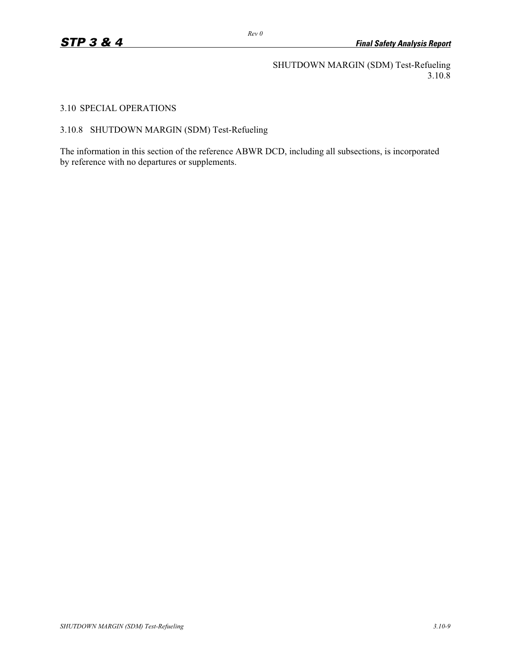SHUTDOWN MARGIN (SDM) Test-Refueling 3.10.8

3.10 SPECIAL OPERATIONS

3.10.8 SHUTDOWN MARGIN (SDM) Test-Refueling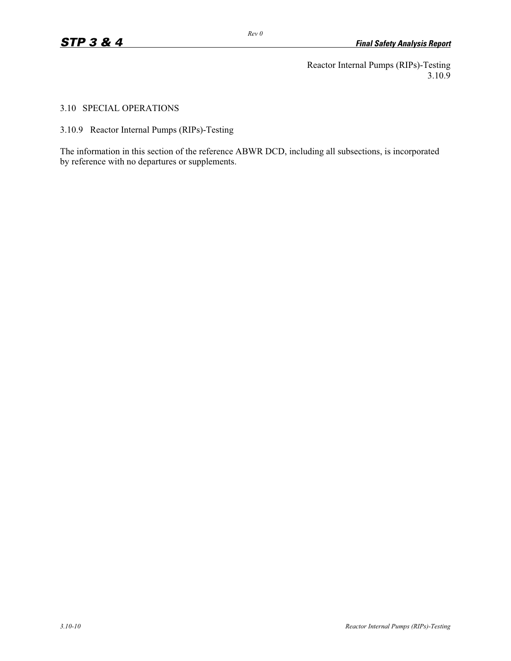Reactor Internal Pumps (RIPs)-Testing 3.10.9

3.10 SPECIAL OPERATIONS

3.10.9 Reactor Internal Pumps (RIPs)-Testing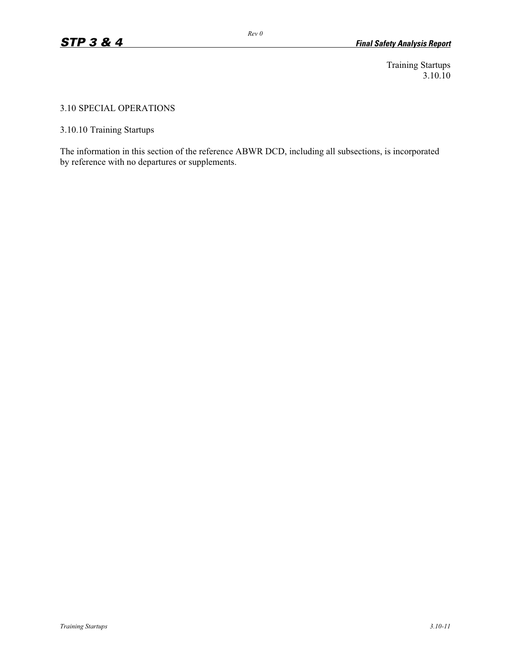Training Startups 3.10.10

#### 3.10 SPECIAL OPERATIONS

3.10.10 Training Startups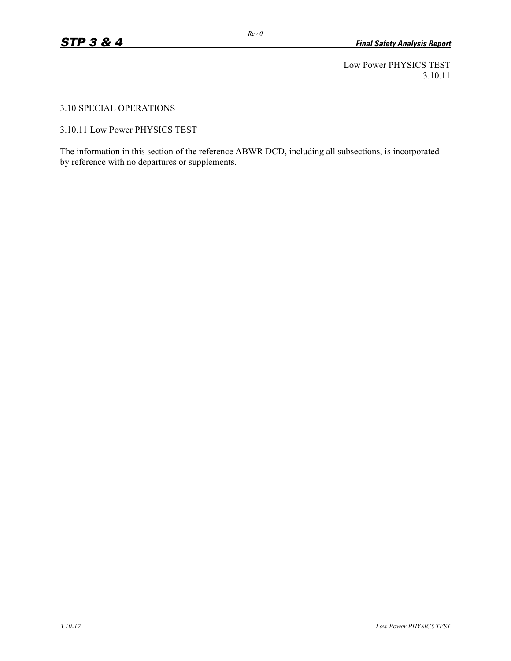Low Power PHYSICS TEST 3.10.11

3.10 SPECIAL OPERATIONS

3.10.11 Low Power PHYSICS TEST